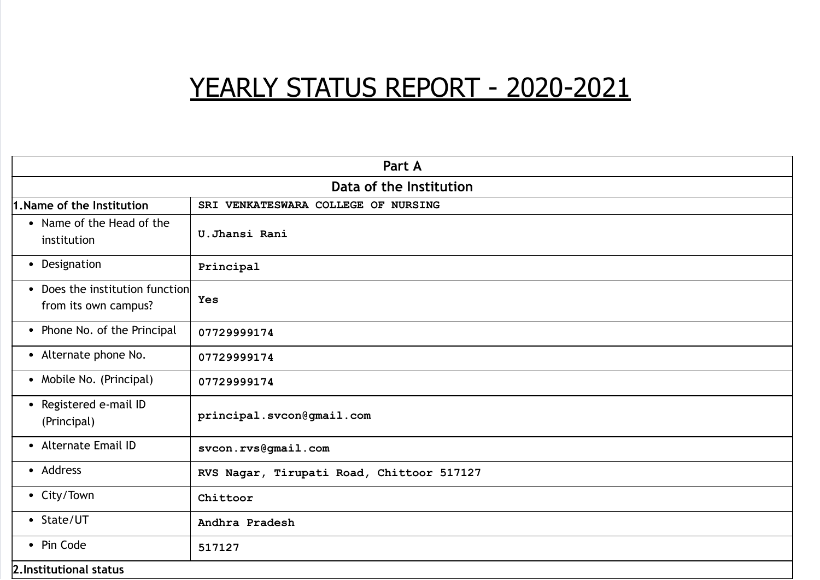# YEARLY STATUS REPORT - 2020-2021

| Part A                                                  |                                           |  |  |  |
|---------------------------------------------------------|-------------------------------------------|--|--|--|
| Data of the Institution                                 |                                           |  |  |  |
| 1. Name of the Institution                              | SRI VENKATESWARA COLLEGE OF NURSING       |  |  |  |
| • Name of the Head of the<br>institution                | U.Jhansi Rani                             |  |  |  |
| • Designation                                           | Principal                                 |  |  |  |
| • Does the institution function<br>from its own campus? | Yes                                       |  |  |  |
| • Phone No. of the Principal                            | 07729999174                               |  |  |  |
| • Alternate phone No.                                   | 07729999174                               |  |  |  |
| • Mobile No. (Principal)                                | 07729999174                               |  |  |  |
| • Registered e-mail ID<br>(Principal)                   | principal.svcon@gmail.com                 |  |  |  |
| • Alternate Email ID                                    | svcon.rvs@gmail.com                       |  |  |  |
| • Address                                               | RVS Nagar, Tirupati Road, Chittoor 517127 |  |  |  |
| • City/Town                                             | Chittoor                                  |  |  |  |
| • State/UT                                              | Andhra Pradesh                            |  |  |  |
| • Pin Code                                              | 517127                                    |  |  |  |
| 2. Institutional status                                 |                                           |  |  |  |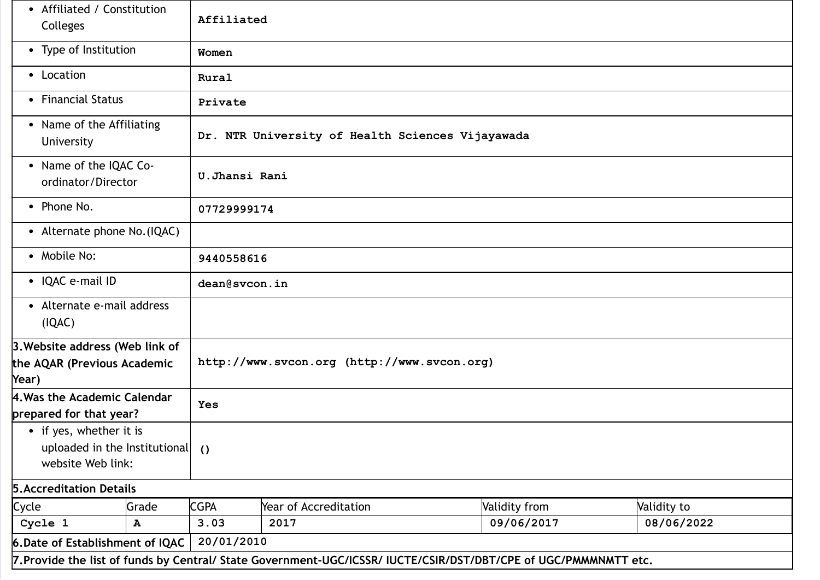| Affiliated / Constitution<br>$\bullet$<br>Colleges                                               |              | Affiliated                                       |                                             |                                                                                                                  |             |  |
|--------------------------------------------------------------------------------------------------|--------------|--------------------------------------------------|---------------------------------------------|------------------------------------------------------------------------------------------------------------------|-------------|--|
| • Type of Institution                                                                            |              | Women                                            |                                             |                                                                                                                  |             |  |
| • Location                                                                                       |              | Rural                                            |                                             |                                                                                                                  |             |  |
| • Financial Status                                                                               |              | Private                                          |                                             |                                                                                                                  |             |  |
| • Name of the Affiliating<br>University                                                          |              | Dr. NTR University of Health Sciences Vijayawada |                                             |                                                                                                                  |             |  |
| • Name of the IQAC Co-<br>U.Jhansi Rani<br>ordinator/Director                                    |              |                                                  |                                             |                                                                                                                  |             |  |
| • Phone No.                                                                                      |              | 07729999174                                      |                                             |                                                                                                                  |             |  |
| • Alternate phone No. (IQAC)                                                                     |              |                                                  |                                             |                                                                                                                  |             |  |
| • Mobile No:                                                                                     |              | 9440558616                                       |                                             |                                                                                                                  |             |  |
| • IQAC e-mail ID                                                                                 |              | dean@svcon.in                                    |                                             |                                                                                                                  |             |  |
| • Alternate e-mail address<br>(IQAC)                                                             |              |                                                  |                                             |                                                                                                                  |             |  |
| 3. Website address (Web link of<br>the AQAR (Previous Academic<br>Year)                          |              |                                                  | http://www.svcon.org (http://www.svcon.org) |                                                                                                                  |             |  |
| 4. Was the Academic Calendar<br>prepared for that year?                                          |              | <b>Yes</b>                                       |                                             |                                                                                                                  |             |  |
| • if yes, whether it is<br>uploaded in the Institutional $\left($ $\right)$<br>website Web link: |              |                                                  |                                             |                                                                                                                  |             |  |
| <b>5. Accreditation Details</b>                                                                  |              |                                                  |                                             |                                                                                                                  |             |  |
| Cycle                                                                                            | Grade        | <b>CGPA</b>                                      | Year of Accreditation                       | Validity from                                                                                                    | Validity to |  |
| Cycle 1                                                                                          | $\, {\bf A}$ | 3.03                                             | 2017                                        | 09/06/2017                                                                                                       | 08/06/2022  |  |
| 6. Date of Establishment of IQAC                                                                 |              | 20/01/2010                                       |                                             |                                                                                                                  |             |  |
|                                                                                                  |              |                                                  |                                             | 7. Provide the list of funds by Central/ State Government-UGC/ICSSR/ IUCTE/CSIR/DST/DBT/CPE of UGC/PMMMNMTT etc. |             |  |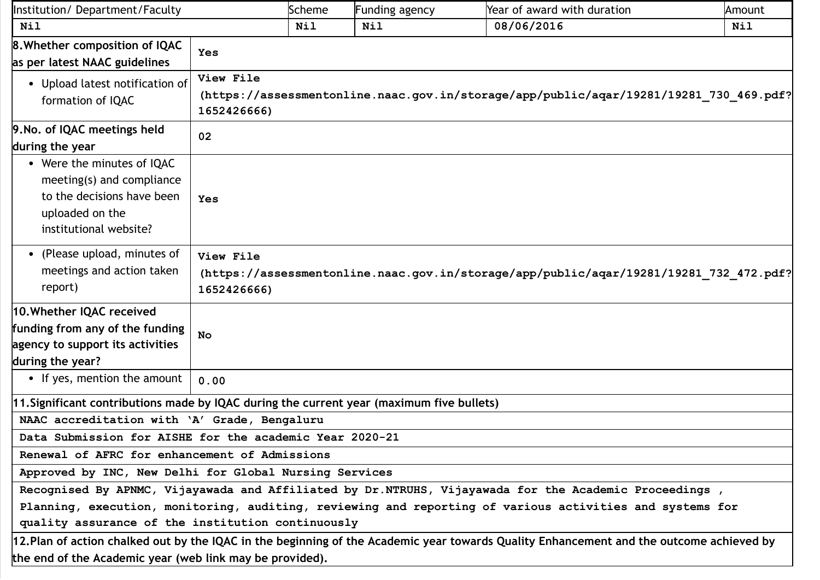| Institution/Department/Faculty                                                                                                     |                                                                                                                    | Scheme     | <b>Funding agency</b> | Year of award with duration                                                                                                             | Amount     |
|------------------------------------------------------------------------------------------------------------------------------------|--------------------------------------------------------------------------------------------------------------------|------------|-----------------------|-----------------------------------------------------------------------------------------------------------------------------------------|------------|
| <b>Nil</b>                                                                                                                         |                                                                                                                    | <b>Nil</b> | <b>Nil</b>            | 08/06/2016                                                                                                                              | <b>Nil</b> |
| <b>8. Whether composition of IQAC</b><br>as per latest NAAC guidelines                                                             | Yes                                                                                                                |            |                       |                                                                                                                                         |            |
| • Upload latest notification of<br>formation of IQAC                                                                               | View File<br>(https://assessmentonline.naac.gov.in/storage/app/public/aqar/19281/19281 730 469.pdf?<br>1652426666) |            |                       |                                                                                                                                         |            |
| 9. No. of IQAC meetings held<br>during the year                                                                                    | 02                                                                                                                 |            |                       |                                                                                                                                         |            |
| • Were the minutes of IQAC<br>meeting(s) and compliance<br>to the decisions have been<br>uploaded on the<br>institutional website? | Yes                                                                                                                |            |                       |                                                                                                                                         |            |
| • (Please upload, minutes of<br>meetings and action taken<br>report)                                                               | View File<br>(https://assessmentonline.naac.gov.in/storage/app/public/aqar/19281/19281 732 472.pdf?<br>1652426666) |            |                       |                                                                                                                                         |            |
| 10. Whether IQAC received<br>funding from any of the funding<br>agency to support its activities<br>during the year?               | No                                                                                                                 |            |                       |                                                                                                                                         |            |
| • If yes, mention the amount                                                                                                       | 0.00                                                                                                               |            |                       |                                                                                                                                         |            |
| 11. Significant contributions made by IQAC during the current year (maximum five bullets)                                          |                                                                                                                    |            |                       |                                                                                                                                         |            |
| NAAC accreditation with 'A' Grade, Bengaluru                                                                                       |                                                                                                                    |            |                       |                                                                                                                                         |            |
| Data Submission for AISHE for the academic Year 2020-21                                                                            |                                                                                                                    |            |                       |                                                                                                                                         |            |
|                                                                                                                                    | Renewal of AFRC for enhancement of Admissions                                                                      |            |                       |                                                                                                                                         |            |
| Approved by INC, New Delhi for Global Nursing Services                                                                             |                                                                                                                    |            |                       |                                                                                                                                         |            |
|                                                                                                                                    | Recognised By APNMC, Vijayawada and Affiliated by Dr.NTRUHS, Vijayawada for the Academic Proceedings,              |            |                       |                                                                                                                                         |            |
|                                                                                                                                    | Planning, execution, monitoring, auditing, reviewing and reporting of various activities and systems for           |            |                       |                                                                                                                                         |            |
| quality assurance of the institution continuously                                                                                  |                                                                                                                    |            |                       |                                                                                                                                         |            |
|                                                                                                                                    |                                                                                                                    |            |                       | 12.Plan of action chalked out by the IQAC in the beginning of the Academic year towards Quality Enhancement and the outcome achieved by |            |
|                                                                                                                                    | the end of the Academic year (web link may be provided).                                                           |            |                       |                                                                                                                                         |            |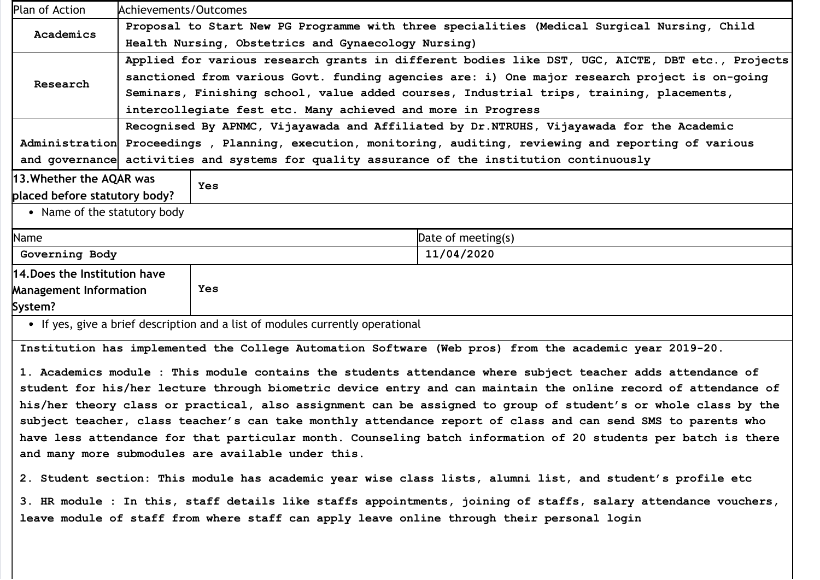| Plan of Action                                                                                   | Achievements/Outcomes                                                                                     |                                                                                          |  |  |
|--------------------------------------------------------------------------------------------------|-----------------------------------------------------------------------------------------------------------|------------------------------------------------------------------------------------------|--|--|
| Academics                                                                                        | Proposal to Start New PG Programme with three specialities (Medical Surgical Nursing, Child               |                                                                                          |  |  |
|                                                                                                  | Health Nursing, Obstetrics and Gynaecology Nursing)                                                       |                                                                                          |  |  |
| Applied for various research grants in different bodies like DST, UGC, AICTE, DBT etc., Projects |                                                                                                           |                                                                                          |  |  |
| Research                                                                                         | sanctioned from various Govt. funding agencies are: i) One major research project is on-going             |                                                                                          |  |  |
|                                                                                                  |                                                                                                           | Seminars, Finishing school, value added courses, Industrial trips, training, placements, |  |  |
|                                                                                                  |                                                                                                           | intercollegiate fest etc. Many achieved and more in Progress                             |  |  |
|                                                                                                  | Recognised By APNMC, Vijayawada and Affiliated by Dr.NTRUHS, Vijayawada for the Academic                  |                                                                                          |  |  |
|                                                                                                  | Administration Proceedings, Planning, execution, monitoring, auditing, reviewing and reporting of various |                                                                                          |  |  |
|                                                                                                  | and governance activities and systems for quality assurance of the institution continuously               |                                                                                          |  |  |
| 13. Whether the AQAR was<br>Yes                                                                  |                                                                                                           |                                                                                          |  |  |
| placed before statutory body?                                                                    |                                                                                                           |                                                                                          |  |  |
| • Name of the statutory body                                                                     |                                                                                                           |                                                                                          |  |  |
| Name                                                                                             |                                                                                                           | Date of meeting(s)                                                                       |  |  |
| Governing Body                                                                                   |                                                                                                           | 11/04/2020                                                                               |  |  |
| 14. Does the Institution have                                                                    |                                                                                                           |                                                                                          |  |  |
| <b>Management Information</b>                                                                    |                                                                                                           | Yes                                                                                      |  |  |
| System?                                                                                          |                                                                                                           |                                                                                          |  |  |
|                                                                                                  |                                                                                                           | • If yes, give a brief description and a list of modules currently operational           |  |  |

Institution has implemented the College Automation Software (Web pros) from the academic year 2019-20.

1. Academics module : This module contains the students attendance where subject teacher adds attendance of student for his/her lecture through biometric device entry and can maintain the online record of attendance of his/her theory class or practical, also assignment can be assigned to group of student's or whole class by the subject teacher, class teacher's can take monthly attendance report of class and can send SMS to parents who have less attendance for that particular month. Counseling batch information of 20 students per batch is there and many more submodules are available under this.

2. Student section: This module has academic year wise class lists, alumni list, and student's profile etc

3. HR module : In this, staff details like staffs appointments, joining of staffs, salary attendance vouchers, leave module of staff from where staff can apply leave online through their personal login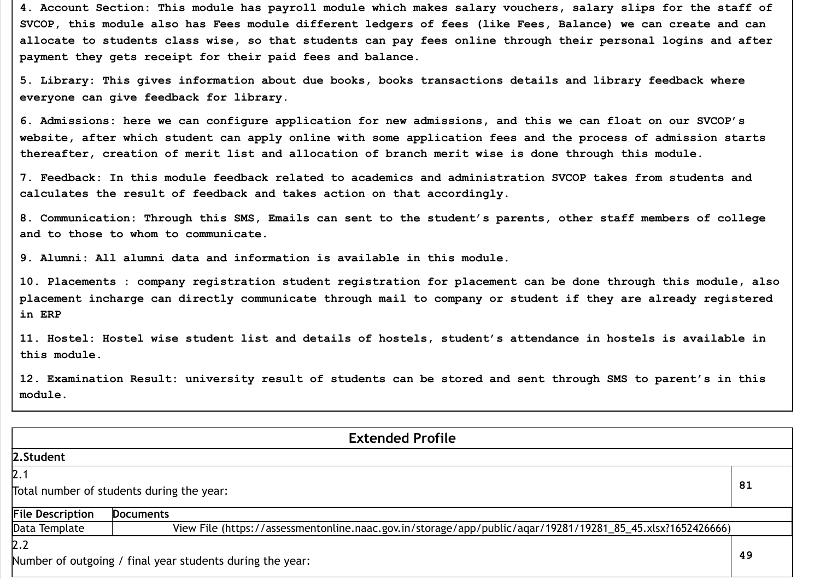4. Account Section: This module has payroll module which makes salary vouchers, salary slips for the staff of SVCOP, this module also has Fees module different ledgers of fees (like Fees, Balance) we can create and can allocate to students class wise, so that students can pay fees online through their personal logins and after payment they gets receipt for their paid fees and balance.

5. Library: This gives information about due books, books transactions details and library feedback where everyone can give feedback for library.

6. Admissions: here we can configure application for new admissions, and this we can float on our SVCOP's website, after which student can apply online with some application fees and the process of admission starts thereafter, creation of merit list and allocation of branch merit wise is done through this module.

7. Feedback: In this module feedback related to academics and administration SVCOP takes from students and calculates the result of feedback and takes action on that accordingly.

8. Communication: Through this SMS, Emails can sent to the student's parents, other staff members of college and to those to whom to communicate.

9. Alumni: All alumni data and information is available in this module.

10. Placements : company registration student registration for placement can be done through this module, also placement incharge can directly communicate through mail to company or student if they are already registered in ERP

11. Hostel: Hostel wise student list and details of hostels, student's attendance in hostels is available in this module.

12. Examination Result: university result of students can be stored and sent through SMS to parent's in this module.

| <b>Extended Profile</b>                                         |                                                                                                            |  |  |  |
|-----------------------------------------------------------------|------------------------------------------------------------------------------------------------------------|--|--|--|
| 2.Student                                                       |                                                                                                            |  |  |  |
| 2.1                                                             |                                                                                                            |  |  |  |
| 81<br>Total number of students during the year:                 |                                                                                                            |  |  |  |
| <b>File Description</b>                                         | <b>Documents</b>                                                                                           |  |  |  |
| Data Template                                                   | View File (https://assessmentonline.naac.gov.in/storage/app/public/aqar/19281/19281_85_45.xlsx?1652426666) |  |  |  |
| 2.2                                                             |                                                                                                            |  |  |  |
| 49<br>Number of outgoing / final year students during the year: |                                                                                                            |  |  |  |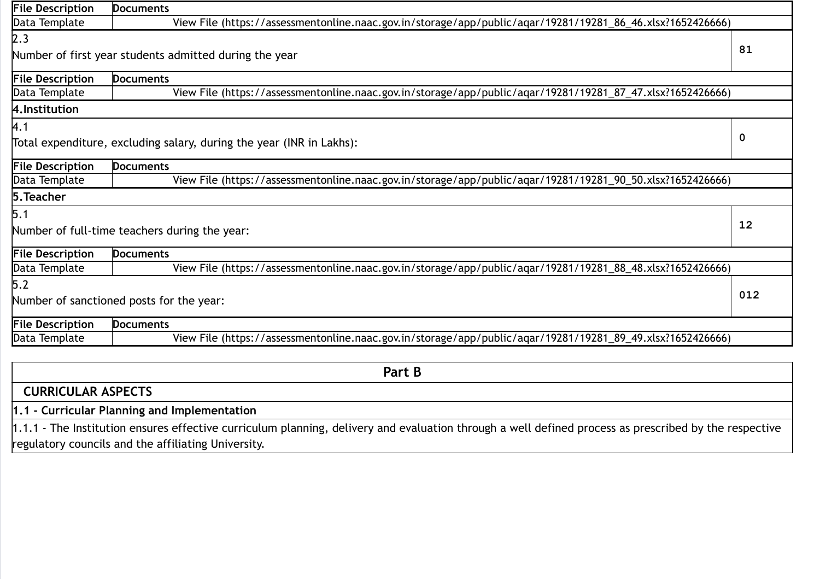| <b>File Description</b> | <b>Documents</b>                                                                                           |     |  |  |
|-------------------------|------------------------------------------------------------------------------------------------------------|-----|--|--|
| Data Template           | View File (https://assessmentonline.naac.gov.in/storage/app/public/aqar/19281/19281_86_46.xlsx?1652426666) |     |  |  |
| 2.3                     |                                                                                                            |     |  |  |
|                         | Number of first year students admitted during the year                                                     | 81  |  |  |
| <b>File Description</b> | <b>Documents</b>                                                                                           |     |  |  |
| Data Template           | View File (https://assessmentonline.naac.gov.in/storage/app/public/aqar/19281/19281_87_47.xlsx?1652426666) |     |  |  |
| 4. Institution          |                                                                                                            |     |  |  |
| A.1                     |                                                                                                            |     |  |  |
|                         | Total expenditure, excluding salary, during the year (INR in Lakhs):                                       | 0   |  |  |
| <b>File Description</b> | <b>Documents</b>                                                                                           |     |  |  |
| Data Template           | View File (https://assessmentonline.naac.gov.in/storage/app/public/agar/19281/19281_90_50.xlsx?1652426666) |     |  |  |
| 5. Teacher              |                                                                                                            |     |  |  |
| 5.1                     |                                                                                                            |     |  |  |
|                         | 12<br>Number of full-time teachers during the year:                                                        |     |  |  |
| <b>File Description</b> | <b>Documents</b>                                                                                           |     |  |  |
| Data Template           | View File (https://assessmentonline.naac.gov.in/storage/app/public/aqar/19281/19281_88_48.xlsx?1652426666) |     |  |  |
| 5.2                     |                                                                                                            |     |  |  |
|                         | Number of sanctioned posts for the year:                                                                   | 012 |  |  |
| <b>File Description</b> | <b>Documents</b>                                                                                           |     |  |  |
| Data Template           | View File (https://assessmentonline.naac.gov.in/storage/app/public/aqar/19281/19281_89_49.xlsx?1652426666) |     |  |  |
|                         |                                                                                                            |     |  |  |
|                         | $D - L$                                                                                                    |     |  |  |

| Part B                                                                                                                                                |
|-------------------------------------------------------------------------------------------------------------------------------------------------------|
| <b>CURRICULAR ASPECTS</b>                                                                                                                             |
| 1.1 - Curricular Planning and Implementation                                                                                                          |
| 1.1.1 - The Institution ensures effective curriculum planning, delivery and evaluation through a well defined process as prescribed by the respective |
| regulatory councils and the affiliating University.                                                                                                   |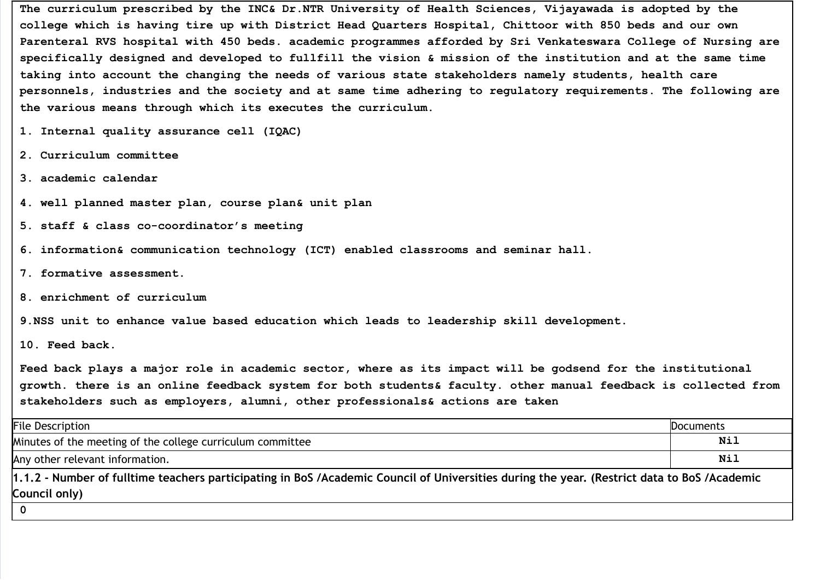The curriculum prescribed by the INC& Dr.NTR University of Health Sciences, Vijayawada is adopted by the college which is having tire up with District Head Quarters Hospital, Chittoor with 850 beds and our own Parenteral RVS hospital with 450 beds. academic programmes afforded by Sri Venkateswara College of Nursing are specifically designed and developed to fullfill the vision & mission of the institution and at the same time taking into account the changing the needs of various state stakeholders namely students, health care personnels, industries and the society and at same time adhering to regulatory requirements. The following are the various means through which its executes the curriculum.

- 1. Internal quality assurance cell (IQAC)
- 2. Curriculum committee
- 3. academic calendar
- 4. well planned master plan, course plan& unit plan
- 5. staff & class co-coordinator's meeting
- 6. information& communication technology (ICT) enabled classrooms and seminar hall.
- 7. formative assessment.
- 8. enrichment of curriculum
- 9.NSS unit to enhance value based education which leads to leadership skill development.

10. Feed back.

Feed back plays a major role in academic sector, where as its impact will be godsend for the institutional growth. there is an online feedback system for both students& faculty. other manual feedback is collected from stakeholders such as employers, alumni, other professionals& actions are taken

| <b>File Description</b>                                                                                                                     | Documents |  |  |
|---------------------------------------------------------------------------------------------------------------------------------------------|-----------|--|--|
| Minutes of the meeting of the college curriculum committee                                                                                  | Nil       |  |  |
| Any other relevant information.                                                                                                             | Nil       |  |  |
| 1.1.2 - Number of fulltime teachers participating in BoS /Academic Council of Universities during the year. (Restrict data to BoS /Academic |           |  |  |
| Council only)                                                                                                                               |           |  |  |
|                                                                                                                                             |           |  |  |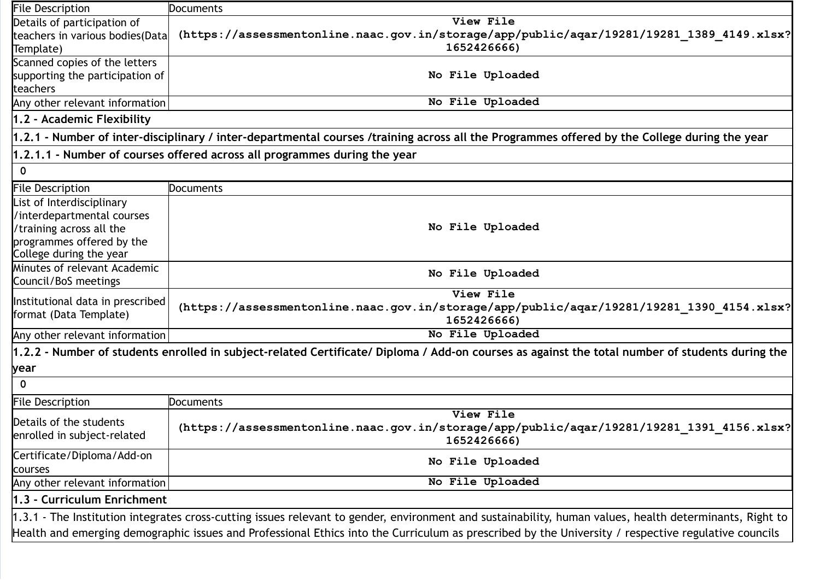| <b>File Description</b>          | Documents                                                                                                                                               |  |  |
|----------------------------------|---------------------------------------------------------------------------------------------------------------------------------------------------------|--|--|
| Details of participation of      | View File                                                                                                                                               |  |  |
| teachers in various bodies(Data  | (https://assessmentonline.naac.gov.in/storage/app/public/aqar/19281/19281_1389_4149.xlsx?                                                               |  |  |
| Template)                        | 1652426666)                                                                                                                                             |  |  |
| Scanned copies of the letters    |                                                                                                                                                         |  |  |
| supporting the participation of  | No File Uploaded                                                                                                                                        |  |  |
| teachers                         |                                                                                                                                                         |  |  |
| Any other relevant information   | No File Uploaded                                                                                                                                        |  |  |
| 1.2 - Academic Flexibility       |                                                                                                                                                         |  |  |
|                                  | 1.2.1 - Number of inter-disciplinary / inter-departmental courses /training across all the Programmes offered by the College during the year            |  |  |
|                                  | 1.2.1.1 - Number of courses offered across all programmes during the year                                                                               |  |  |
| $\mathbf 0$                      |                                                                                                                                                         |  |  |
| <b>File Description</b>          | <b>Documents</b>                                                                                                                                        |  |  |
| List of Interdisciplinary        |                                                                                                                                                         |  |  |
| /interdepartmental courses       |                                                                                                                                                         |  |  |
| /training across all the         | No File Uploaded                                                                                                                                        |  |  |
| programmes offered by the        |                                                                                                                                                         |  |  |
| College during the year          |                                                                                                                                                         |  |  |
| Minutes of relevant Academic     | No File Uploaded                                                                                                                                        |  |  |
| Council/BoS meetings             |                                                                                                                                                         |  |  |
| Institutional data in prescribed | View File                                                                                                                                               |  |  |
| format (Data Template)           | (https://assessmentonline.naac.gov.in/storage/app/public/aqar/19281/19281 1390 4154.xlsx?                                                               |  |  |
|                                  | 1652426666)                                                                                                                                             |  |  |
| Any other relevant information   | No File Uploaded                                                                                                                                        |  |  |
|                                  | 1.2.2 - Number of students enrolled in subject-related Certificate/ Diploma / Add-on courses as against the total number of students during the         |  |  |
| year                             |                                                                                                                                                         |  |  |
| $\mathbf 0$                      |                                                                                                                                                         |  |  |
| <b>File Description</b>          | Documents                                                                                                                                               |  |  |
| Details of the students          | View File                                                                                                                                               |  |  |
| enrolled in subject-related      | (https://assessmentonline.naac.gov.in/storage/app/public/aqar/19281/19281 1391 4156.xlsx?                                                               |  |  |
|                                  | 1652426666)                                                                                                                                             |  |  |
| Certificate/Diploma/Add-on       | No File Uploaded                                                                                                                                        |  |  |
| courses                          |                                                                                                                                                         |  |  |
| Any other relevant information   | No File Uploaded                                                                                                                                        |  |  |
| 1.3 - Curriculum Enrichment      |                                                                                                                                                         |  |  |
|                                  | 1.3.1 - The Institution integrates cross-cutting issues relevant to gender, environment and sustainability, human values, health determinants, Right to |  |  |
|                                  | Health and emerging demographic issues and Professional Ethics into the Curriculum as prescribed by the University / respective regulative councils     |  |  |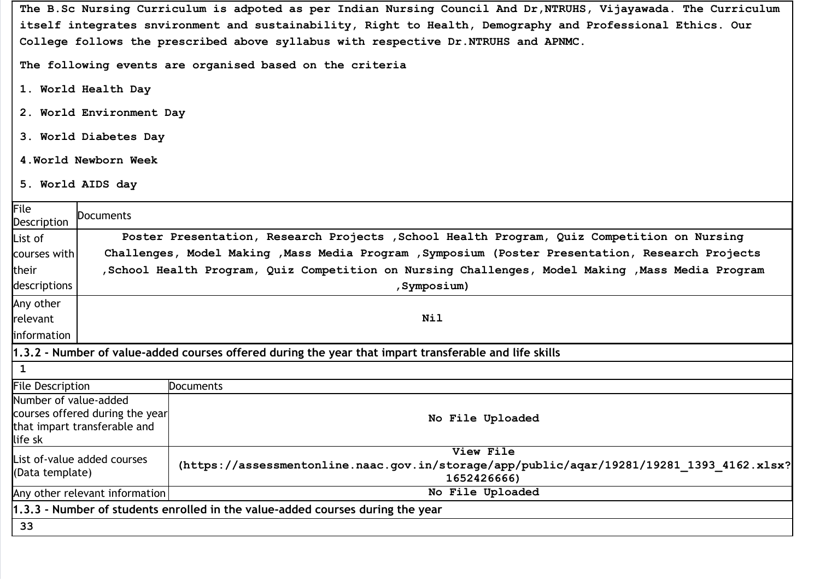The B.Sc Nursing Curriculum is adpoted as per Indian Nursing Council And Dr,NTRUHS, Vijayawada. The Curriculum itself integrates snvironment and sustainability, Right to Health, Demography and Professional Ethics. Our College follows the prescribed above syllabus with respective Dr.NTRUHS and APNMC.

The following events are organised based on the criteria

- 1. World Health Day
- 2. World Environment Day
- 3. World Diabetes Day
- 4.World Newborn Week
- 5. World AIDS day

| File<br>Description              | Documents                                                                                         |                                                                                                          |  |  |  |
|----------------------------------|---------------------------------------------------------------------------------------------------|----------------------------------------------------------------------------------------------------------|--|--|--|
| List of                          |                                                                                                   | Poster Presentation, Research Projects , School Health Program, Quiz Competition on Nursing              |  |  |  |
| courses with                     |                                                                                                   | Challenges, Model Making , Mass Media Program , Symposium (Poster Presentation, Research Projects        |  |  |  |
| their                            | School Health Program, Quiz Competition on Nursing Challenges, Model Making , Mass Media Program, |                                                                                                          |  |  |  |
| descriptions                     |                                                                                                   | , Symposium)                                                                                             |  |  |  |
| Any other                        |                                                                                                   |                                                                                                          |  |  |  |
| relevant                         | <b>Nil</b>                                                                                        |                                                                                                          |  |  |  |
| <b>l</b> information             |                                                                                                   |                                                                                                          |  |  |  |
|                                  |                                                                                                   | 1.3.2 - Number of value-added courses offered during the year that impart transferable and life skills   |  |  |  |
| 1                                |                                                                                                   |                                                                                                          |  |  |  |
| <b>File Description</b>          | <b>Documents</b>                                                                                  |                                                                                                          |  |  |  |
| Number of value-added<br>life sk | courses offered during the year<br>that impart transferable and                                   | No File Uploaded                                                                                         |  |  |  |
|                                  | View File<br>List of-value added courses                                                          |                                                                                                          |  |  |  |
| (Data template)                  |                                                                                                   | (https://assessmentonline.naac.gov.in/storage/app/public/aqar/19281/19281_1393_4162.xlsx?<br>1652426666) |  |  |  |
|                                  | No File Uploaded<br>Any other relevant information                                                |                                                                                                          |  |  |  |
|                                  | 1.3.3 - Number of students enrolled in the value-added courses during the year                    |                                                                                                          |  |  |  |
| 33                               |                                                                                                   |                                                                                                          |  |  |  |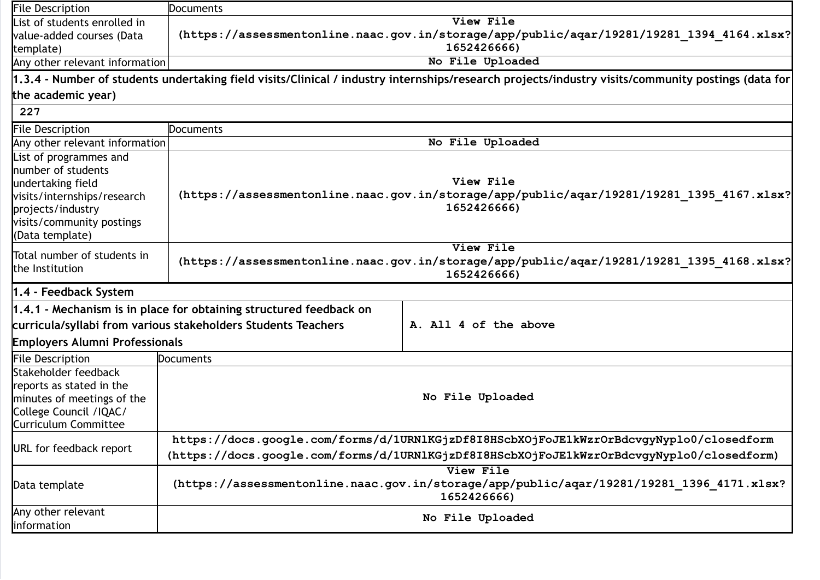| <b>File Description</b>                                                                                                                                               | <b>Documents</b>                                                                                                      |                                                                                                                                                    |  |  |
|-----------------------------------------------------------------------------------------------------------------------------------------------------------------------|-----------------------------------------------------------------------------------------------------------------------|----------------------------------------------------------------------------------------------------------------------------------------------------|--|--|
| List of students enrolled in                                                                                                                                          | View File                                                                                                             |                                                                                                                                                    |  |  |
| value-added courses (Data                                                                                                                                             | (https://assessmentonline.naac.gov.in/storage/app/public/aqar/19281/19281 1394 4164.xlsx?                             |                                                                                                                                                    |  |  |
| template)                                                                                                                                                             |                                                                                                                       | 1652426666)                                                                                                                                        |  |  |
|                                                                                                                                                                       | No File Uploaded<br>Any other relevant information                                                                    |                                                                                                                                                    |  |  |
|                                                                                                                                                                       |                                                                                                                       | 1.3.4 - Number of students undertaking field visits/Clinical / industry internships/research projects/industry visits/community postings (data for |  |  |
| the academic year)                                                                                                                                                    |                                                                                                                       |                                                                                                                                                    |  |  |
| 227                                                                                                                                                                   |                                                                                                                       |                                                                                                                                                    |  |  |
| File Description                                                                                                                                                      | Documents                                                                                                             |                                                                                                                                                    |  |  |
| Any other relevant information                                                                                                                                        |                                                                                                                       | No File Uploaded                                                                                                                                   |  |  |
| List of programmes and<br>number of students<br>undertaking field<br>visits/internships/research<br>projects/industry<br>visits/community postings<br>(Data template) |                                                                                                                       | View File<br>(https://assessmentonline.naac.gov.in/storage/app/public/aqar/19281/19281 1395 4167.xlsx?<br>1652426666)                              |  |  |
| Total number of students in<br>the Institution                                                                                                                        |                                                                                                                       | View File<br>(https://assessmentonline.naac.gov.in/storage/app/public/aqar/19281/19281_1395_4168.xlsx?<br>1652426666)                              |  |  |
| 1.4 - Feedback System                                                                                                                                                 |                                                                                                                       |                                                                                                                                                    |  |  |
|                                                                                                                                                                       | 1.4.1 - Mechanism is in place for obtaining structured feedback on                                                    |                                                                                                                                                    |  |  |
|                                                                                                                                                                       | curricula/syllabi from various stakeholders Students Teachers                                                         | A. All 4 of the above                                                                                                                              |  |  |
| <b>Employers Alumni Professionals</b>                                                                                                                                 |                                                                                                                       |                                                                                                                                                    |  |  |
| <b>File Description</b>                                                                                                                                               | Documents                                                                                                             |                                                                                                                                                    |  |  |
| Stakeholder feedback<br>reports as stated in the<br>minutes of meetings of the<br>College Council / IQAC/<br>Curriculum Committee                                     | No File Uploaded                                                                                                      |                                                                                                                                                    |  |  |
|                                                                                                                                                                       | https://docs.google.com/forms/d/1URNlKGjzDf8I8HScbXOjFoJE1kWzrOrBdcvgyNyplo0/closedform                               |                                                                                                                                                    |  |  |
| URL for feedback report                                                                                                                                               | (https://docs.google.com/forms/d/1URN1KGjzDf8I8HScbXOjFoJE1kWzrOrBdcvgyNyplo0/closedform)                             |                                                                                                                                                    |  |  |
| Data template                                                                                                                                                         | View File<br>(https://assessmentonline.naac.gov.in/storage/app/public/aqar/19281/19281 1396 4171.xlsx?<br>1652426666) |                                                                                                                                                    |  |  |
| Any other relevant<br>information                                                                                                                                     | No File Uploaded                                                                                                      |                                                                                                                                                    |  |  |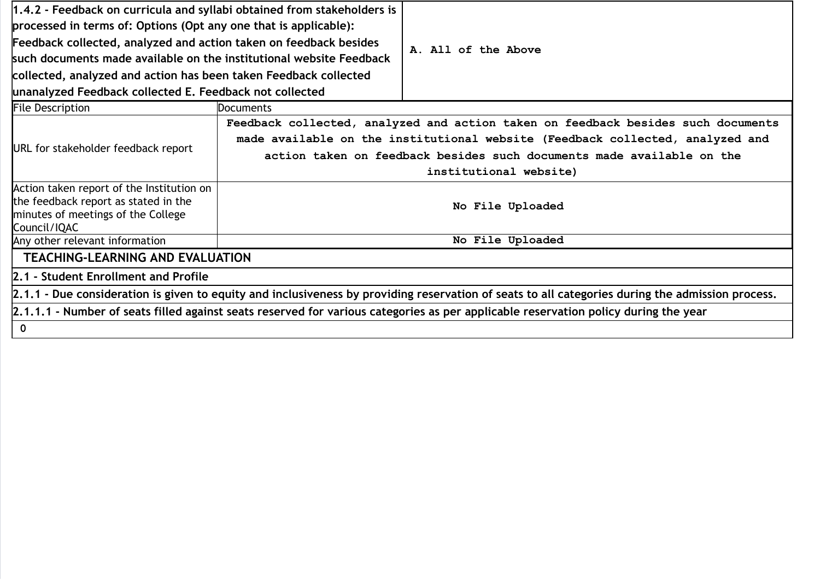| 1.4.2 - Feedback on curricula and syllabi obtained from stakeholders is<br>processed in terms of: Options (Opt any one that is applicable):<br>Feedback collected, analyzed and action taken on feedback besides<br>such documents made available on the institutional website Feedback<br>collected, analyzed and action has been taken Feedback collected |                                                                                                                                                                                                                                                                      | A. All of the Above |  |  |  |
|-------------------------------------------------------------------------------------------------------------------------------------------------------------------------------------------------------------------------------------------------------------------------------------------------------------------------------------------------------------|----------------------------------------------------------------------------------------------------------------------------------------------------------------------------------------------------------------------------------------------------------------------|---------------------|--|--|--|
| unanalyzed Feedback collected E. Feedback not collected                                                                                                                                                                                                                                                                                                     |                                                                                                                                                                                                                                                                      |                     |  |  |  |
| <b>File Description</b>                                                                                                                                                                                                                                                                                                                                     | <b>Documents</b>                                                                                                                                                                                                                                                     |                     |  |  |  |
| URL for stakeholder feedback report                                                                                                                                                                                                                                                                                                                         | Feedback collected, analyzed and action taken on feedback besides such documents<br>made available on the institutional website (Feedback collected, analyzed and<br>action taken on feedback besides such documents made available on the<br>institutional website) |                     |  |  |  |
| Action taken report of the Institution on<br>the feedback report as stated in the<br>minutes of meetings of the College<br>Council/IQAC                                                                                                                                                                                                                     | No File Uploaded                                                                                                                                                                                                                                                     |                     |  |  |  |
| Any other relevant information                                                                                                                                                                                                                                                                                                                              | No File Uploaded                                                                                                                                                                                                                                                     |                     |  |  |  |
| <b>TEACHING-LEARNING AND EVALUATION</b>                                                                                                                                                                                                                                                                                                                     |                                                                                                                                                                                                                                                                      |                     |  |  |  |
| 2.1 - Student Enrollment and Profile                                                                                                                                                                                                                                                                                                                        |                                                                                                                                                                                                                                                                      |                     |  |  |  |
| 2.1.1 - Due consideration is given to equity and inclusiveness by providing reservation of seats to all categories during the admission process.                                                                                                                                                                                                            |                                                                                                                                                                                                                                                                      |                     |  |  |  |
| 2.1.1.1 - Number of seats filled against seats reserved for various categories as per applicable reservation policy during the year                                                                                                                                                                                                                         |                                                                                                                                                                                                                                                                      |                     |  |  |  |
| $\mathbf 0$                                                                                                                                                                                                                                                                                                                                                 |                                                                                                                                                                                                                                                                      |                     |  |  |  |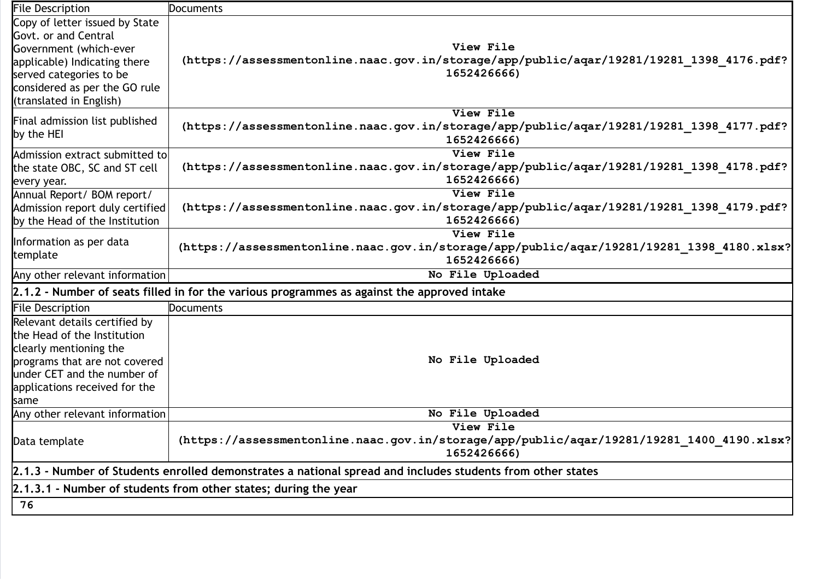| <b>File Description</b>                                                                                    | <b>Documents</b>                                                                            |  |
|------------------------------------------------------------------------------------------------------------|---------------------------------------------------------------------------------------------|--|
| Copy of letter issued by State                                                                             |                                                                                             |  |
| Govt. or and Central                                                                                       |                                                                                             |  |
| Government (which-ever                                                                                     | View File                                                                                   |  |
| applicable) Indicating there                                                                               | (https://assessmentonline.naac.gov.in/storage/app/public/aqar/19281/19281 1398 4176.pdf?    |  |
| served categories to be                                                                                    | 1652426666)                                                                                 |  |
| considered as per the GO rule                                                                              |                                                                                             |  |
| (translated in English)                                                                                    |                                                                                             |  |
| Final admission list published                                                                             | View File                                                                                   |  |
| by the HEI                                                                                                 | (https://assessmentonline.naac.gov.in/storage/app/public/aqar/19281/19281_1398_4177.pdf?    |  |
|                                                                                                            | 1652426666)                                                                                 |  |
| Admission extract submitted to                                                                             | View File                                                                                   |  |
| the state OBC, SC and ST cell                                                                              | (https://assessmentonline.naac.gov.in/storage/app/public/aqar/19281/19281 1398 4178.pdf?    |  |
| every year.                                                                                                | 1652426666)                                                                                 |  |
| Annual Report/ BOM report/                                                                                 | View File                                                                                   |  |
| Admission report duly certified                                                                            | (https://assessmentonline.naac.gov.in/storage/app/public/aqar/19281/19281 1398 4179.pdf?    |  |
| by the Head of the Institution                                                                             | 1652426666)                                                                                 |  |
|                                                                                                            | View File                                                                                   |  |
| Information as per data<br>template                                                                        | (https://assessmentonline.naac.gov.in/storage/app/public/aqar/19281/19281 1398 4180.xlsx?   |  |
|                                                                                                            | 1652426666)                                                                                 |  |
| Any other relevant information                                                                             | No File Uploaded                                                                            |  |
|                                                                                                            | 2.1.2 - Number of seats filled in for the various programmes as against the approved intake |  |
| <b>File Description</b>                                                                                    | <b>Documents</b>                                                                            |  |
| Relevant details certified by                                                                              |                                                                                             |  |
| the Head of the Institution                                                                                |                                                                                             |  |
| clearly mentioning the                                                                                     |                                                                                             |  |
| programs that are not covered                                                                              | No File Uploaded                                                                            |  |
| under CET and the number of                                                                                |                                                                                             |  |
| applications received for the                                                                              |                                                                                             |  |
| same                                                                                                       |                                                                                             |  |
| Any other relevant information                                                                             | No File Uploaded                                                                            |  |
|                                                                                                            | View File                                                                                   |  |
| Data template                                                                                              | (https://assessmentonline.naac.gov.in/storage/app/public/aqar/19281/19281_1400_4190.xlsx?   |  |
|                                                                                                            | 1652426666)                                                                                 |  |
| 2.1.3 - Number of Students enrolled demonstrates a national spread and includes students from other states |                                                                                             |  |
|                                                                                                            | 2.1.3.1 - Number of students from other states; during the year                             |  |
| 76                                                                                                         |                                                                                             |  |
|                                                                                                            |                                                                                             |  |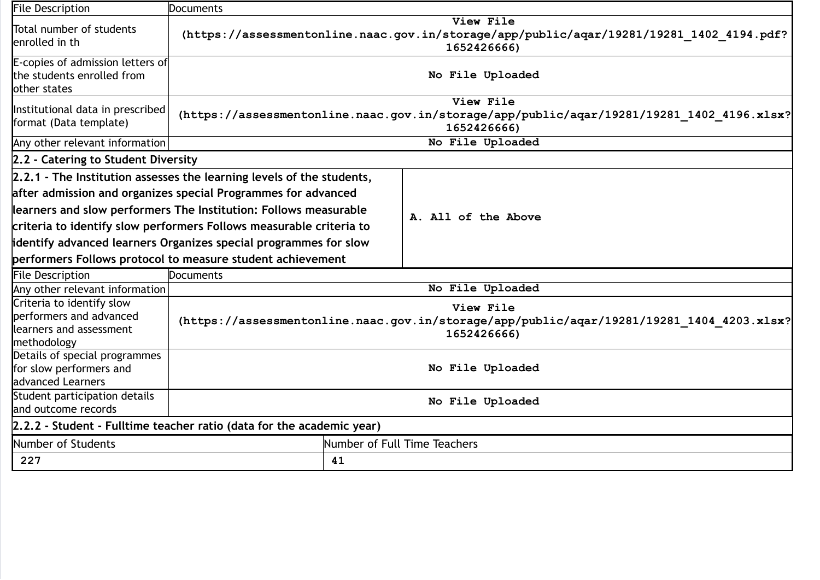| <b>File Description</b>                                                                                                          | Documents                                                                                                                                                                                                                                                                                                                                                |  |                                                                                                                       |
|----------------------------------------------------------------------------------------------------------------------------------|----------------------------------------------------------------------------------------------------------------------------------------------------------------------------------------------------------------------------------------------------------------------------------------------------------------------------------------------------------|--|-----------------------------------------------------------------------------------------------------------------------|
| Total number of students<br>enrolled in th                                                                                       | View File<br>(https://assessmentonline.naac.gov.in/storage/app/public/aqar/19281/19281 1402 4194.pdf?<br>1652426666)                                                                                                                                                                                                                                     |  |                                                                                                                       |
| E-copies of admission letters of<br>the students enrolled from<br>other states                                                   | No File Uploaded                                                                                                                                                                                                                                                                                                                                         |  |                                                                                                                       |
| Institutional data in prescribed<br>format (Data template)                                                                       |                                                                                                                                                                                                                                                                                                                                                          |  | View File<br>(https://assessmentonline.naac.gov.in/storage/app/public/aqar/19281/19281_1402_4196.xlsx?<br>1652426666) |
| Any other relevant information                                                                                                   |                                                                                                                                                                                                                                                                                                                                                          |  | No File Uploaded                                                                                                      |
| 2.2 - Catering to Student Diversity                                                                                              |                                                                                                                                                                                                                                                                                                                                                          |  |                                                                                                                       |
|                                                                                                                                  | $[2.2.1$ - The Institution assesses the learning levels of the students,<br>after admission and organizes special Programmes for advanced<br>learners and slow performers The Institution: Follows measurable<br>criteria to identify slow performers Follows measurable criteria to<br>identify advanced learners Organizes special programmes for slow |  | A. All of the Above                                                                                                   |
|                                                                                                                                  | performers Follows protocol to measure student achievement                                                                                                                                                                                                                                                                                               |  |                                                                                                                       |
| <b>File Description</b>                                                                                                          | Documents                                                                                                                                                                                                                                                                                                                                                |  |                                                                                                                       |
| Any other relevant information<br>Criteria to identify slow<br>performers and advanced<br>learners and assessment<br>methodology | No File Uploaded<br>View File<br>(https://assessmentonline.naac.gov.in/storage/app/public/aqar/19281/19281 1404 4203.xlsx?<br>1652426666)                                                                                                                                                                                                                |  |                                                                                                                       |
| Details of special programmes<br>for slow performers and<br>advanced Learners                                                    | No File Uploaded                                                                                                                                                                                                                                                                                                                                         |  |                                                                                                                       |
| Student participation details<br>and outcome records                                                                             | No File Uploaded                                                                                                                                                                                                                                                                                                                                         |  |                                                                                                                       |
|                                                                                                                                  | 2.2.2 - Student - Fulltime teacher ratio (data for the academic year)                                                                                                                                                                                                                                                                                    |  |                                                                                                                       |
| Number of Students                                                                                                               | Number of Full Time Teachers                                                                                                                                                                                                                                                                                                                             |  |                                                                                                                       |
| 227                                                                                                                              | 41                                                                                                                                                                                                                                                                                                                                                       |  |                                                                                                                       |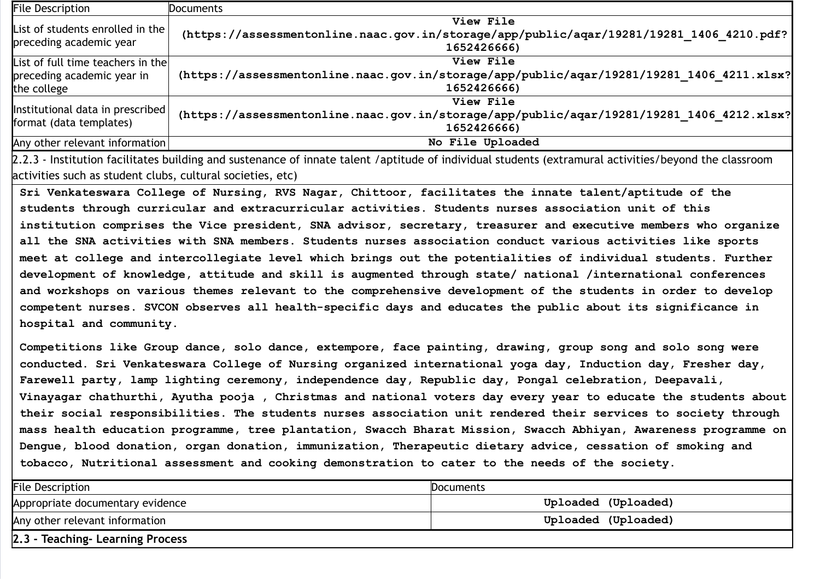| <b>File Description</b>                                                        | Documents                                                                                                             |
|--------------------------------------------------------------------------------|-----------------------------------------------------------------------------------------------------------------------|
| List of students enrolled in the<br>preceding academic year                    | View File<br>(https://assessmentonline.naac.gov.in/storage/app/public/aqar/19281/19281 1406 4210.pdf?<br>1652426666)  |
| List of full time teachers in the<br>preceding academic year in<br>the college | View File<br>(https://assessmentonline.naac.gov.in/storage/app/public/aqar/19281/19281 1406 4211.xlsx?<br>1652426666) |
| Institutional data in prescribed<br>format (data templates)                    | View File<br>(https://assessmentonline.naac.gov.in/storage/app/public/aqar/19281/19281 1406 4212.xlsx?<br>1652426666) |
| Any other relevant information                                                 | No File Uploaded                                                                                                      |

2.2.3 - Institution facilitates building and sustenance of innate talent /aptitude of individual students (extramural activities/beyond the classroom activities such as student clubs, cultural societies, etc)

Sri Venkateswara College of Nursing, RVS Nagar, Chittoor, facilitates the innate talent/aptitude of the students through curricular and extracurricular activities. Students nurses association unit of this institution comprises the Vice president, SNA advisor, secretary, treasurer and executive members who organize all the SNA activities with SNA members. Students nurses association conduct various activities like sports meet at college and intercollegiate level which brings out the potentialities of individual students. Further development of knowledge, attitude and skill is augmented through state/ national /international conferences and workshops on various themes relevant to the comprehensive development of the students in order to develop competent nurses. SVCON observes all health-specific days and educates the public about its significance in hospital and community.

Competitions like Group dance, solo dance, extempore, face painting, drawing, group song and solo song were conducted. Sri Venkateswara College of Nursing organized international yoga day, Induction day, Fresher day, Farewell party, lamp lighting ceremony, independence day, Republic day, Pongal celebration, Deepavali, Vinayagar chathurthi, Ayutha pooja , Christmas and national voters day every year to educate the students about their social responsibilities. The students nurses association unit rendered their services to society through mass health education programme, tree plantation, Swacch Bharat Mission, Swacch Abhiyan, Awareness programme on Dengue, blood donation, organ donation, immunization, Therapeutic dietary advice, cessation of smoking and tobacco, Nutritional assessment and cooking demonstration to cater to the needs of the society.

| <b>File Description</b>          | Documents           |
|----------------------------------|---------------------|
| Appropriate documentary evidence | Uploaded (Uploaded) |
| Any other relevant information   | Uploaded (Uploaded) |
| 2.3 - Teaching- Learning Process |                     |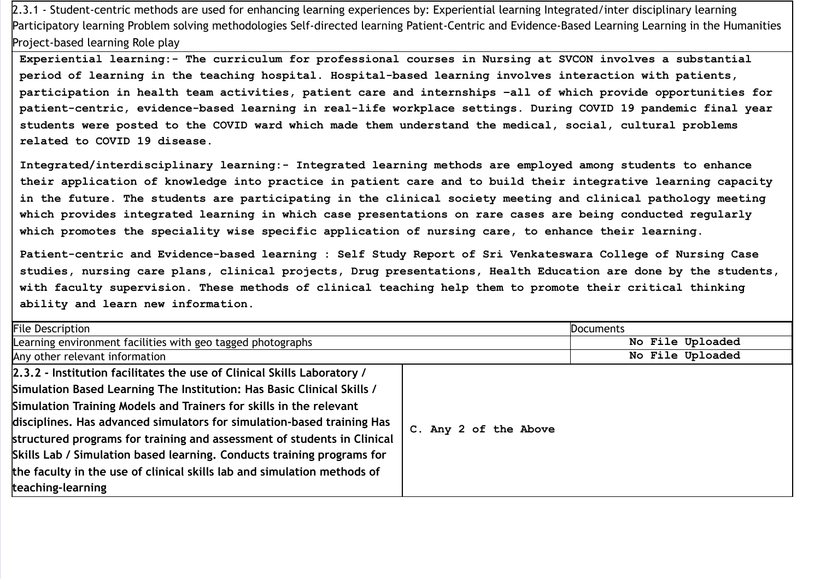2.3.1 - Student-centric methods are used for enhancing learning experiences by: Experiential learning Integrated/inter disciplinary learning Participatory learning Problem solving methodologies Self-directed learning Patient-Centric and Evidence-Based Learning Learning in the Humanities Project-based learning Role play

Experiential learning:- The curriculum for professional courses in Nursing at SVCON involves a substantial period of learning in the teaching hospital. Hospital-based learning involves interaction with patients, participation in health team activities, patient care and internships –all of which provide opportunities for patient-centric, evidence-based learning in real-life workplace settings. During COVID 19 pandemic final year students were posted to the COVID ward which made them understand the medical, social, cultural problems related to COVID 19 disease.

Integrated/interdisciplinary learning:- Integrated learning methods are employed among students to enhance their application of knowledge into practice in patient care and to build their integrative learning capacity in the future. The students are participating in the clinical society meeting and clinical pathology meeting which provides integrated learning in which case presentations on rare cases are being conducted regularly which promotes the speciality wise specific application of nursing care, to enhance their learning.

Patient-centric and Evidence-based learning : Self Study Report of Sri Venkateswara College of Nursing Case studies, nursing care plans, clinical projects, Drug presentations, Health Education are done by the students, with faculty supervision. These methods of clinical teaching help them to promote their critical thinking ability and learn new information.

| <b>File Description</b>                                                                                                                                                                                                                                                                                                                                                                                                                                                                                                                                |                       | Documents        |
|--------------------------------------------------------------------------------------------------------------------------------------------------------------------------------------------------------------------------------------------------------------------------------------------------------------------------------------------------------------------------------------------------------------------------------------------------------------------------------------------------------------------------------------------------------|-----------------------|------------------|
| Learning environment facilities with geo tagged photographs                                                                                                                                                                                                                                                                                                                                                                                                                                                                                            |                       | No File Uploaded |
| Any other relevant information                                                                                                                                                                                                                                                                                                                                                                                                                                                                                                                         |                       | No File Uploaded |
| 2.3.2 - Institution facilitates the use of Clinical Skills Laboratory /<br>Simulation Based Learning The Institution: Has Basic Clinical Skills /<br>Simulation Training Models and Trainers for skills in the relevant<br>disciplines. Has advanced simulators for simulation-based training Has<br>structured programs for training and assessment of students in Clinical<br>Skills Lab / Simulation based learning. Conducts training programs for<br>the faculty in the use of clinical skills lab and simulation methods of<br>teaching-learning | C. Any 2 of the Above |                  |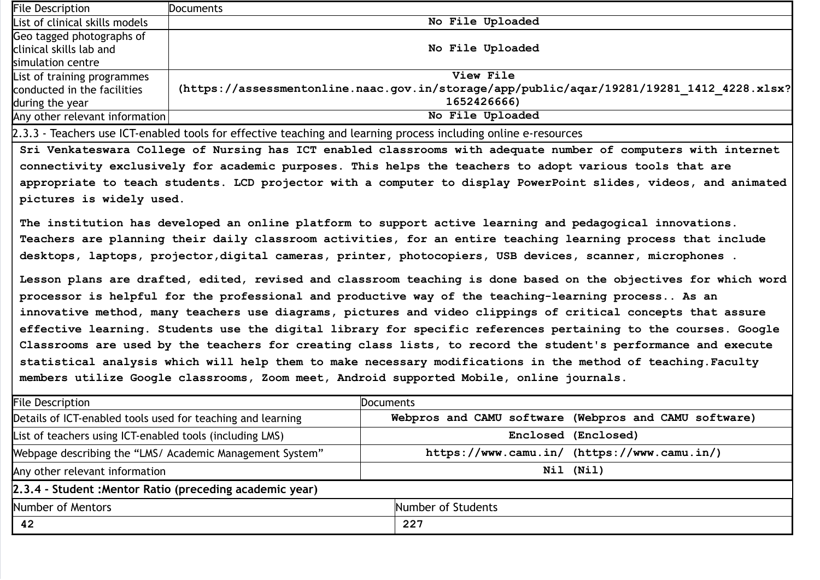| <b>File Description</b>        | <b>Documents</b>                                                                          |
|--------------------------------|-------------------------------------------------------------------------------------------|
| List of clinical skills models | No File Uploaded                                                                          |
| Geo tagged photographs of      |                                                                                           |
| clinical skills lab and        | No File Uploaded                                                                          |
| simulation centre              |                                                                                           |
| List of training programmes    | View File                                                                                 |
| conducted in the facilities    | (https://assessmentonline.naac.gov.in/storage/app/public/aqar/19281/19281 1412 4228.xlsx? |
| during the year                | 1652426666)                                                                               |
| Any other relevant information | No File Uploaded                                                                          |

2.3.3 - Teachers use ICT-enabled tools for effective teaching and learning process including online e-resources

Sri Venkateswara College of Nursing has ICT enabled classrooms with adequate number of computers with internet connectivity exclusively for academic purposes. This helps the teachers to adopt various tools that are appropriate to teach students. LCD projector with a computer to display PowerPoint slides, videos, and animated pictures is widely used.

The institution has developed an online platform to support active learning and pedagogical innovations. Teachers are planning their daily classroom activities, for an entire teaching learning process that include desktops, laptops, projector,digital cameras, printer, photocopiers, USB devices, scanner, microphones .

Lesson plans are drafted, edited, revised and classroom teaching is done based on the objectives for which word processor is helpful for the professional and productive way of the teaching-learning process.. As an innovative method, many teachers use diagrams, pictures and video clippings of critical concepts that assure effective learning. Students use the digital library for specific references pertaining to the courses. Google Classrooms are used by the teachers for creating class lists, to record the student's performance and execute statistical analysis which will help them to make necessary modifications in the method of teaching.Faculty members utilize Google classrooms, Zoom meet, Android supported Mobile, online journals.

| <b>File Description</b>                                     | <b>Documents</b>                                      |  |
|-------------------------------------------------------------|-------------------------------------------------------|--|
| Details of ICT-enabled tools used for teaching and learning | Webpros and CAMU software (Webpros and CAMU software) |  |
| List of teachers using ICT-enabled tools (including LMS)    | Enclosed (Enclosed)                                   |  |
| Webpage describing the "LMS/ Academic Management System"    | https://www.camu.in/ (https://www.camu.in/)           |  |
| Any other relevant information                              | Nil (Nil)                                             |  |
| 2.3.4 - Student : Mentor Ratio (preceding academic year)    |                                                       |  |
| Number of Mentors                                           | Number of Students                                    |  |
| 42                                                          | 227                                                   |  |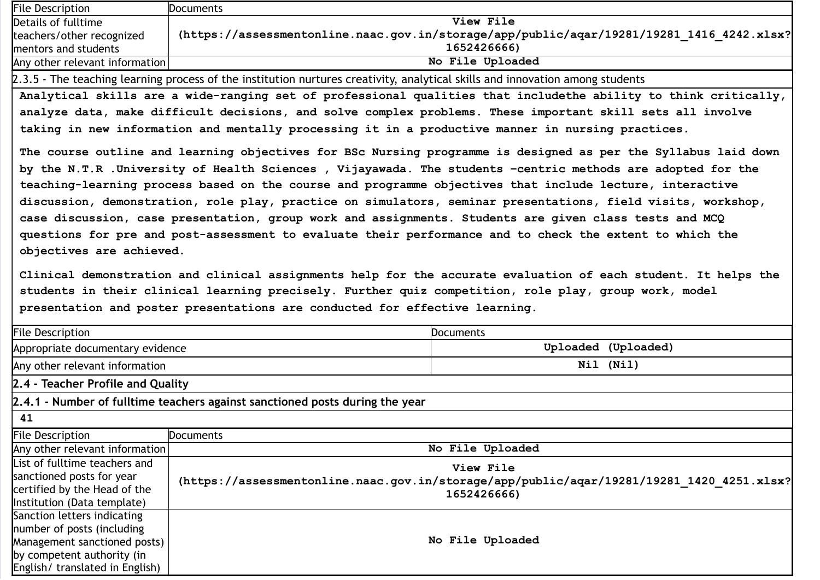| <b>File Description</b>        | Documents                                                                                 |
|--------------------------------|-------------------------------------------------------------------------------------------|
| Details of fulltime            | <b>View File</b>                                                                          |
| teachers/other recognized      | (https://assessmentonline.naac.gov.in/storage/app/public/aqar/19281/19281 1416 4242.xlsx? |
| mentors and students           | 1652426666)                                                                               |
| Any other relevant information | No File Uploaded                                                                          |

2.3.5 - The teaching learning process of the institution nurtures creativity, analytical skills and innovation among students

Analytical skills are a wide-ranging set of professional qualities that includethe ability to think critically, analyze data, make difficult decisions, and solve complex problems. These important skill sets all involve taking in new information and mentally processing it in a productive manner in nursing practices.

The course outline and learning objectives for BSc Nursing programme is designed as per the Syllabus laid down by the N.T.R .University of Health Sciences , Vijayawada. The students –centric methods are adopted for the teaching-learning process based on the course and programme objectives that include lecture, interactive discussion, demonstration, role play, practice on simulators, seminar presentations, field visits, workshop, case discussion, case presentation, group work and assignments. Students are given class tests and MCQ questions for pre and post-assessment to evaluate their performance and to check the extent to which the objectives are achieved.

Clinical demonstration and clinical assignments help for the accurate evaluation of each student. It helps the students in their clinical learning precisely. Further quiz competition, role play, group work, model presentation and poster presentations are conducted for effective learning.

| <b>File Description</b>           |                                                                              | <b>Documents</b>                                                                          |  |
|-----------------------------------|------------------------------------------------------------------------------|-------------------------------------------------------------------------------------------|--|
| Appropriate documentary evidence  |                                                                              | Uploaded (Uploaded)                                                                       |  |
| Any other relevant information    |                                                                              | Nil (Nil)                                                                                 |  |
| 2.4 - Teacher Profile and Quality |                                                                              |                                                                                           |  |
|                                   | 2.4.1 - Number of fulltime teachers against sanctioned posts during the year |                                                                                           |  |
| 41                                |                                                                              |                                                                                           |  |
| <b>File Description</b>           | Documents                                                                    |                                                                                           |  |
| Any other relevant information    | No File Uploaded                                                             |                                                                                           |  |
| List of fulltime teachers and     |                                                                              | View File                                                                                 |  |
| sanctioned posts for year         |                                                                              | (https://assessmentonline.naac.gov.in/storage/app/public/aqar/19281/19281 1420 4251.xlsx? |  |
| certified by the Head of the      |                                                                              | 1652426666)                                                                               |  |
| Institution (Data template)       |                                                                              |                                                                                           |  |
| Sanction letters indicating       |                                                                              |                                                                                           |  |
| number of posts (including        | No File Uploaded                                                             |                                                                                           |  |
| Management sanctioned posts)      |                                                                              |                                                                                           |  |
| by competent authority (in        |                                                                              |                                                                                           |  |
| English/ translated in English)   |                                                                              |                                                                                           |  |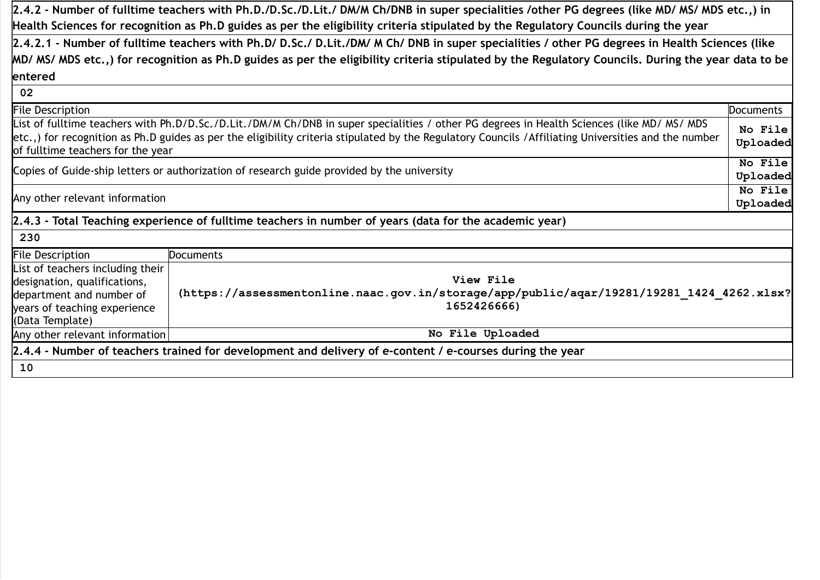2.4.2 - Number of fulltime teachers with Ph.D./D.Sc./D.Lit./ DM/M Ch/DNB in super specialities /other PG degrees (like MD/ MS/ MDS etc.,) in Health Sciences for recognition as Ph.D guides as per the eligibility criteria stipulated by the Regulatory Councils during the year

2.4.2.1 - Number of fulltime teachers with Ph.D/ D.Sc./ D.Lit./DM/ M Ch/ DNB in super specialities / other PG degrees in Health Sciences (like MD/ MS/ MDS etc.,) for recognition as Ph.D guides as per the eligibility criteria stipulated by the Regulatory Councils. During the year data to be entered

| 02                                                                                                       |                                                                                                                                                                                                                                                                                                    |                     |
|----------------------------------------------------------------------------------------------------------|----------------------------------------------------------------------------------------------------------------------------------------------------------------------------------------------------------------------------------------------------------------------------------------------------|---------------------|
| <b>File Description</b><br>Documents                                                                     |                                                                                                                                                                                                                                                                                                    |                     |
| of fulltime teachers for the year                                                                        | List of fulltime teachers with Ph.D/D.Sc./D.Lit./DM/M Ch/DNB in super specialities / other PG degrees in Health Sciences (like MD/ MS/ MDS<br>etc.,) for recognition as Ph.D guides as per the eligibility criteria stipulated by the Regulatory Councils /Affiliating Universities and the number | No File<br>Uploaded |
|                                                                                                          | Copies of Guide-ship letters or authorization of research guide provided by the university                                                                                                                                                                                                         | No File             |
|                                                                                                          |                                                                                                                                                                                                                                                                                                    | Uploaded<br>No File |
| Any other relevant information                                                                           |                                                                                                                                                                                                                                                                                                    |                     |
|                                                                                                          |                                                                                                                                                                                                                                                                                                    | Uploaded            |
|                                                                                                          | [2.4.3 - Total Teaching experience of fulltime teachers in number of years (data for the academic year)                                                                                                                                                                                            |                     |
| 230                                                                                                      |                                                                                                                                                                                                                                                                                                    |                     |
| <b>File Description</b>                                                                                  | <b>Documents</b>                                                                                                                                                                                                                                                                                   |                     |
| List of teachers including their<br>designation, qualifications,                                         | View File                                                                                                                                                                                                                                                                                          |                     |
| department and number of<br>years of teaching experience<br>(Data Template)                              | (https://assessmentonline.naac.gov.in/storage/app/public/aqar/19281/19281 1424 4262.xlsx?<br>1652426666)                                                                                                                                                                                           |                     |
| Any other relevant information                                                                           | No File Uploaded                                                                                                                                                                                                                                                                                   |                     |
| 2.4.4 - Number of teachers trained for development and delivery of e-content / e-courses during the year |                                                                                                                                                                                                                                                                                                    |                     |
| 10                                                                                                       |                                                                                                                                                                                                                                                                                                    |                     |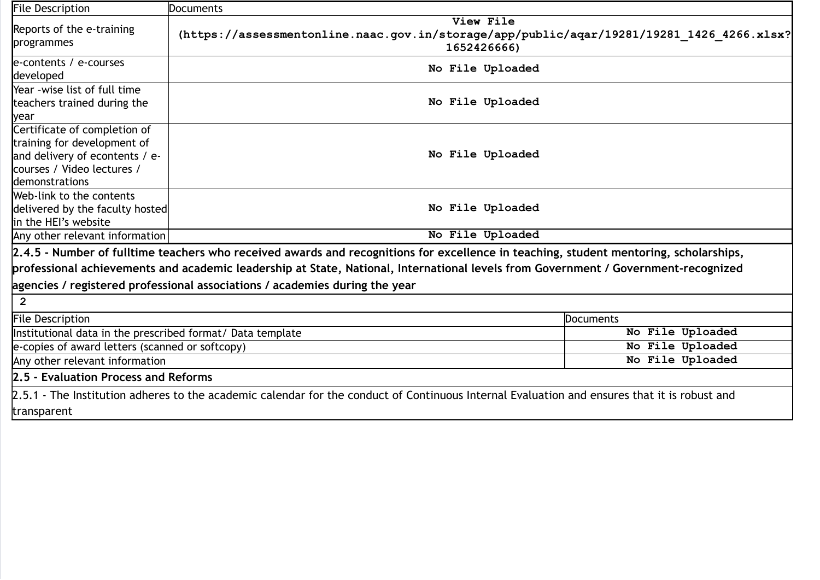| <b>File Description</b>                                                                                                                       | Documents                                                                                                                                                                                                                                                                                                                                                  |                  |
|-----------------------------------------------------------------------------------------------------------------------------------------------|------------------------------------------------------------------------------------------------------------------------------------------------------------------------------------------------------------------------------------------------------------------------------------------------------------------------------------------------------------|------------------|
| Reports of the e-training<br>programmes                                                                                                       | View File<br>(https://assessmentonline.naac.gov.in/storage/app/public/aqar/19281/19281 1426 4266.xlsx?<br>1652426666)                                                                                                                                                                                                                                      |                  |
| e-contents / e-courses<br>developed                                                                                                           | No File Uploaded                                                                                                                                                                                                                                                                                                                                           |                  |
| Year -wise list of full time<br>teachers trained during the<br>year                                                                           | No File Uploaded                                                                                                                                                                                                                                                                                                                                           |                  |
| Certificate of completion of<br>training for development of<br>and delivery of econtents / e-<br>courses / Video lectures /<br>demonstrations | No File Uploaded                                                                                                                                                                                                                                                                                                                                           |                  |
| Web-link to the contents<br>delivered by the faculty hosted<br>in the HEI's website                                                           | No File Uploaded                                                                                                                                                                                                                                                                                                                                           |                  |
| Any other relevant information                                                                                                                | No File Uploaded                                                                                                                                                                                                                                                                                                                                           |                  |
| $\overline{2}$                                                                                                                                | 2.4.5 - Number of fulltime teachers who received awards and recognitions for excellence in teaching, student mentoring, scholarships,<br>professional achievements and academic leadership at State, National, International levels from Government / Government-recognized<br>agencies / registered professional associations / academies during the year |                  |
| <b>File Description</b>                                                                                                                       |                                                                                                                                                                                                                                                                                                                                                            | Documents        |
| Institutional data in the prescribed format/ Data template                                                                                    |                                                                                                                                                                                                                                                                                                                                                            | No File Uploaded |
| e-copies of award letters (scanned or softcopy)                                                                                               |                                                                                                                                                                                                                                                                                                                                                            | No File Uploaded |
| Any other relevant information                                                                                                                |                                                                                                                                                                                                                                                                                                                                                            | No File Uploaded |
| 2.5 - Evaluation Process and Reforms                                                                                                          |                                                                                                                                                                                                                                                                                                                                                            |                  |
|                                                                                                                                               | 2.5.1 - The Institution adheres to the academic calendar for the conduct of Continuous Internal Evaluation and ensures that it is robust and                                                                                                                                                                                                               |                  |
| transparent                                                                                                                                   |                                                                                                                                                                                                                                                                                                                                                            |                  |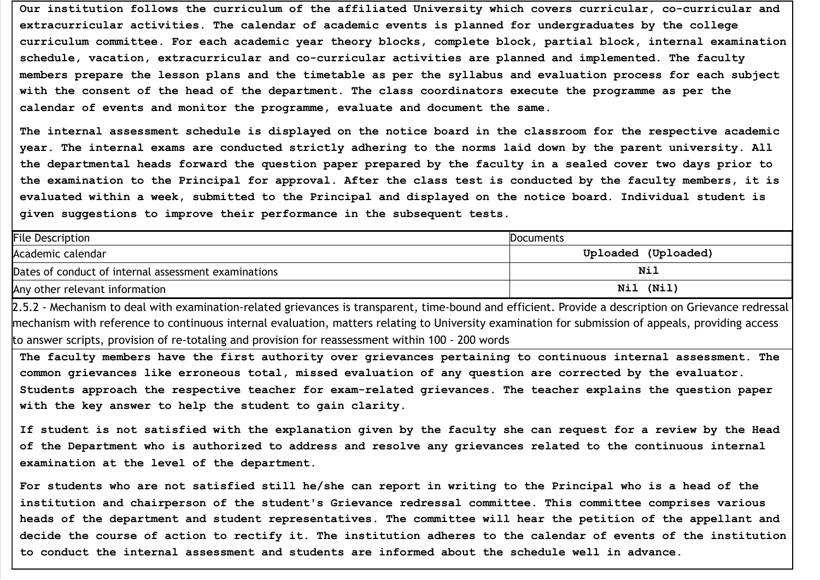Our institution follows the curriculum of the affiliated University which covers curricular, co-curricular and extracurricular activities. The calendar of academic events is planned for undergraduates by the college curriculum committee. For each academic year theory blocks, complete block, partial block, internal examination schedule, vacation, extracurricular and co-curricular activities are planned and implemented. The faculty members prepare the lesson plans and the timetable as per the syllabus and evaluation process for each subject with the consent of the head of the department. The class coordinators execute the programme as per the calendar of events and monitor the programme, evaluate and document the same.

The internal assessment schedule is displayed on the notice board in the classroom for the respective academic year. The internal exams are conducted strictly adhering to the norms laid down by the parent university. All the departmental heads forward the question paper prepared by the faculty in a sealed cover two days prior to the examination to the Principal for approval. After the class test is conducted by the faculty members, it is evaluated within a week, submitted to the Principal and displayed on the notice board. Individual student is given suggestions to improve their performance in the subsequent tests.

| <b>File Description</b>                              | <b>Documents</b>    |
|------------------------------------------------------|---------------------|
| Academic calendar                                    | Uploaded (Uploaded) |
| Dates of conduct of internal assessment examinations | Nil                 |
| Any other relevant information                       | (Nil)<br>Nil        |

2.5.2 - Mechanism to deal with examination-related grievances is transparent, time-bound and efficient. Provide a description on Grievance redressal mechanism with reference to continuous internal evaluation, matters relating to University examination for submission of appeals, providing access to answer scripts, provision of re-totaling and provision for reassessment within 100 - 200 words

The faculty members have the first authority over grievances pertaining to continuous internal assessment. The common grievances like erroneous total, missed evaluation of any question are corrected by the evaluator. Students approach the respective teacher for exam-related grievances. The teacher explains the question paper with the key answer to help the student to gain clarity.

If student is not satisfied with the explanation given by the faculty she can request for a review by the Head of the Department who is authorized to address and resolve any grievances related to the continuous internal examination at the level of the department.

For students who are not satisfied still he/she can report in writing to the Principal who is a head of the institution and chairperson of the student's Grievance redressal committee. This committee comprises various heads of the department and student representatives. The committee will hear the petition of the appellant and decide the course of action to rectify it. The institution adheres to the calendar of events of the institution to conduct the internal assessment and students are informed about the schedule well in advance.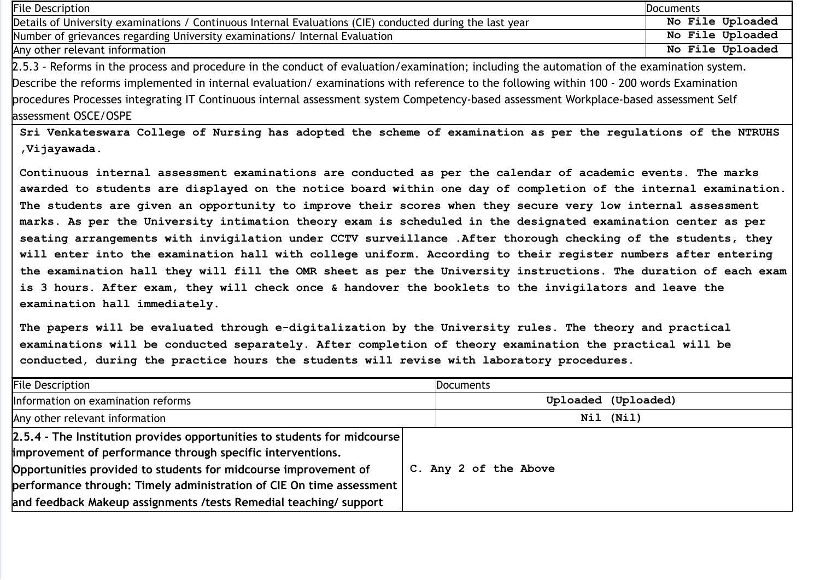| <b>File Description</b>                                                                                                                                                                                                                                                                                                                                                                                                        | Documents        |  |
|--------------------------------------------------------------------------------------------------------------------------------------------------------------------------------------------------------------------------------------------------------------------------------------------------------------------------------------------------------------------------------------------------------------------------------|------------------|--|
| Details of University examinations / Continuous Internal Evaluations (CIE) conducted during the last year                                                                                                                                                                                                                                                                                                                      | No File Uploaded |  |
| Number of grievances regarding University examinations/ Internal Evaluation                                                                                                                                                                                                                                                                                                                                                    | No File Uploaded |  |
| Any other relevant information                                                                                                                                                                                                                                                                                                                                                                                                 | No File Uploaded |  |
| 2.5.3 - Reforms in the process and procedure in the conduct of evaluation/examination; including the automation of the examination system.<br>Describe the reforms implemented in internal evaluation/examinations with reference to the following within 100 - 200 words Examination<br>procedures Processes integrating IT Continuous internal assessment system Competency-based assessment Workplace-based assessment Self |                  |  |
| assessment OSCE/OSPE                                                                                                                                                                                                                                                                                                                                                                                                           |                  |  |
| Sri Venkateswara College of Nursing has adopted the scheme of examination as per the regulations of the NTRUHS<br>, Vijayawada.                                                                                                                                                                                                                                                                                                |                  |  |
| Continuous internal assessment examinations are conducted as per the calendar of academic events. The marks                                                                                                                                                                                                                                                                                                                    |                  |  |

awarded to students are displayed on the notice board within one day of completion of the internal examination. The students are given an opportunity to improve their scores when they secure very low internal assessment marks. As per the University intimation theory exam is scheduled in the designated examination center as per seating arrangements with invigilation under CCTV surveillance .After thorough checking of the students, they will enter into the examination hall with college uniform. According to their register numbers after entering the examination hall they will fill the OMR sheet as per the University instructions. The duration of each exam is 3 hours. After exam, they will check once & handover the booklets to the invigilators and leave the examination hall immediately.

The papers will be evaluated through e-digitalization by the University rules. The theory and practical examinations will be conducted separately. After completion of theory examination the practical will be conducted, during the practice hours the students will revise with laboratory procedures.

| <b>File Description</b>                                                                 | <b>Documents</b>      |  |
|-----------------------------------------------------------------------------------------|-----------------------|--|
| Information on examination reforms                                                      | Uploaded (Uploaded)   |  |
| Any other relevant information                                                          | Nil (Nil)             |  |
| $\left 2.5.4\right $ - The Institution provides opportunities to students for midcourse |                       |  |
| improvement of performance through specific interventions.                              | C. Any 2 of the Above |  |
| Opportunities provided to students for midcourse improvement of                         |                       |  |
| performance through: Timely administration of CIE On time assessment                    |                       |  |
| and feedback Makeup assignments / tests Remedial teaching/ support                      |                       |  |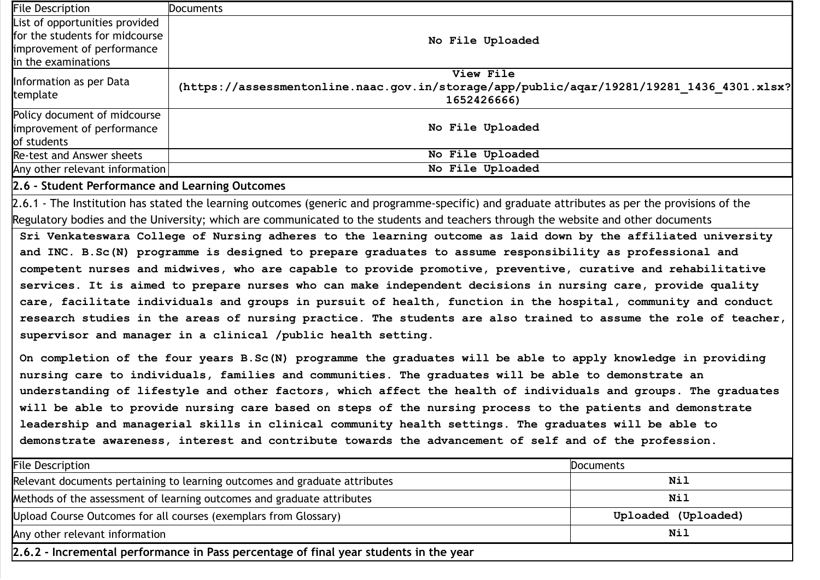| <b>File Description</b>                                                   | Documents                                                                                                             |
|---------------------------------------------------------------------------|-----------------------------------------------------------------------------------------------------------------------|
| List of opportunities provided                                            |                                                                                                                       |
| for the students for midcourse                                            | No File Uploaded                                                                                                      |
| improvement of performance                                                |                                                                                                                       |
| in the examinations                                                       |                                                                                                                       |
| Information as per Data<br>template                                       | View File<br>(https://assessmentonline.naac.gov.in/storage/app/public/aqar/19281/19281 1436 4301.xlsx?<br>1652426666) |
| Policy document of midcourse<br>improvement of performance<br>of students | No File Uploaded                                                                                                      |
| Re-test and Answer sheets                                                 | No File Uploaded                                                                                                      |
| Any other relevant information                                            | No File Uploaded                                                                                                      |

# 2.6 - Student Performance and Learning Outcomes

2.6.1 - The Institution has stated the learning outcomes (generic and programme-specific) and graduate attributes as per the provisions of the Regulatory bodies and the University; which are communicated to the students and teachers through the website and other documents

Sri Venkateswara College of Nursing adheres to the learning outcome as laid down by the affiliated university and INC. B.Sc(N) programme is designed to prepare graduates to assume responsibility as professional and competent nurses and midwives, who are capable to provide promotive, preventive, curative and rehabilitative services. It is aimed to prepare nurses who can make independent decisions in nursing care, provide quality care, facilitate individuals and groups in pursuit of health, function in the hospital, community and conduct research studies in the areas of nursing practice. The students are also trained to assume the role of teacher, supervisor and manager in a clinical /public health setting.

On completion of the four years B.Sc(N) programme the graduates will be able to apply knowledge in providing nursing care to individuals, families and communities. The graduates will be able to demonstrate an understanding of lifestyle and other factors, which affect the health of individuals and groups. The graduates will be able to provide nursing care based on steps of the nursing process to the patients and demonstrate leadership and managerial skills in clinical community health settings. The graduates will be able to demonstrate awareness, interest and contribute towards the advancement of self and of the profession.

| <b>File Description</b>                                                               | <b>Documents</b>    |  |
|---------------------------------------------------------------------------------------|---------------------|--|
| Relevant documents pertaining to learning outcomes and graduate attributes            | Nil                 |  |
| Methods of the assessment of learning outcomes and graduate attributes                | Nil                 |  |
| Upload Course Outcomes for all courses (exemplars from Glossary)                      | Uploaded (Uploaded) |  |
| Nil<br>Any other relevant information                                                 |                     |  |
| 2.6.2 - Incremental performance in Pass percentage of final year students in the year |                     |  |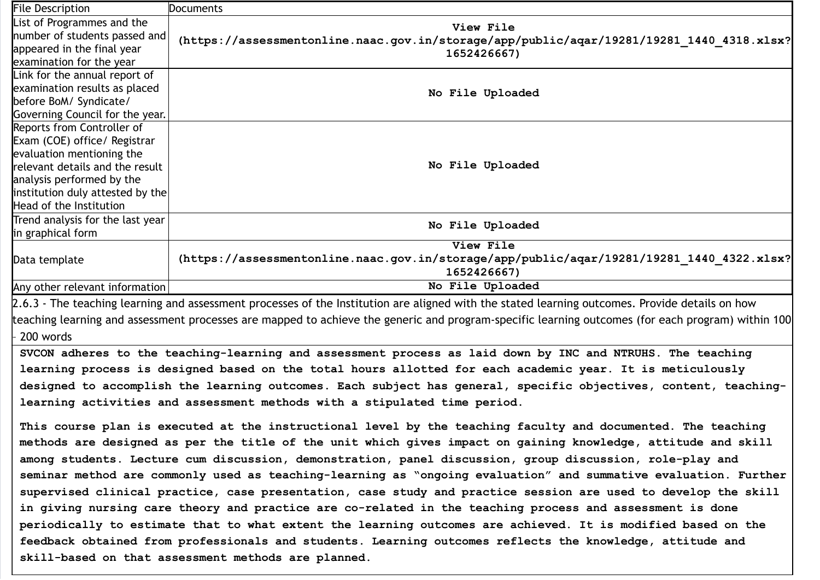| <b>File Description</b>                                                                                                                           | <b>Documents</b>                                                                                                |  |  |
|---------------------------------------------------------------------------------------------------------------------------------------------------|-----------------------------------------------------------------------------------------------------------------|--|--|
| List of Programmes and the                                                                                                                        | View File                                                                                                       |  |  |
| number of students passed and                                                                                                                     | (https://assessmentonline.naac.gov.in/storage/app/public/aqar/19281/19281 1440 4318.xlsx?                       |  |  |
| appeared in the final year                                                                                                                        | 1652426667)                                                                                                     |  |  |
| examination for the year                                                                                                                          |                                                                                                                 |  |  |
| Link for the annual report of                                                                                                                     |                                                                                                                 |  |  |
| examination results as placed                                                                                                                     | No File Uploaded                                                                                                |  |  |
| before BoM/ Syndicate/                                                                                                                            |                                                                                                                 |  |  |
| Governing Council for the year.                                                                                                                   |                                                                                                                 |  |  |
| Reports from Controller of                                                                                                                        |                                                                                                                 |  |  |
| Exam (COE) office/ Registrar                                                                                                                      |                                                                                                                 |  |  |
| evaluation mentioning the                                                                                                                         |                                                                                                                 |  |  |
| relevant details and the result                                                                                                                   | No File Uploaded                                                                                                |  |  |
| analysis performed by the                                                                                                                         |                                                                                                                 |  |  |
| institution duly attested by the                                                                                                                  |                                                                                                                 |  |  |
| Head of the Institution                                                                                                                           |                                                                                                                 |  |  |
| Trend analysis for the last year                                                                                                                  | No File Uploaded                                                                                                |  |  |
| in graphical form                                                                                                                                 |                                                                                                                 |  |  |
|                                                                                                                                                   | View File                                                                                                       |  |  |
| Data template                                                                                                                                     | (https://assessmentonline.naac.gov.in/storage/app/public/aqar/19281/19281 1440 4322.xlsx?                       |  |  |
|                                                                                                                                                   | 1652426667)                                                                                                     |  |  |
| Any other relevant information                                                                                                                    | No File Uploaded                                                                                                |  |  |
| 2.6.3 - The teaching learning and assessment processes of the Institution are aligned with the stated learning outcomes. Provide details on how   |                                                                                                                 |  |  |
| teaching learning and assessment processes are mapped to achieve the generic and program-specific learning outcomes (for each program) within 100 |                                                                                                                 |  |  |
| 200 words                                                                                                                                         |                                                                                                                 |  |  |
|                                                                                                                                                   |                                                                                                                 |  |  |
|                                                                                                                                                   | SVCON adheres to the teaching-learning and assessment process as laid down by INC and NTRUHS. The teaching      |  |  |
|                                                                                                                                                   | learning process is designed based on the total hours allotted for each academic year. It is meticulously       |  |  |
|                                                                                                                                                   | designed to accomplish the learning outcomes. Each subject has general, specific objectives, content, teaching- |  |  |
|                                                                                                                                                   | learning activities and assessment methods with a stipulated time period.                                       |  |  |
|                                                                                                                                                   |                                                                                                                 |  |  |
|                                                                                                                                                   | This course plan is executed at the instructional level by the teaching faculty and documented. The teaching    |  |  |
| methods are designed as per the title of the unit which gives impact on gaining knowledge, attitude and skill                                     |                                                                                                                 |  |  |
| among students. Lecture cum discussion, demonstration, panel discussion, group discussion, role-play and                                          |                                                                                                                 |  |  |
| seminar method are commonly used as teaching-learning as "ongoing evaluation" and summative evaluation. Further                                   |                                                                                                                 |  |  |
| supervised clinical practice, case presentation, case study and practice session are used to develop the skill                                    |                                                                                                                 |  |  |
| in giving nursing care theory and practice are co-related in the teaching process and assessment is done                                          |                                                                                                                 |  |  |
| periodically to estimate that to what extent the learning outcomes are achieved. It is modified based on the                                      |                                                                                                                 |  |  |
| feedback obtained from professionals and students. Learning outcomes reflects the knowledge, attitude and                                         |                                                                                                                 |  |  |
| skill-based on that assessment methods are planned.                                                                                               |                                                                                                                 |  |  |
|                                                                                                                                                   |                                                                                                                 |  |  |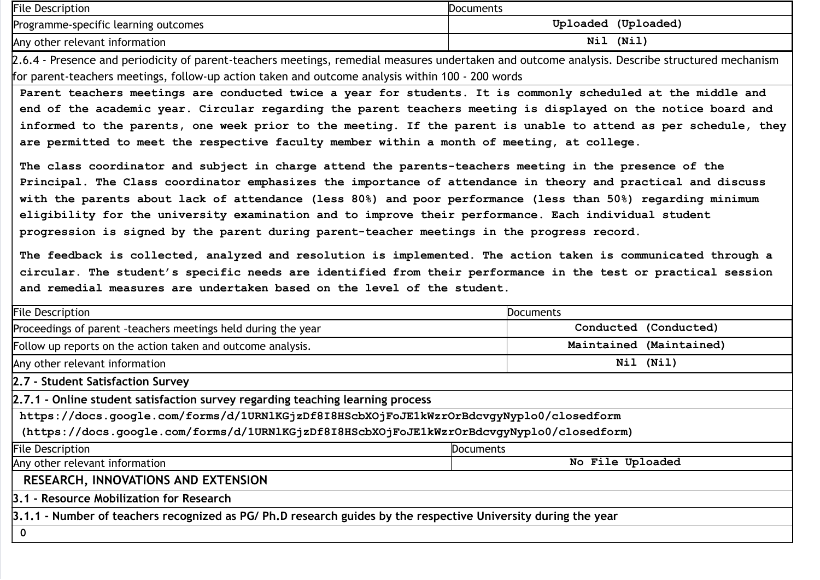| <b>File Description</b>                     | Documents           |
|---------------------------------------------|---------------------|
| <b>Programme-specific learning outcomes</b> | Uploaded (Uploaded) |
| Any other relevant information              | (Nil<br>Nil         |

2.6.4 - Presence and periodicity of parent-teachers meetings, remedial measures undertaken and outcome analysis. Describe structured mechanism for parent-teachers meetings, follow-up action taken and outcome analysis within 100 - 200 words

Parent teachers meetings are conducted twice a year for students. It is commonly scheduled at the middle and end of the academic year. Circular regarding the parent teachers meeting is displayed on the notice board and informed to the parents, one week prior to the meeting. If the parent is unable to attend as per schedule, they are permitted to meet the respective faculty member within a month of meeting, at college.

The class coordinator and subject in charge attend the parents-teachers meeting in the presence of the Principal. The Class coordinator emphasizes the importance of attendance in theory and practical and discuss with the parents about lack of attendance (less 80%) and poor performance (less than 50%) regarding minimum eligibility for the university examination and to improve their performance. Each individual student progression is signed by the parent during parent-teacher meetings in the progress record.

The feedback is collected, analyzed and resolution is implemented. The action taken is communicated through a circular. The student's specific needs are identified from their performance in the test or practical session and remedial measures are undertaken based on the level of the student.

| <b>File Description</b>                                                                                       | <b>Documents</b> |                         |  |
|---------------------------------------------------------------------------------------------------------------|------------------|-------------------------|--|
| Proceedings of parent -teachers meetings held during the year                                                 |                  | Conducted (Conducted)   |  |
| Follow up reports on the action taken and outcome analysis.                                                   |                  | Maintained (Maintained) |  |
| Any other relevant information                                                                                |                  | Nil (Nil)               |  |
| 2.7 - Student Satisfaction Survey                                                                             |                  |                         |  |
| 2.7.1 - Online student satisfaction survey regarding teaching learning process                                |                  |                         |  |
| https://docs.google.com/forms/d/1URN1KGjzDf8I8HScbXOjFoJE1kWzrOrBdcvgyNyplo0/closedform                       |                  |                         |  |
| (https://docs.google.com/forms/d/1URNlKGjzDf8I8HScbXOjFoJE1kWzrOrBdcvgyNyplo0/closedform)                     |                  |                         |  |
| <b>File Description</b><br><b>Documents</b>                                                                   |                  |                         |  |
| No File Uploaded<br>Any other relevant information                                                            |                  |                         |  |
| RESEARCH, INNOVATIONS AND EXTENSION                                                                           |                  |                         |  |
| 3.1 - Resource Mobilization for Research                                                                      |                  |                         |  |
| 3.1.1 - Number of teachers recognized as PG/Ph.D research guides by the respective University during the year |                  |                         |  |
| $\mathbf 0$                                                                                                   |                  |                         |  |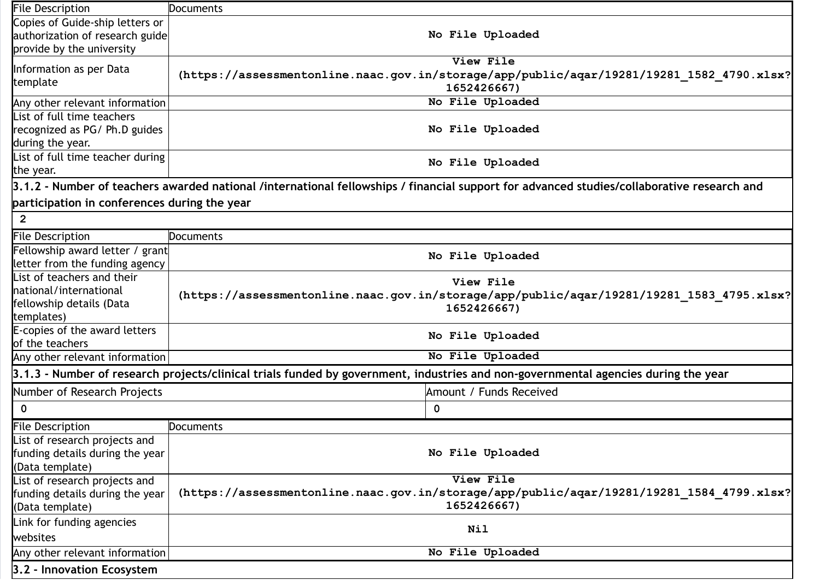| <b>File Description</b>                      | Documents                                                                                                                                  |  |
|----------------------------------------------|--------------------------------------------------------------------------------------------------------------------------------------------|--|
| Copies of Guide-ship letters or              |                                                                                                                                            |  |
| authorization of research guide              | No File Uploaded                                                                                                                           |  |
| provide by the university                    |                                                                                                                                            |  |
| Information as per Data<br>template          | View File<br>(https://assessmentonline.naac.gov.in/storage/app/public/aqar/19281/19281 1582 4790.xlsx?<br>1652426667)                      |  |
| Any other relevant information               | No File Uploaded                                                                                                                           |  |
| List of full time teachers                   |                                                                                                                                            |  |
| recognized as PG/Ph.D guides                 | No File Uploaded                                                                                                                           |  |
| during the year.                             |                                                                                                                                            |  |
| List of full time teacher during             | No File Uploaded                                                                                                                           |  |
| the year.                                    |                                                                                                                                            |  |
|                                              | 3.1.2 - Number of teachers awarded national /international fellowships / financial support for advanced studies/collaborative research and |  |
| participation in conferences during the year |                                                                                                                                            |  |
| $\mathbf{2}$                                 |                                                                                                                                            |  |
| File Description                             | <b>Documents</b>                                                                                                                           |  |
| Fellowship award letter / grant              | No File Uploaded                                                                                                                           |  |
| letter from the funding agency               |                                                                                                                                            |  |
| List of teachers and their                   | View File                                                                                                                                  |  |
| national/international                       | (https://assessmentonline.naac.gov.in/storage/app/public/aqar/19281/19281 1583 4795.xlsx?<br>1652426667)                                   |  |
| fellowship details (Data                     |                                                                                                                                            |  |
| templates)                                   |                                                                                                                                            |  |
| E-copies of the award letters                | No File Uploaded                                                                                                                           |  |
| of the teachers                              |                                                                                                                                            |  |
| Any other relevant information               | No File Uploaded                                                                                                                           |  |
|                                              | 3.1.3 - Number of research projects/clinical trials funded by government, industries and non-governmental agencies during the year         |  |
| Number of Research Projects                  | Amount / Funds Received                                                                                                                    |  |
| $\mathbf 0$                                  | 0                                                                                                                                          |  |
| <b>File Description</b>                      | <b>Documents</b>                                                                                                                           |  |
| List of research projects and                |                                                                                                                                            |  |
| funding details during the year              | No File Uploaded                                                                                                                           |  |
| (Data template)                              |                                                                                                                                            |  |
| List of research projects and                | View File                                                                                                                                  |  |
| funding details during the year              | (https://assessmentonline.naac.gov.in/storage/app/public/aqar/19281/19281 1584 4799.xlsx?                                                  |  |
| (Data template)                              | 1652426667)                                                                                                                                |  |
| Link for funding agencies                    |                                                                                                                                            |  |
| websites                                     | Nil                                                                                                                                        |  |
| Any other relevant information               | No File Uploaded                                                                                                                           |  |
| 3.2 - Innovation Ecosystem                   |                                                                                                                                            |  |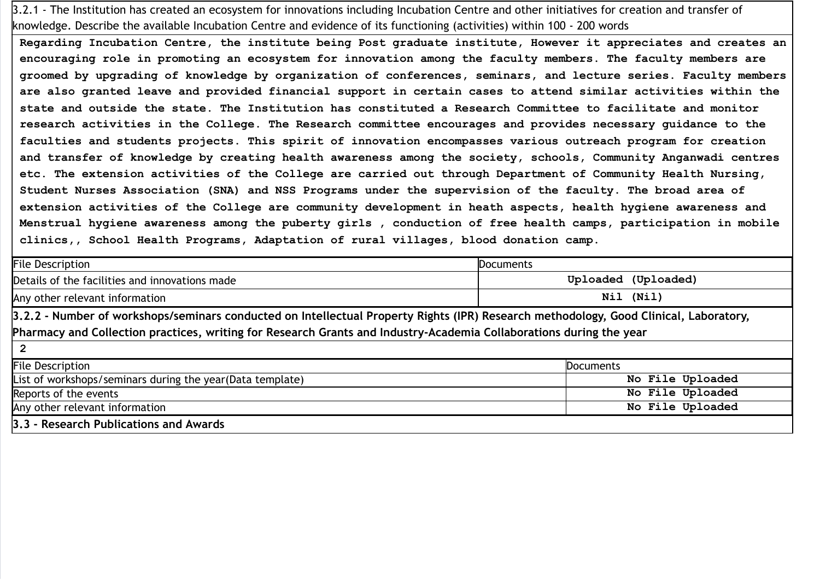3.2.1 - The Institution has created an ecosystem for innovations including Incubation Centre and other initiatives for creation and transfer of knowledge. Describe the available Incubation Centre and evidence of its functioning (activities) within 100 - 200 words

Regarding Incubation Centre, the institute being Post graduate institute, However it appreciates and creates an encouraging role in promoting an ecosystem for innovation among the faculty members. The faculty members are groomed by upgrading of knowledge by organization of conferences, seminars, and lecture series. Faculty members are also granted leave and provided financial support in certain cases to attend similar activities within the state and outside the state. The Institution has constituted a Research Committee to facilitate and monitor research activities in the College. The Research committee encourages and provides necessary guidance to the faculties and students projects. This spirit of innovation encompasses various outreach program for creation and transfer of knowledge by creating health awareness among the society, schools, Community Anganwadi centres etc. The extension activities of the College are carried out through Department of Community Health Nursing, Student Nurses Association (SNA) and NSS Programs under the supervision of the faculty. The broad area of extension activities of the College are community development in heath aspects, health hygiene awareness and Menstrual hygiene awareness among the puberty girls , conduction of free health camps, participation in mobile clinics,, School Health Programs, Adaptation of rural villages, blood donation camp.

| <b>File Description</b>                                                                                                                                                                                                                                      | <b>Documents</b>    |  |
|--------------------------------------------------------------------------------------------------------------------------------------------------------------------------------------------------------------------------------------------------------------|---------------------|--|
| Details of the facilities and innovations made                                                                                                                                                                                                               | Uploaded (Uploaded) |  |
| Nil (Nil)<br>Any other relevant information                                                                                                                                                                                                                  |                     |  |
| 3.2.2 - Number of workshops/seminars conducted on Intellectual Property Rights (IPR) Research methodology, Good Clinical, Laboratory,<br>Pharmacy and Collection practices, writing for Research Grants and Industry-Academia Collaborations during the year |                     |  |
| $\overline{2}$                                                                                                                                                                                                                                               |                     |  |
| <b>File Description</b><br><b>Documents</b>                                                                                                                                                                                                                  |                     |  |
| List of workshops/seminars during the year(Data template)                                                                                                                                                                                                    | No File Uploaded    |  |
| Reports of the events                                                                                                                                                                                                                                        | No File Uploaded    |  |
| Any other relevant information                                                                                                                                                                                                                               | No File Uploaded    |  |
| 3.3 - Research Publications and Awards                                                                                                                                                                                                                       |                     |  |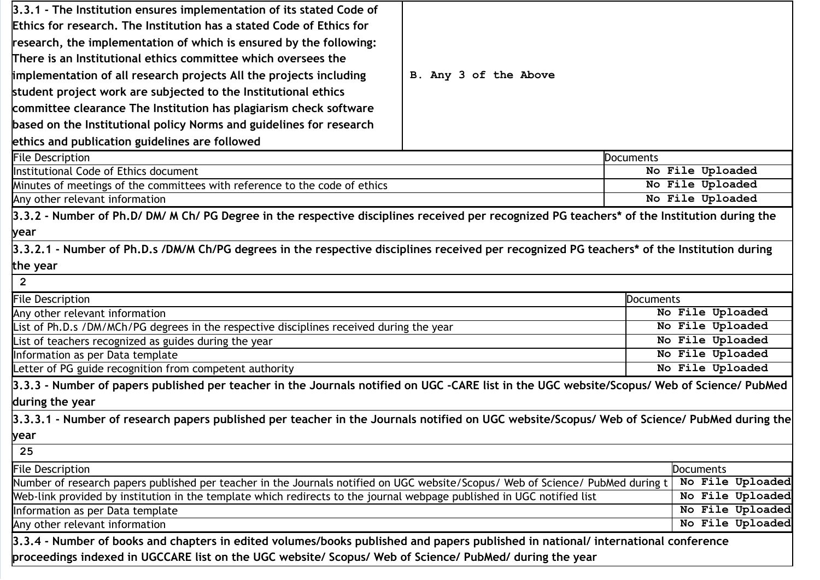| 3.3.1 - The Institution ensures implementation of its stated Code of                                                                        |                       |           |                  |
|---------------------------------------------------------------------------------------------------------------------------------------------|-----------------------|-----------|------------------|
| Ethics for research. The Institution has a stated Code of Ethics for                                                                        |                       |           |                  |
| research, the implementation of which is ensured by the following:                                                                          |                       |           |                  |
| $\overline{\Pi}$ here is an Institutional ethics committee which oversees the                                                               |                       |           |                  |
| implementation of all research projects All the projects including                                                                          | B. Any 3 of the Above |           |                  |
| student project work are subjected to the Institutional ethics                                                                              |                       |           |                  |
| committee clearance The Institution has plagiarism check software                                                                           |                       |           |                  |
| based on the Institutional policy Norms and guidelines for research                                                                         |                       |           |                  |
| ethics and publication guidelines are followed                                                                                              |                       |           |                  |
| <b>File Description</b>                                                                                                                     |                       | Documents |                  |
| Institutional Code of Ethics document                                                                                                       |                       |           | No File Uploaded |
| Minutes of meetings of the committees with reference to the code of ethics                                                                  |                       |           | No File Uploaded |
| Any other relevant information                                                                                                              |                       |           | No File Uploaded |
| 3.3.2 - Number of Ph.D/DM/M Ch/PG Degree in the respective disciplines received per recognized PG teachers* of the Institution during the   |                       |           |                  |
|                                                                                                                                             |                       |           |                  |
| year                                                                                                                                        |                       |           |                  |
| 3.3.2.1 - Number of Ph.D.s /DM/M Ch/PG degrees in the respective disciplines received per recognized PG teachers* of the Institution during |                       |           |                  |
| the year                                                                                                                                    |                       |           |                  |
| $\overline{2}$                                                                                                                              |                       |           |                  |
| <b>File Description</b>                                                                                                                     |                       | Documents |                  |
| Any other relevant information                                                                                                              |                       |           | No File Uploaded |
| List of Ph.D.s /DM/MCh/PG degrees in the respective disciplines received during the year                                                    |                       |           | No File Uploaded |
| List of teachers recognized as guides during the year                                                                                       |                       |           | No File Uploaded |
| Information as per Data template                                                                                                            |                       |           | No File Uploaded |
| Letter of PG guide recognition from competent authority                                                                                     |                       |           | No File Uploaded |
| 3.3.3 - Number of papers published per teacher in the Journals notified on UGC -CARE list in the UGC website/Scopus/ Web of Science/ PubMed |                       |           |                  |
| during the year                                                                                                                             |                       |           |                  |
| 3.3.3.1 - Number of research papers published per teacher in the Journals notified on UGC website/Scopus/ Web of Science/ PubMed during the |                       |           |                  |
| <b>bear</b>                                                                                                                                 |                       |           |                  |
| 25                                                                                                                                          |                       |           |                  |
| <b>File Description</b><br><b>Documents</b>                                                                                                 |                       |           |                  |
| Number of research papers published per teacher in the Journals notified on UGC website/Scopus/ Web of Science/ PubMed during t             |                       |           | No File Uploaded |
| Web-link provided by institution in the template which redirects to the journal webpage published in UGC notified list                      |                       |           | No File Uploaded |
| Information as per Data template                                                                                                            |                       |           | No File Uploaded |
| Any other relevant information                                                                                                              |                       |           | No File Uploaded |
| 3.3.4 - Number of books and chapters in edited volumes/books published and papers published in national/ international conference           |                       |           |                  |
| proceedings indexed in UGCCARE list on the UGC website/ Scopus/ Web of Science/ PubMed/ during the year                                     |                       |           |                  |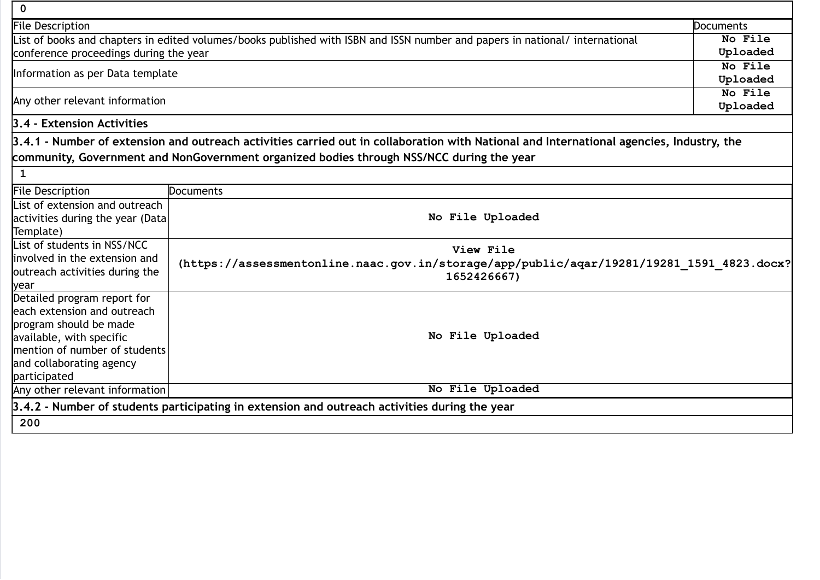| 0                                                                                                                            |                                                                                                                                          |           |
|------------------------------------------------------------------------------------------------------------------------------|------------------------------------------------------------------------------------------------------------------------------------------|-----------|
| File Description                                                                                                             |                                                                                                                                          | Documents |
| List of books and chapters in edited volumes/books published with ISBN and ISSN number and papers in national/ international |                                                                                                                                          | No File   |
| conference proceedings during the year                                                                                       |                                                                                                                                          | Uploaded  |
| Information as per Data template                                                                                             |                                                                                                                                          | No File   |
|                                                                                                                              |                                                                                                                                          | Uploaded  |
| Any other relevant information                                                                                               |                                                                                                                                          | No File   |
|                                                                                                                              |                                                                                                                                          | Uploaded  |
| 3.4 - Extension Activities                                                                                                   |                                                                                                                                          |           |
|                                                                                                                              | 3.4.1 - Number of extension and outreach activities carried out in collaboration with National and International agencies, Industry, the |           |
|                                                                                                                              | community, Government and NonGovernment organized bodies through NSS/NCC during the year                                                 |           |
| $\mathbf{1}$                                                                                                                 |                                                                                                                                          |           |
| <b>File Description</b>                                                                                                      | <b>Documents</b>                                                                                                                         |           |
| List of extension and outreach                                                                                               |                                                                                                                                          |           |
| activities during the year (Data                                                                                             | No File Uploaded                                                                                                                         |           |
| Template)                                                                                                                    |                                                                                                                                          |           |
| List of students in NSS/NCC                                                                                                  | View File                                                                                                                                |           |
| involved in the extension and                                                                                                | (https://assessmentonline.naac.gov.in/storage/app/public/aqar/19281/19281_1591_4823.docx?<br>1652426667)                                 |           |
| outreach activities during the                                                                                               |                                                                                                                                          |           |
| year                                                                                                                         |                                                                                                                                          |           |
| Detailed program report for                                                                                                  |                                                                                                                                          |           |
| each extension and outreach                                                                                                  |                                                                                                                                          |           |
| program should be made                                                                                                       | No File Uploaded                                                                                                                         |           |
| available, with specific<br>mention of number of students                                                                    |                                                                                                                                          |           |
| and collaborating agency                                                                                                     |                                                                                                                                          |           |
| participated                                                                                                                 |                                                                                                                                          |           |
| Any other relevant information                                                                                               | No File Uploaded                                                                                                                         |           |
|                                                                                                                              | 3.4.2 - Number of students participating in extension and outreach activities during the year                                            |           |
|                                                                                                                              |                                                                                                                                          |           |
| 200                                                                                                                          |                                                                                                                                          |           |

٦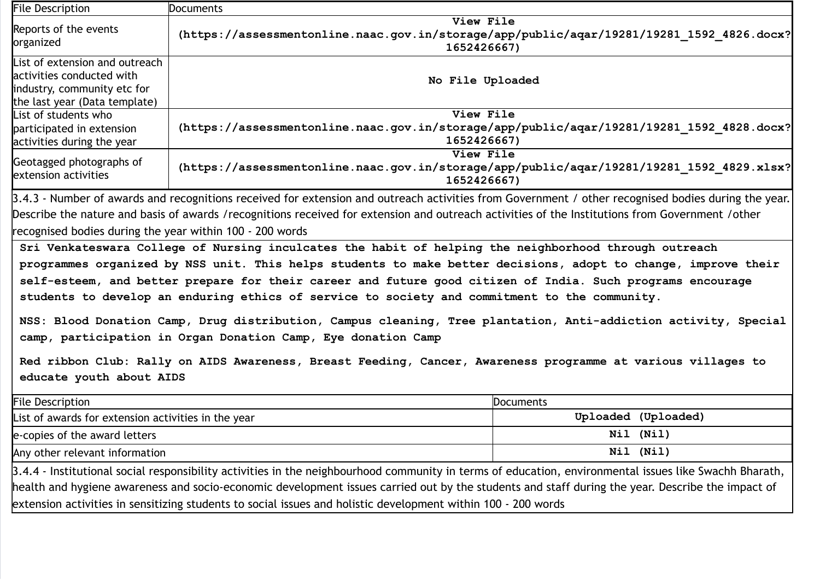| <b>File Description</b>                                                                                                                                                                                                                                                                                                                                                                                                                                                                                                                                                                                                                                                                                                                                                                                                                                                                                                                                                                                                                                                                                                                      | <b>Documents</b>                                                                                                      |                                                                                                                       |  |
|----------------------------------------------------------------------------------------------------------------------------------------------------------------------------------------------------------------------------------------------------------------------------------------------------------------------------------------------------------------------------------------------------------------------------------------------------------------------------------------------------------------------------------------------------------------------------------------------------------------------------------------------------------------------------------------------------------------------------------------------------------------------------------------------------------------------------------------------------------------------------------------------------------------------------------------------------------------------------------------------------------------------------------------------------------------------------------------------------------------------------------------------|-----------------------------------------------------------------------------------------------------------------------|-----------------------------------------------------------------------------------------------------------------------|--|
| Reports of the events<br>organized                                                                                                                                                                                                                                                                                                                                                                                                                                                                                                                                                                                                                                                                                                                                                                                                                                                                                                                                                                                                                                                                                                           | View File<br>(https://assessmentonline.naac.gov.in/storage/app/public/aqar/19281/19281 1592 4826.docx?<br>1652426667) |                                                                                                                       |  |
| List of extension and outreach<br>activities conducted with<br>industry, community etc for<br>the last year (Data template)                                                                                                                                                                                                                                                                                                                                                                                                                                                                                                                                                                                                                                                                                                                                                                                                                                                                                                                                                                                                                  | No File Uploaded                                                                                                      |                                                                                                                       |  |
| List of students who<br>participated in extension<br>activities during the year                                                                                                                                                                                                                                                                                                                                                                                                                                                                                                                                                                                                                                                                                                                                                                                                                                                                                                                                                                                                                                                              | View File<br>(https://assessmentonline.naac.gov.in/storage/app/public/aqar/19281/19281 1592 4828.docx?<br>1652426667) |                                                                                                                       |  |
| Geotagged photographs of<br>extension activities                                                                                                                                                                                                                                                                                                                                                                                                                                                                                                                                                                                                                                                                                                                                                                                                                                                                                                                                                                                                                                                                                             |                                                                                                                       | View File<br>(https://assessmentonline.naac.gov.in/storage/app/public/aqar/19281/19281 1592 4829.xlsx?<br>1652426667) |  |
| 3.4.3 - Number of awards and recognitions received for extension and outreach activities from Government / other recognised bodies during the year.<br>Describe the nature and basis of awards /recognitions received for extension and outreach activities of the Institutions from Government /other<br>recognised bodies during the year within 100 - 200 words<br>Sri Venkateswara College of Nursing inculcates the habit of helping the neighborhood through outreach<br>programmes organized by NSS unit. This helps students to make better decisions, adopt to change, improve their<br>self-esteem, and better prepare for their career and future good citizen of India. Such programs encourage<br>students to develop an enduring ethics of service to society and commitment to the community.<br>NSS: Blood Donation Camp, Drug distribution, Campus cleaning, Tree plantation, Anti-addiction activity, Special<br>camp, participation in Organ Donation Camp, Eye donation Camp<br>Red ribbon Club: Rally on AIDS Awareness, Breast Feeding, Cancer, Awareness programme at various villages to<br>educate youth about AIDS |                                                                                                                       |                                                                                                                       |  |
| <b>File Description</b>                                                                                                                                                                                                                                                                                                                                                                                                                                                                                                                                                                                                                                                                                                                                                                                                                                                                                                                                                                                                                                                                                                                      |                                                                                                                       | <b>Documents</b>                                                                                                      |  |
| List of awards for extension activities in the year                                                                                                                                                                                                                                                                                                                                                                                                                                                                                                                                                                                                                                                                                                                                                                                                                                                                                                                                                                                                                                                                                          |                                                                                                                       | Uploaded (Uploaded)                                                                                                   |  |
| e-copies of the award letters                                                                                                                                                                                                                                                                                                                                                                                                                                                                                                                                                                                                                                                                                                                                                                                                                                                                                                                                                                                                                                                                                                                |                                                                                                                       | Nil (Nil)                                                                                                             |  |
| Any other relevant information                                                                                                                                                                                                                                                                                                                                                                                                                                                                                                                                                                                                                                                                                                                                                                                                                                                                                                                                                                                                                                                                                                               |                                                                                                                       | Nil (Nil)                                                                                                             |  |
| 3.4.4 - Institutional social responsibility activities in the neighbourhood community in terms of education, environmental issues like Swachh Bharath,<br>health and hygiene awareness and socio-economic development issues carried out by the students and staff during the year. Describe the impact of<br>extension activities in sensitizing students to social issues and holistic development within 100 - 200 words                                                                                                                                                                                                                                                                                                                                                                                                                                                                                                                                                                                                                                                                                                                  |                                                                                                                       |                                                                                                                       |  |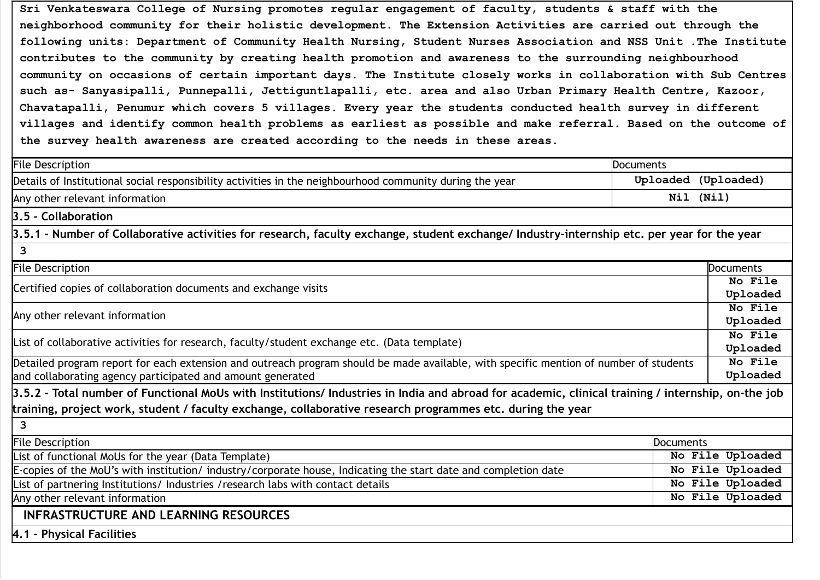Sri Venkateswara College of Nursing promotes regular engagement of faculty, students & staff with the neighborhood community for their holistic development. The Extension Activities are carried out through the following units: Department of Community Health Nursing, Student Nurses Association and NSS Unit .The Institute contributes to the community by creating health promotion and awareness to the surrounding neighbourhood community on occasions of certain important days. The Institute closely works in collaboration with Sub Centres such as- Sanyasipalli, Punnepalli, Jettiguntlapalli, etc. area and also Urban Primary Health Centre, Kazoor, Chavatapalli, Penumur which covers 5 villages. Every year the students conducted health survey in different villages and identify common health problems as earliest as possible and make referral. Based on the outcome of the survey health awareness are created according to the needs in these areas.

| <b>File Description</b>                                                                                                                            | Documents |                     |  |
|----------------------------------------------------------------------------------------------------------------------------------------------------|-----------|---------------------|--|
| Details of Institutional social responsibility activities in the neighbourhood community during the year                                           |           | Uploaded (Uploaded) |  |
| Any other relevant information                                                                                                                     |           | Nil (Nil)           |  |
| 3.5 - Collaboration                                                                                                                                |           |                     |  |
| 3.5.1 - Number of Collaborative activities for research, faculty exchange, student exchange/ Industry-internship etc. per year for the year        |           |                     |  |
| 3                                                                                                                                                  |           |                     |  |
| <b>File Description</b>                                                                                                                            |           | <b>Documents</b>    |  |
| Certified copies of collaboration documents and exchange visits                                                                                    |           | No File             |  |
|                                                                                                                                                    |           | Uploaded            |  |
| Any other relevant information                                                                                                                     |           | No File             |  |
|                                                                                                                                                    |           | Uploaded            |  |
| List of collaborative activities for research, faculty/student exchange etc. (Data template)                                                       |           | No File<br>Uploaded |  |
| Detailed program report for each extension and outreach program should be made available, with specific mention of number of students              |           | No File             |  |
| and collaborating agency participated and amount generated                                                                                         |           | Uploaded            |  |
| 3.5.2 - Total number of Functional MoUs with Institutions/ Industries in India and abroad for academic, clinical training / internship, on-the job |           |                     |  |
| training, project work, student / faculty exchange, collaborative research programmes etc. during the year                                         |           |                     |  |
| 3                                                                                                                                                  |           |                     |  |
| <b>File Description</b>                                                                                                                            | Documents |                     |  |
| List of functional MoUs for the year (Data Template)                                                                                               |           | No File Uploaded    |  |
| E-copies of the MoU's with institution/industry/corporate house, Indicating the start date and completion date                                     |           | No File Uploaded    |  |
| List of partnering Institutions/ Industries / research labs with contact details                                                                   |           | No File Uploaded    |  |
| Any other relevant information                                                                                                                     |           | No File Uploaded    |  |
| <b>INFRASTRUCTURE AND LEARNING RESOURCES</b>                                                                                                       |           |                     |  |
| 4.1 - Physical Facilities                                                                                                                          |           |                     |  |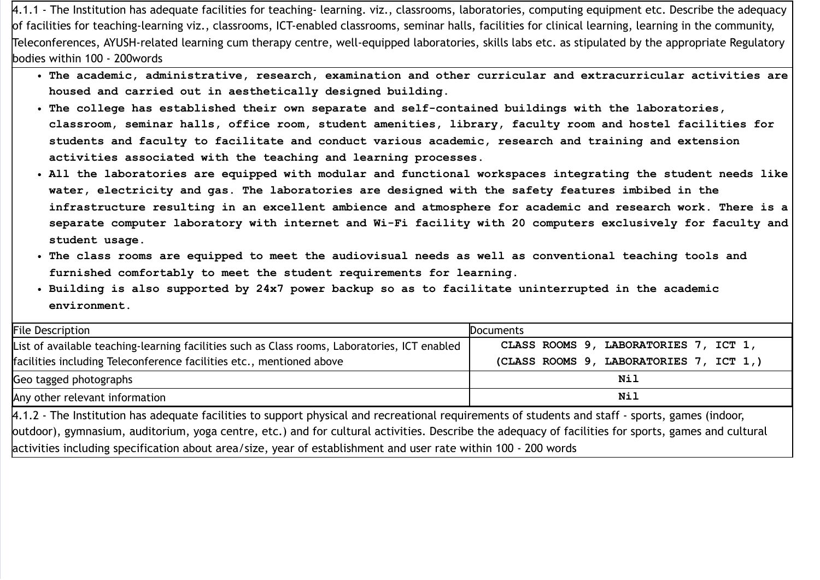4.1.1 - The Institution has adequate facilities for teaching- learning. viz., classrooms, laboratories, computing equipment etc. Describe the adequacy of facilities for teaching-learning viz., classrooms, ICT-enabled classrooms, seminar halls, facilities for clinical learning, learning in the community, Teleconferences, AYUSH-related learning cum therapy centre, well-equipped laboratories, skills labs etc. as stipulated by the appropriate Regulatory bodies within 100 - 200words

- The academic, administrative, research, examination and other curricular and extracurricular activities are housed and carried out in aesthetically designed building.
- The college has established their own separate and self-contained buildings with the laboratories, classroom, seminar halls, office room, student amenities, library, faculty room and hostel facilities for students and faculty to facilitate and conduct various academic, research and training and extension activities associated with the teaching and learning processes.
- All the laboratories are equipped with modular and functional workspaces integrating the student needs like water, electricity and gas. The laboratories are designed with the safety features imbibed in the infrastructure resulting in an excellent ambience and atmosphere for academic and research work. There is a separate computer laboratory with internet and Wi-Fi facility with 20 computers exclusively for faculty and student usage.
- The class rooms are equipped to meet the audiovisual needs as well as conventional teaching tools and furnished comfortably to meet the student requirements for learning.
- Building is also supported by 24x7 power backup so as to facilitate uninterrupted in the academic environment.

| <b>File Description</b>                                                                                                                             | <b>Documents</b>                        |  |
|-----------------------------------------------------------------------------------------------------------------------------------------------------|-----------------------------------------|--|
| List of available teaching-learning facilities such as Class rooms, Laboratories, ICT enabled                                                       | CLASS ROOMS 9, LABORATORIES 7, ICT 1,   |  |
| facilities including Teleconference facilities etc., mentioned above                                                                                | (CLASS ROOMS 9, LABORATORIES 7, ICT 1,) |  |
| Geo tagged photographs                                                                                                                              | Nil                                     |  |
| Any other relevant information                                                                                                                      | Nil                                     |  |
| 4.1.2 - The Institution has adequate facilities to support physical and recreational requirements of students and staff - sports, games (indoor,    |                                         |  |
| outdoor), gymnasium, auditorium, yoga centre, etc.) and for cultural activities. Describe the adequacy of facilities for sports, games and cultural |                                         |  |
| activities including specification about area/size, year of establishment and user rate within 100 - 200 words                                      |                                         |  |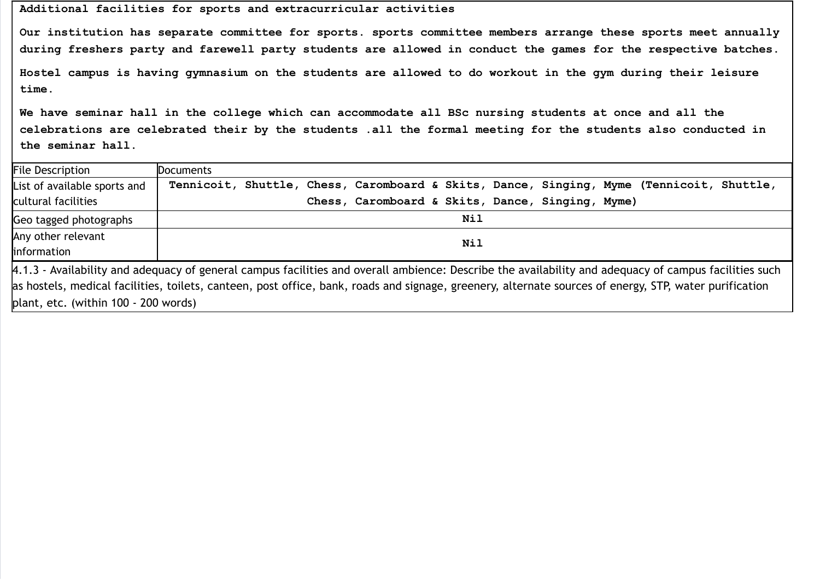## Additional facilities for sports and extracurricular activities

Our institution has separate committee for sports. sports committee members arrange these sports meet annually during freshers party and farewell party students are allowed in conduct the games for the respective batches. Hostel campus is having gymnasium on the students are allowed to do workout in the gym during their leisure

We have seminar hall in the college which can accommodate all BSc nursing students at once and all the celebrations are celebrated their by the students .all the formal meeting for the students also conducted in the seminar hall.

| <b>File Description</b>                                                                                                                                | <b>Documents</b>                                                                         |  |
|--------------------------------------------------------------------------------------------------------------------------------------------------------|------------------------------------------------------------------------------------------|--|
| List of available sports and                                                                                                                           | Tennicoit, Shuttle, Chess, Caromboard & Skits, Dance, Singing, Myme (Tennicoit, Shuttle, |  |
| cultural facilities                                                                                                                                    | Chess, Caromboard & Skits, Dance, Singing, Myme)                                         |  |
| Geo tagged photographs                                                                                                                                 | Nil                                                                                      |  |
| Any other relevant                                                                                                                                     | Nil                                                                                      |  |
| information                                                                                                                                            |                                                                                          |  |
| 4.1.3 - Availability and adequacy of general campus facilities and overall ambience: Describe the availability and adequacy of campus facilities such  |                                                                                          |  |
| as hostels, medical facilities, toilets, canteen, post office, bank, roads and signage, greenery, alternate sources of energy, STP, water purification |                                                                                          |  |

plant, etc. (within 100 - 200 words)

time.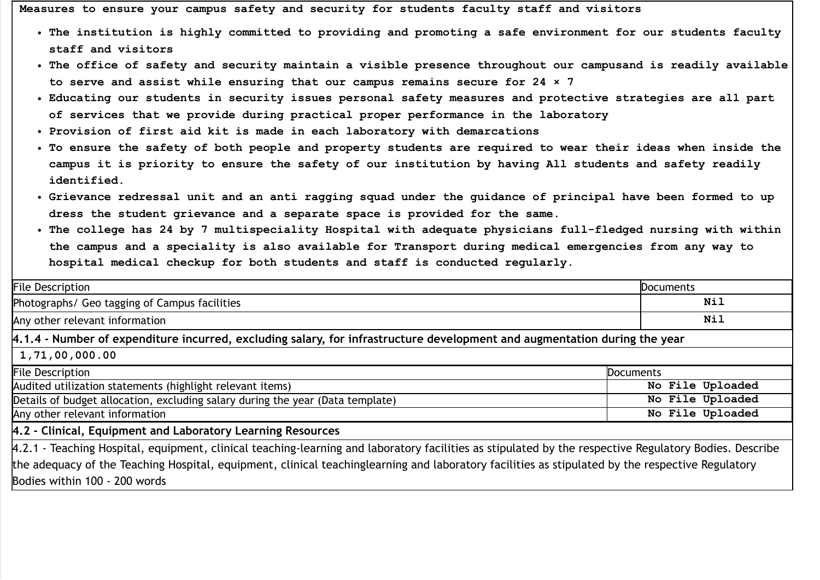Measures to ensure your campus safety and security for students faculty staff and visitors

- The institution is highly committed to providing and promoting a safe environment for our students faculty staff and visitors
- The office of safety and security maintain a visible presence throughout our campusand is readily available to serve and assist while ensuring that our campus remains secure for 24 × 7
- Educating our students in security issues personal safety measures and protective strategies are all part of services that we provide during practical proper performance in the laboratory
- Provision of first aid kit is made in each laboratory with demarcations
- To ensure the safety of both people and property students are required to wear their ideas when inside the campus it is priority to ensure the safety of our institution by having All students and safety readily identified.
- Grievance redressal unit and an anti ragging squad under the guidance of principal have been formed to up dress the student grievance and a separate space is provided for the same.
- The college has 24 by 7 multispeciality Hospital with adequate physicians full-fledged nursing with within the campus and a speciality is also available for Transport during medical emergencies from any way to hospital medical checkup for both students and staff is conducted regularly.

| <b>File Description</b>                                                                                                                                | Documents        |  |
|--------------------------------------------------------------------------------------------------------------------------------------------------------|------------------|--|
| Photographs/ Geo tagging of Campus facilities                                                                                                          | Nil              |  |
| Any other relevant information                                                                                                                         | Nil              |  |
| 4.1.4 - Number of expenditure incurred, excluding salary, for infrastructure development and augmentation during the year                              |                  |  |
| 1,71,00,000.00                                                                                                                                         |                  |  |
| <b>File Description</b>                                                                                                                                | Documents        |  |
| Audited utilization statements (highlight relevant items)                                                                                              | No File Uploaded |  |
| Details of budget allocation, excluding salary during the year (Data template)                                                                         | No File Uploaded |  |
| Any other relevant information                                                                                                                         | No File Uploaded |  |
| 4.2 - Clinical, Equipment and Laboratory Learning Resources                                                                                            |                  |  |
| 4.2.1 - Teaching Hospital, equipment, clinical teaching-learning and laboratory facilities as stipulated by the respective Regulatory Bodies. Describe |                  |  |
| the adequacy of the Teaching Hospital, equipment, clinical teachinglearning and laboratory facilities as stipulated by the respective Regulatory       |                  |  |
| Bodies within 100 - 200 words                                                                                                                          |                  |  |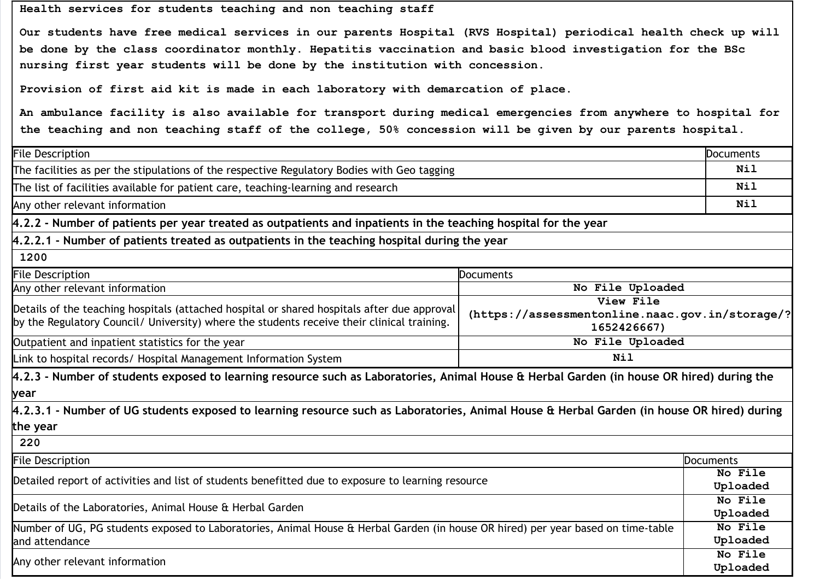Health services for students teaching and non teaching staff

Our students have free medical services in our parents Hospital (RVS Hospital) periodical health check up will be done by the class coordinator monthly. Hepatitis vaccination and basic blood investigation for the BSc nursing first year students will be done by the institution with concession.

Provision of first aid kit is made in each laboratory with demarcation of place.

An ambulance facility is also available for transport during medical emergencies from anywhere to hospital for the teaching and non teaching staff of the college, 50% concession will be given by our parents hospital.

| <b>File Description</b>                                                                                                                                                                                                                                                  |                  |                     |
|--------------------------------------------------------------------------------------------------------------------------------------------------------------------------------------------------------------------------------------------------------------------------|------------------|---------------------|
| The facilities as per the stipulations of the respective Regulatory Bodies with Geo tagging                                                                                                                                                                              |                  | <b>Nil</b>          |
| The list of facilities available for patient care, teaching-learning and research                                                                                                                                                                                        |                  | Nil                 |
| Any other relevant information                                                                                                                                                                                                                                           |                  | <b>Nil</b>          |
| 4.2.2 - Number of patients per year treated as outpatients and inpatients in the teaching hospital for the year                                                                                                                                                          |                  |                     |
| $4.2.2.1$ - Number of patients treated as outpatients in the teaching hospital during the year                                                                                                                                                                           |                  |                     |
| 1200                                                                                                                                                                                                                                                                     |                  |                     |
| <b>File Description</b>                                                                                                                                                                                                                                                  | <b>Documents</b> |                     |
| Any other relevant information                                                                                                                                                                                                                                           | No File Uploaded |                     |
| View File<br>Details of the teaching hospitals (attached hospital or shared hospitals after due approval<br>(https://assessmentonline.naac.gov.in/storage/?<br>by the Regulatory Council/ University) where the students receive their clinical training.<br>1652426667) |                  |                     |
| Outpatient and inpatient statistics for the year                                                                                                                                                                                                                         | No File Uploaded |                     |
| <b>Nil</b><br>Link to hospital records/ Hospital Management Information System                                                                                                                                                                                           |                  |                     |
| 4.2.3 - Number of students exposed to learning resource such as Laboratories, Animal House & Herbal Garden (in house OR hired) during the                                                                                                                                |                  |                     |
| year                                                                                                                                                                                                                                                                     |                  |                     |
| 4.2.3.1 - Number of UG students exposed to learning resource such as Laboratories, Animal House & Herbal Garden (in house OR hired) during                                                                                                                               |                  |                     |
| the year                                                                                                                                                                                                                                                                 |                  |                     |
| 220                                                                                                                                                                                                                                                                      |                  |                     |
| <b>File Description</b><br><b>Documents</b>                                                                                                                                                                                                                              |                  |                     |
| Detailed report of activities and list of students benefitted due to exposure to learning resource                                                                                                                                                                       |                  | No File<br>Uploaded |
| Details of the Laboratories, Animal House & Herbal Garden                                                                                                                                                                                                                |                  | No File<br>Uploaded |
| Number of UG, PG students exposed to Laboratories, Animal House & Herbal Garden (in house OR hired) per year based on time-table<br>and attendance                                                                                                                       |                  | No File<br>Uploaded |
| Any other relevant information                                                                                                                                                                                                                                           |                  | No File<br>Uploaded |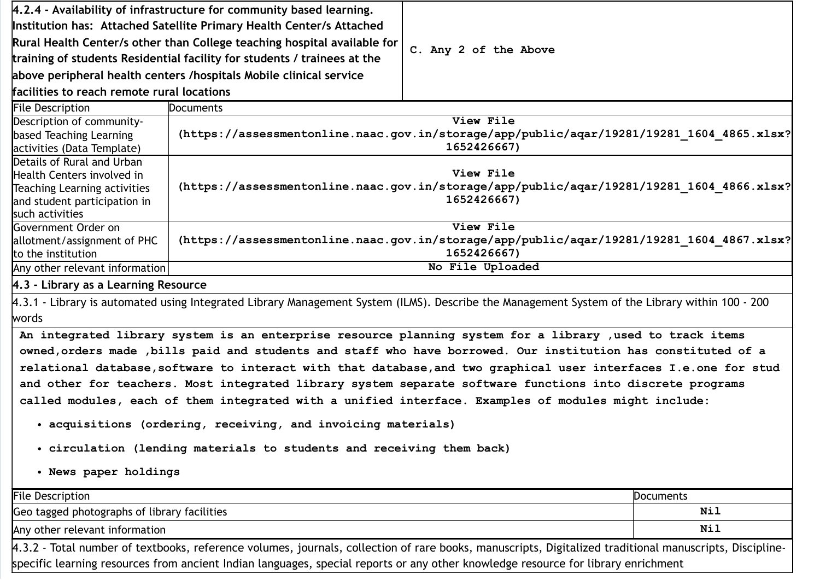|                                                                                                                                                                                                                                                                                                                                                                                                                                                                                                                                                                                                                                                                                                                                           | $4.2.4$ - Availability of infrastructure for community based learning.                                                                                                                                                                                                                       |                       |     |
|-------------------------------------------------------------------------------------------------------------------------------------------------------------------------------------------------------------------------------------------------------------------------------------------------------------------------------------------------------------------------------------------------------------------------------------------------------------------------------------------------------------------------------------------------------------------------------------------------------------------------------------------------------------------------------------------------------------------------------------------|----------------------------------------------------------------------------------------------------------------------------------------------------------------------------------------------------------------------------------------------------------------------------------------------|-----------------------|-----|
|                                                                                                                                                                                                                                                                                                                                                                                                                                                                                                                                                                                                                                                                                                                                           | Institution has: Attached Satellite Primary Health Center/s Attached                                                                                                                                                                                                                         |                       |     |
| Rural Health Center/s other than College teaching hospital available for<br>training of students Residential facility for students / trainees at the<br>above peripheral health centers /hospitals Mobile clinical service                                                                                                                                                                                                                                                                                                                                                                                                                                                                                                                |                                                                                                                                                                                                                                                                                              |                       |     |
|                                                                                                                                                                                                                                                                                                                                                                                                                                                                                                                                                                                                                                                                                                                                           |                                                                                                                                                                                                                                                                                              | C. Any 2 of the Above |     |
|                                                                                                                                                                                                                                                                                                                                                                                                                                                                                                                                                                                                                                                                                                                                           |                                                                                                                                                                                                                                                                                              |                       |     |
| <b>File Description</b>                                                                                                                                                                                                                                                                                                                                                                                                                                                                                                                                                                                                                                                                                                                   | <b>Documents</b>                                                                                                                                                                                                                                                                             |                       |     |
| Description of community-<br>based Teaching Learning<br>activities (Data Template)                                                                                                                                                                                                                                                                                                                                                                                                                                                                                                                                                                                                                                                        | View File<br>(https://assessmentonline.naac.gov.in/storage/app/public/aqar/19281/19281_1604_4865.xlsx?<br>1652426667)                                                                                                                                                                        |                       |     |
| Details of Rural and Urban<br>Health Centers involved in<br>Teaching Learning activities<br>and student participation in<br>such activities                                                                                                                                                                                                                                                                                                                                                                                                                                                                                                                                                                                               | View File<br>(https://assessmentonline.naac.gov.in/storage/app/public/aqar/19281/19281 1604 4866.xlsx?<br>1652426667)                                                                                                                                                                        |                       |     |
| Government Order on<br>allotment/assignment of PHC<br>to the institution                                                                                                                                                                                                                                                                                                                                                                                                                                                                                                                                                                                                                                                                  | View File<br>(https://assessmentonline.naac.gov.in/storage/app/public/aqar/19281/19281_1604_4867.xlsx?<br>1652426667)                                                                                                                                                                        |                       |     |
| Any other relevant information                                                                                                                                                                                                                                                                                                                                                                                                                                                                                                                                                                                                                                                                                                            |                                                                                                                                                                                                                                                                                              | No File Uploaded      |     |
| 4.3 - Library as a Learning Resource                                                                                                                                                                                                                                                                                                                                                                                                                                                                                                                                                                                                                                                                                                      |                                                                                                                                                                                                                                                                                              |                       |     |
| words                                                                                                                                                                                                                                                                                                                                                                                                                                                                                                                                                                                                                                                                                                                                     | 4.3.1 - Library is automated using Integrated Library Management System (ILMS). Describe the Management System of the Library within 100 - 200                                                                                                                                               |                       |     |
| An integrated library system is an enterprise resource planning system for a library , used to track items<br>owned, orders made , bills paid and students and staff who have borrowed. Our institution has constituted of a<br>relational database, software to interact with that database, and two graphical user interfaces I.e. one for stud<br>and other for teachers. Most integrated library system separate software functions into discrete programs<br>called modules, each of them integrated with a unified interface. Examples of modules might include:<br>• acquisitions (ordering, receiving, and invoicing materials)<br>. circulation (lending materials to students and receiving them back)<br>. News paper holdings |                                                                                                                                                                                                                                                                                              |                       |     |
| <b>File Description</b><br>Documents                                                                                                                                                                                                                                                                                                                                                                                                                                                                                                                                                                                                                                                                                                      |                                                                                                                                                                                                                                                                                              |                       |     |
|                                                                                                                                                                                                                                                                                                                                                                                                                                                                                                                                                                                                                                                                                                                                           | Geo tagged photographs of library facilities<br>Nil                                                                                                                                                                                                                                          |                       |     |
| Any other relevant information                                                                                                                                                                                                                                                                                                                                                                                                                                                                                                                                                                                                                                                                                                            |                                                                                                                                                                                                                                                                                              |                       | Nil |
|                                                                                                                                                                                                                                                                                                                                                                                                                                                                                                                                                                                                                                                                                                                                           | 4.3.2 - Total number of textbooks, reference volumes, journals, collection of rare books, manuscripts, Digitalized traditional manuscripts, Discipline-<br>specific learning resources from ancient Indian languages, special reports or any other knowledge resource for library enrichment |                       |     |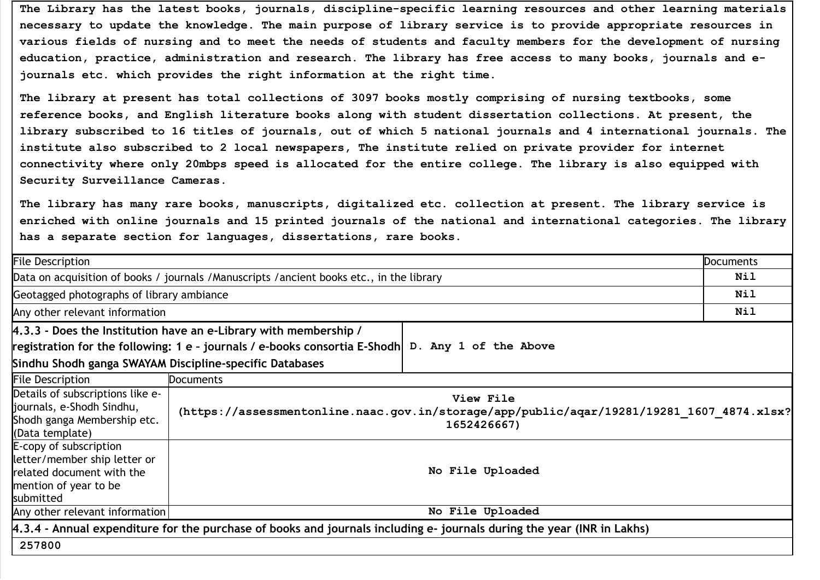The Library has the latest books, journals, discipline-specific learning resources and other learning materials necessary to update the knowledge. The main purpose of library service is to provide appropriate resources in various fields of nursing and to meet the needs of students and faculty members for the development of nursing education, practice, administration and research. The library has free access to many books, journals and ejournals etc. which provides the right information at the right time.

The library at present has total collections of 3097 books mostly comprising of nursing textbooks, some reference books, and English literature books along with student dissertation collections. At present, the library subscribed to 16 titles of journals, out of which 5 national journals and 4 international journals. The institute also subscribed to 2 local newspapers, The institute relied on private provider for internet connectivity where only 20mbps speed is allocated for the entire college. The library is also equipped with Security Surveillance Cameras.

The library has many rare books, manuscripts, digitalized etc. collection at present. The library service is enriched with online journals and 15 printed journals of the national and international categories. The library has a separate section for languages, dissertations, rare books.

| <b>File Description</b>                                                                                                   |                                                                                            |                          | <b>Documents</b> |
|---------------------------------------------------------------------------------------------------------------------------|--------------------------------------------------------------------------------------------|--------------------------|------------------|
|                                                                                                                           | Data on acquisition of books / journals / Manuscripts / ancient books etc., in the library |                          | Nil              |
| Geotagged photographs of library ambiance                                                                                 |                                                                                            |                          | Nil              |
| Any other relevant information                                                                                            |                                                                                            |                          | Nil              |
|                                                                                                                           | 4.3.3 - Does the Institution have an e-Library with membership /                           |                          |                  |
|                                                                                                                           | registration for the following: 1 e - journals / e-books consortia E-Shodh                 | D. Any 1 of the Above    |                  |
|                                                                                                                           | Sindhu Shodh ganga SWAYAM Discipline-specific Databases                                    |                          |                  |
| <b>File Description</b>                                                                                                   | <b>Documents</b>                                                                           |                          |                  |
| Details of subscriptions like e-<br>journals, e-Shodh Sindhu,<br>Shodh ganga Membership etc.<br>(Data template)           | (https://assessmentonline.naac.gov.in/storage/app/public/aqar/19281/19281 1607 4874.xlsx?  | View File<br>1652426667) |                  |
| E-copy of subscription<br>letter/member ship letter or<br>related document with the<br>mention of year to be<br>submitted | No File Uploaded                                                                           |                          |                  |
| Any other relevant information                                                                                            | No File Uploaded                                                                           |                          |                  |
| 4.3.4 - Annual expenditure for the purchase of books and journals including e- journals during the year (INR in Lakhs)    |                                                                                            |                          |                  |
| 257800                                                                                                                    |                                                                                            |                          |                  |
|                                                                                                                           |                                                                                            |                          |                  |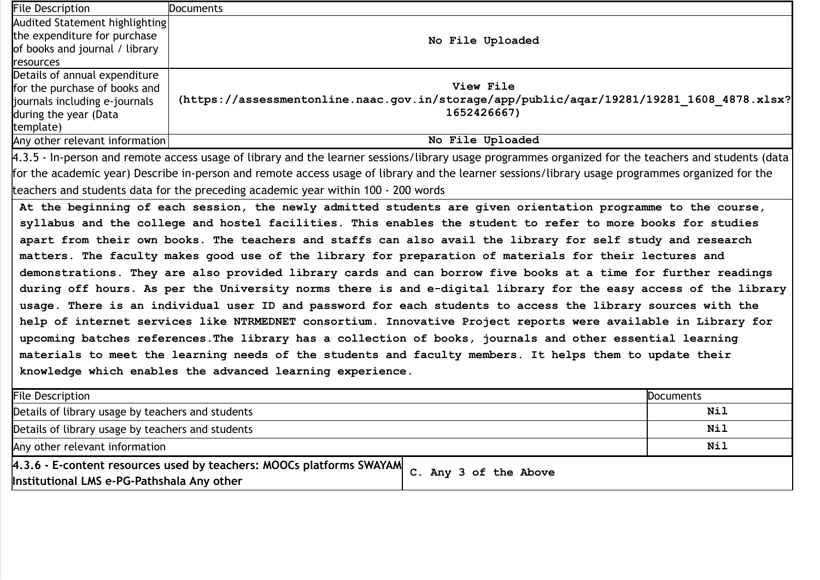| <b>File Description</b>                                                                                         | <b>Documents</b>                                                                                                                                     |  |  |
|-----------------------------------------------------------------------------------------------------------------|------------------------------------------------------------------------------------------------------------------------------------------------------|--|--|
| Audited Statement highlighting                                                                                  |                                                                                                                                                      |  |  |
| the expenditure for purchase                                                                                    | No File Uploaded                                                                                                                                     |  |  |
| of books and journal / library                                                                                  |                                                                                                                                                      |  |  |
| resources                                                                                                       |                                                                                                                                                      |  |  |
| Details of annual expenditure                                                                                   |                                                                                                                                                      |  |  |
| for the purchase of books and                                                                                   | View File<br>(https://assessmentonline.naac.gov.in/storage/app/public/aqar/19281/19281 1608 4878.xlsx?                                               |  |  |
| journals including e-journals                                                                                   | 1652426667)                                                                                                                                          |  |  |
| during the year (Data<br>template)                                                                              |                                                                                                                                                      |  |  |
| Any other relevant information                                                                                  | No File Uploaded                                                                                                                                     |  |  |
|                                                                                                                 | 4.3.5 - In-person and remote access usage of library and the learner sessions/library usage programmes organized for the teachers and students (data |  |  |
|                                                                                                                 | for the academic year) Describe in-person and remote access usage of library and the learner sessions/library usage programmes organized for the     |  |  |
|                                                                                                                 | teachers and students data for the preceding academic year within 100 - 200 words                                                                    |  |  |
|                                                                                                                 |                                                                                                                                                      |  |  |
|                                                                                                                 | At the beginning of each session, the newly admitted students are given orientation programme to the course,                                         |  |  |
|                                                                                                                 | syllabus and the college and hostel facilities. This enables the student to refer to more books for studies                                          |  |  |
| apart from their own books. The teachers and staffs can also avail the library for self study and research      |                                                                                                                                                      |  |  |
| matters. The faculty makes good use of the library for preparation of materials for their lectures and          |                                                                                                                                                      |  |  |
| demonstrations. They are also provided library cards and can borrow five books at a time for further readings   |                                                                                                                                                      |  |  |
| during off hours. As per the University norms there is and e-digital library for the easy access of the library |                                                                                                                                                      |  |  |
| usage. There is an individual user ID and password for each students to access the library sources with the     |                                                                                                                                                      |  |  |
| help of internet services like NTRMEDNET consortium. Innovative Project reports were available in Library for   |                                                                                                                                                      |  |  |
| upcoming batches references. The library has a collection of books, journals and other essential learning       |                                                                                                                                                      |  |  |
| materials to meet the learning needs of the students and faculty members. It helps them to update their         |                                                                                                                                                      |  |  |
| knowledge which enables the advanced learning experience.                                                       |                                                                                                                                                      |  |  |
| <b>File Description</b><br><b>Documents</b>                                                                     |                                                                                                                                                      |  |  |
| Nil<br>Details of library usage by teachers and students                                                        |                                                                                                                                                      |  |  |
| <b>Nil</b><br>Details of library usage by teachers and students                                                 |                                                                                                                                                      |  |  |
| Any other relevant information                                                                                  | Nil                                                                                                                                                  |  |  |
|                                                                                                                 | 4.3.6 - E-content resources used by teachers: MOOCs platforms SWAYAM                                                                                 |  |  |
| Institutional LMS e-PG-Pathshala Any other                                                                      | C. Any 3 of the Above                                                                                                                                |  |  |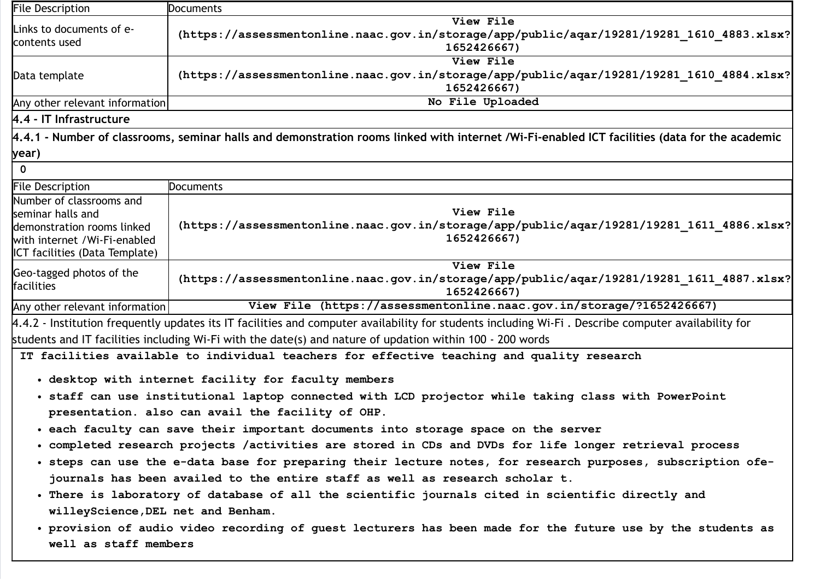| <b>File Description</b>                                        | <b>Documents</b>                                                                                                                                    |  |
|----------------------------------------------------------------|-----------------------------------------------------------------------------------------------------------------------------------------------------|--|
| Links to documents of e-                                       | View File                                                                                                                                           |  |
| contents used                                                  | (https://assessmentonline.naac.gov.in/storage/app/public/aqar/19281/19281 1610 4883.xlsx?<br>1652426667)                                            |  |
|                                                                | View File                                                                                                                                           |  |
| Data template                                                  | (https://assessmentonline.naac.gov.in/storage/app/public/aqar/19281/19281_1610_4884.xlsx?<br>1652426667)                                            |  |
| Any other relevant information                                 | No File Uploaded                                                                                                                                    |  |
| 4.4 - IT Infrastructure                                        |                                                                                                                                                     |  |
|                                                                | 4.4.1 - Number of classrooms, seminar halls and demonstration rooms linked with internet /Wi-Fi-enabled ICT facilities (data for the academic       |  |
| year)                                                          |                                                                                                                                                     |  |
| $\mathbf 0$                                                    |                                                                                                                                                     |  |
| <b>File Description</b>                                        | Documents                                                                                                                                           |  |
| Number of classrooms and                                       |                                                                                                                                                     |  |
| seminar halls and                                              | View File                                                                                                                                           |  |
| demonstration rooms linked                                     | (https://assessmentonline.naac.gov.in/storage/app/public/aqar/19281/19281_1611_4886.xlsx?<br>1652426667)                                            |  |
| with internet /Wi-Fi-enabled<br>ICT facilities (Data Template) |                                                                                                                                                     |  |
|                                                                | View File                                                                                                                                           |  |
| Geo-tagged photos of the<br>facilities                         | (https://assessmentonline.naac.gov.in/storage/app/public/aqar/19281/19281 1611 4887.xlsx?<br>1652426667)                                            |  |
| Any other relevant information                                 | View File (https://assessmentonline.naac.gov.in/storage/?1652426667)                                                                                |  |
|                                                                | 4.4.2 - Institution frequently updates its IT facilities and computer availability for students including Wi-Fi. Describe computer availability for |  |
|                                                                | students and IT facilities including Wi-Fi with the date(s) and nature of updation within 100 - 200 words                                           |  |
|                                                                | IT facilities available to individual teachers for effective teaching and quality research                                                          |  |
|                                                                | . desktop with internet facility for faculty members                                                                                                |  |
|                                                                | . staff can use institutional laptop connected with LCD projector while taking class with PowerPoint                                                |  |
|                                                                | presentation. also can avail the facility of OHP.                                                                                                   |  |
|                                                                | . each faculty can save their important documents into storage space on the server                                                                  |  |
|                                                                | completed research projects /activities are stored in CDs and DVDs for life longer retrieval process •                                              |  |
|                                                                | · steps can use the e-data base for preparing their lecture notes, for research purposes, subscription ofe-                                         |  |
|                                                                | journals has been availed to the entire staff as well as research scholar t.                                                                        |  |
|                                                                | . There is laboratory of database of all the scientific journals cited in scientific directly and                                                   |  |
| willeyScience, DEL net and Benham.                             |                                                                                                                                                     |  |
|                                                                | • provision of audio video recording of guest lecturers has been made for the future use by the students as                                         |  |
| well as staff members                                          |                                                                                                                                                     |  |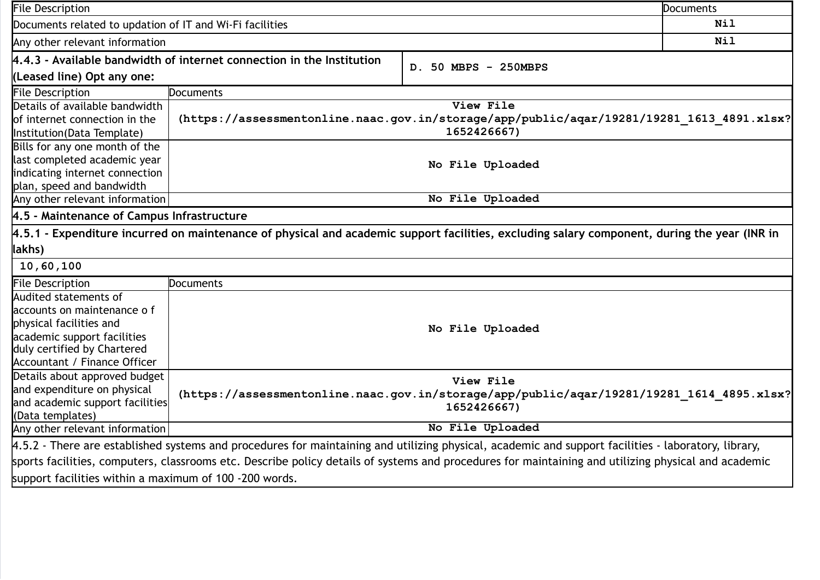| <b>File Description</b>                                                                                                                             |                                                                                           | Documents                                                                                                                                    |     |
|-----------------------------------------------------------------------------------------------------------------------------------------------------|-------------------------------------------------------------------------------------------|----------------------------------------------------------------------------------------------------------------------------------------------|-----|
| Documents related to updation of IT and Wi-Fi facilities                                                                                            |                                                                                           | Nil                                                                                                                                          |     |
| Any other relevant information                                                                                                                      |                                                                                           |                                                                                                                                              | Nil |
| 4.4.3 - Available bandwidth of internet connection in the Institution                                                                               |                                                                                           | D. 50 MBPS - 250MBPS                                                                                                                         |     |
| (Leased line) Opt any one:                                                                                                                          |                                                                                           |                                                                                                                                              |     |
| <b>File Description</b>                                                                                                                             | Documents                                                                                 |                                                                                                                                              |     |
| Details of available bandwidth                                                                                                                      |                                                                                           | View File                                                                                                                                    |     |
| of internet connection in the                                                                                                                       |                                                                                           | (https://assessmentonline.naac.gov.in/storage/app/public/aqar/19281/19281 1613 4891.xlsx?                                                    |     |
| Institution(Data Template)                                                                                                                          |                                                                                           | 1652426667)                                                                                                                                  |     |
| Bills for any one month of the                                                                                                                      |                                                                                           |                                                                                                                                              |     |
| last completed academic year                                                                                                                        |                                                                                           | No File Uploaded                                                                                                                             |     |
| indicating internet connection                                                                                                                      |                                                                                           |                                                                                                                                              |     |
| plan, speed and bandwidth                                                                                                                           |                                                                                           |                                                                                                                                              |     |
| Any other relevant information                                                                                                                      |                                                                                           | No File Uploaded                                                                                                                             |     |
| 4.5 - Maintenance of Campus Infrastructure                                                                                                          |                                                                                           |                                                                                                                                              |     |
|                                                                                                                                                     |                                                                                           | 4.5.1 - Expenditure incurred on maintenance of physical and academic support facilities, excluding salary component, during the year (INR in |     |
| lakhs)                                                                                                                                              |                                                                                           |                                                                                                                                              |     |
| 10,60,100                                                                                                                                           |                                                                                           |                                                                                                                                              |     |
| <b>File Description</b>                                                                                                                             | <b>Documents</b>                                                                          |                                                                                                                                              |     |
| Audited statements of                                                                                                                               |                                                                                           |                                                                                                                                              |     |
| accounts on maintenance o f                                                                                                                         |                                                                                           |                                                                                                                                              |     |
| physical facilities and                                                                                                                             | No File Uploaded                                                                          |                                                                                                                                              |     |
| academic support facilities                                                                                                                         |                                                                                           |                                                                                                                                              |     |
| duly certified by Chartered                                                                                                                         |                                                                                           |                                                                                                                                              |     |
| Accountant / Finance Officer                                                                                                                        |                                                                                           |                                                                                                                                              |     |
| Details about approved budget                                                                                                                       |                                                                                           | View File                                                                                                                                    |     |
| and expenditure on physical                                                                                                                         | (https://assessmentonline.naac.gov.in/storage/app/public/aqar/19281/19281 1614 4895.xlsx? |                                                                                                                                              |     |
| and academic support facilities                                                                                                                     |                                                                                           | 1652426667)                                                                                                                                  |     |
| (Data templates)                                                                                                                                    |                                                                                           |                                                                                                                                              |     |
| Any other relevant information                                                                                                                      |                                                                                           | No File Uploaded                                                                                                                             |     |
| 4.5.2 - There are established systems and procedures for maintaining and utilizing physical, academic and support facilities - laboratory, library, |                                                                                           |                                                                                                                                              |     |
| sports facilities, computers, classrooms etc. Describe policy details of systems and procedures for maintaining and utilizing physical and academic |                                                                                           |                                                                                                                                              |     |
| support facilities within a maximum of 100 -200 words.                                                                                              |                                                                                           |                                                                                                                                              |     |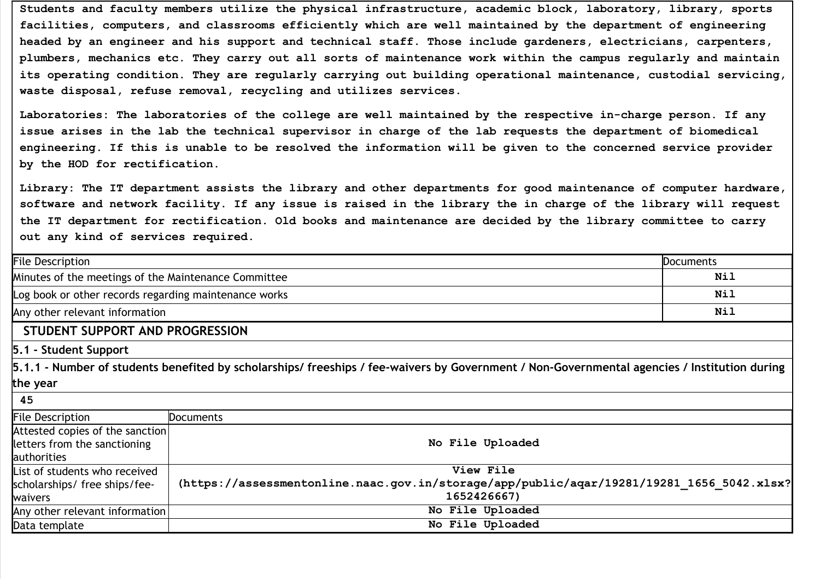Students and faculty members utilize the physical infrastructure, academic block, laboratory, library, sports facilities, computers, and classrooms efficiently which are well maintained by the department of engineering headed by an engineer and his support and technical staff. Those include gardeners, electricians, carpenters, plumbers, mechanics etc. They carry out all sorts of maintenance work within the campus regularly and maintain its operating condition. They are regularly carrying out building operational maintenance, custodial servicing, waste disposal, refuse removal, recycling and utilizes services.

Laboratories: The laboratories of the college are well maintained by the respective in-charge person. If any issue arises in the lab the technical supervisor in charge of the lab requests the department of biomedical engineering. If this is unable to be resolved the information will be given to the concerned service provider by the HOD for rectification.

Library: The IT department assists the library and other departments for good maintenance of computer hardware, software and network facility. If any issue is raised in the library the in charge of the library will request the IT department for rectification. Old books and maintenance are decided by the library committee to carry out any kind of services required.

| <b>File Description</b>                                                        |                                                                                                                                              | <b>Documents</b> |  |  |
|--------------------------------------------------------------------------------|----------------------------------------------------------------------------------------------------------------------------------------------|------------------|--|--|
| Minutes of the meetings of the Maintenance Committee                           |                                                                                                                                              | Nil              |  |  |
|                                                                                | Nil<br>Log book or other records regarding maintenance works                                                                                 |                  |  |  |
| Any other relevant information                                                 |                                                                                                                                              | Nil              |  |  |
| STUDENT SUPPORT AND PROGRESSION                                                |                                                                                                                                              |                  |  |  |
| 5.1 - Student Support                                                          |                                                                                                                                              |                  |  |  |
|                                                                                | 5.1.1 - Number of students benefited by scholarships/ freeships / fee-waivers by Government / Non-Governmental agencies / Institution during |                  |  |  |
| the year                                                                       |                                                                                                                                              |                  |  |  |
| 45                                                                             |                                                                                                                                              |                  |  |  |
| <b>File Description</b>                                                        | <b>Documents</b>                                                                                                                             |                  |  |  |
| Attested copies of the sanction<br>letters from the sanctioning<br>authorities | No File Uploaded                                                                                                                             |                  |  |  |
| List of students who received                                                  | View File                                                                                                                                    |                  |  |  |
| scholarships/ free ships/fee-                                                  | (https://assessmentonline.naac.gov.in/storage/app/public/aqar/19281/19281 1656 5042.xlsx?                                                    |                  |  |  |
| waivers                                                                        | 1652426667)                                                                                                                                  |                  |  |  |
| Any other relevant information                                                 | No File Uploaded                                                                                                                             |                  |  |  |
| Data template                                                                  | No File Uploaded                                                                                                                             |                  |  |  |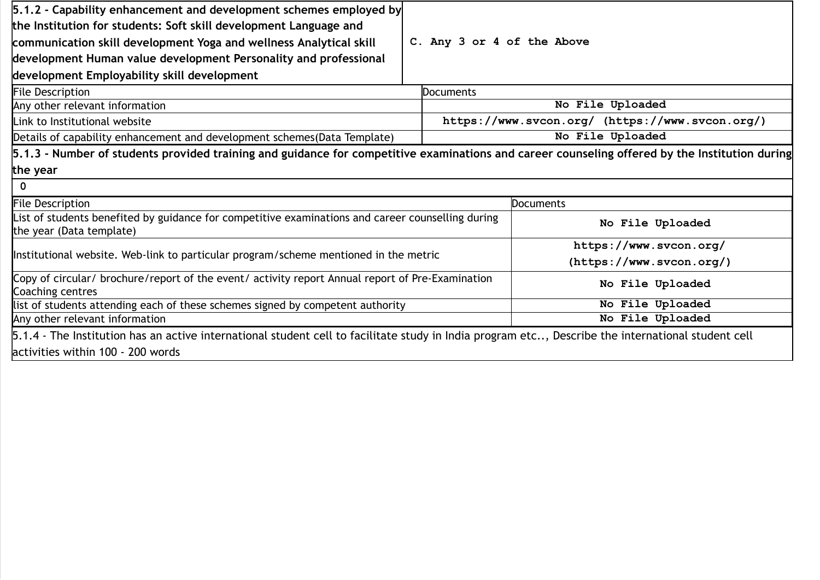| 5.1.2 - Capability enhancement and development schemes employed by                                                                                 |                  |                                                 |  |
|----------------------------------------------------------------------------------------------------------------------------------------------------|------------------|-------------------------------------------------|--|
| the Institution for students: Soft skill development Language and                                                                                  |                  |                                                 |  |
| communication skill development Yoga and wellness Analytical skill                                                                                 |                  | C. Any 3 or 4 of the Above                      |  |
| development Human value development Personality and professional                                                                                   |                  |                                                 |  |
| development Employability skill development                                                                                                        |                  |                                                 |  |
| <b>File Description</b>                                                                                                                            | <b>Documents</b> |                                                 |  |
| Any other relevant information                                                                                                                     |                  | No File Uploaded                                |  |
| Link to Institutional website                                                                                                                      |                  | https://www.svcon.org/ (https://www.svcon.org/) |  |
| Details of capability enhancement and development schemes (Data Template)                                                                          |                  | No File Uploaded                                |  |
| 5.1.3 - Number of students provided training and guidance for competitive examinations and career counseling offered by the Institution during     |                  |                                                 |  |
| the year                                                                                                                                           |                  |                                                 |  |
| $\Omega$                                                                                                                                           |                  |                                                 |  |
| <b>File Description</b>                                                                                                                            |                  | <b>Documents</b>                                |  |
| List of students benefited by guidance for competitive examinations and career counselling during<br>the year (Data template)                      |                  | No File Uploaded                                |  |
| Institutional website. Web-link to particular program/scheme mentioned in the metric                                                               |                  | https://www.svcon.org/                          |  |
|                                                                                                                                                    |                  | (https://www.svcon.org/)                        |  |
| Copy of circular/ brochure/report of the event/ activity report Annual report of Pre-Examination<br>Coaching centres                               |                  | No File Uploaded                                |  |
| list of students attending each of these schemes signed by competent authority                                                                     |                  | No File Uploaded                                |  |
| Any other relevant information                                                                                                                     |                  | No File Uploaded                                |  |
| 5.1.4 - The Institution has an active international student cell to facilitate study in India program etc, Describe the international student cell |                  |                                                 |  |
| activities within 100 - 200 words                                                                                                                  |                  |                                                 |  |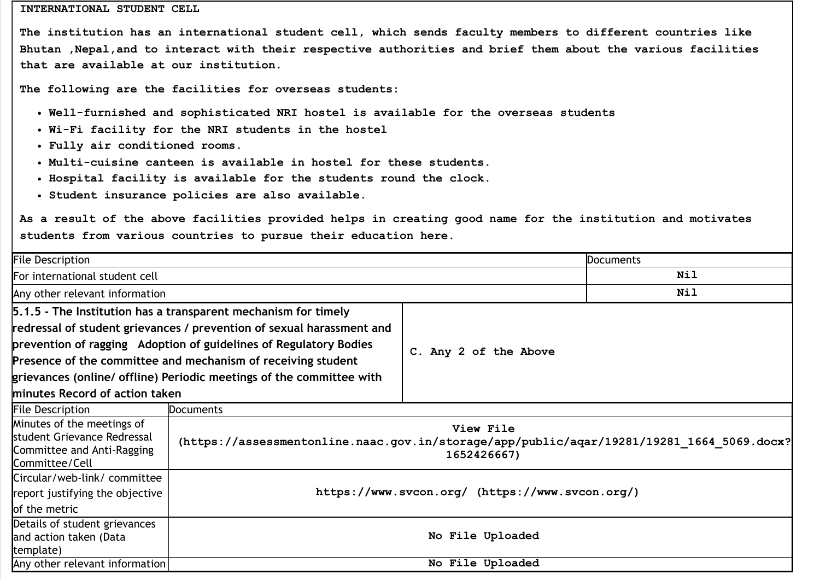#### INTERNATIONAL STUDENT CELL

The institution has an international student cell, which sends faculty members to different countries like Bhutan ,Nepal,and to interact with their respective authorities and brief them about the various facilities that are available at our institution.

The following are the facilities for overseas students:

- Well-furnished and sophisticated NRI hostel is available for the overseas students
- Wi-Fi facility for the NRI students in the hostel
- Fully air conditioned rooms.
- Multi-cuisine canteen is available in hostel for these students.
- $\bullet$  Hospital facility is available for the students round the clock.
- Student insurance policies are also available.

As a result of the above facilities provided helps in creating good name for the institution and motivates students from various countries to pursue their education here.

| <b>File Description</b>                                                                                                                                                                                                                                                                                                                                                                |                                                                                                                       |                       | <b>Documents</b> |  |
|----------------------------------------------------------------------------------------------------------------------------------------------------------------------------------------------------------------------------------------------------------------------------------------------------------------------------------------------------------------------------------------|-----------------------------------------------------------------------------------------------------------------------|-----------------------|------------------|--|
| For international student cell                                                                                                                                                                                                                                                                                                                                                         |                                                                                                                       |                       | Nil              |  |
| Any other relevant information                                                                                                                                                                                                                                                                                                                                                         |                                                                                                                       |                       | Nil              |  |
| 5.1.5 - The Institution has a transparent mechanism for timely<br>redressal of student grievances / prevention of sexual harassment and<br>prevention of ragging Adoption of guidelines of Regulatory Bodies<br>Presence of the committee and mechanism of receiving student<br>grievances (online/ offline) Periodic meetings of the committee with<br>minutes Record of action taken |                                                                                                                       | C. Any 2 of the Above |                  |  |
| <b>File Description</b>                                                                                                                                                                                                                                                                                                                                                                | Documents                                                                                                             |                       |                  |  |
| Minutes of the meetings of<br>student Grievance Redressal<br>Committee and Anti-Ragging<br>Committee/Cell                                                                                                                                                                                                                                                                              | View File<br>(https://assessmentonline.naac.gov.in/storage/app/public/aqar/19281/19281 1664 5069.docx?<br>1652426667) |                       |                  |  |
| Circular/web-link/ committee<br>report justifying the objective<br>of the metric                                                                                                                                                                                                                                                                                                       | https://www.svcon.org/ (https://www.svcon.org/)                                                                       |                       |                  |  |
| Details of student grievances<br>and action taken (Data<br>template)                                                                                                                                                                                                                                                                                                                   |                                                                                                                       | No File Uploaded      |                  |  |
| Any other relevant information                                                                                                                                                                                                                                                                                                                                                         |                                                                                                                       | No File Uploaded      |                  |  |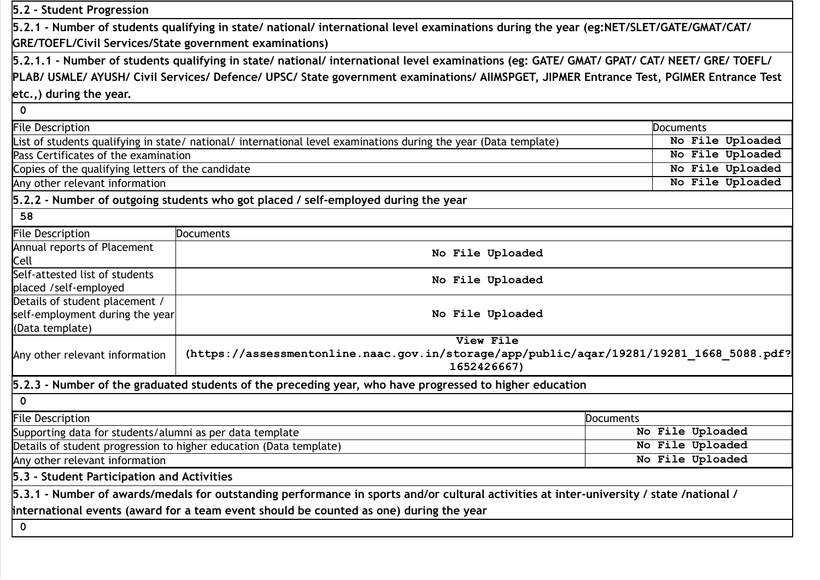| 5.2 - Student Progression                                                            |                                                                                                                                                                                                                                    |                  |  |
|--------------------------------------------------------------------------------------|------------------------------------------------------------------------------------------------------------------------------------------------------------------------------------------------------------------------------------|------------------|--|
|                                                                                      | 5.2.1 - Number of students qualifying in state/ national/ international level examinations during the year (eg:NET/SLET/GATE/GMAT/CAT/                                                                                             |                  |  |
| <b>GRE/TOEFL/Civil Services/State government examinations)</b>                       |                                                                                                                                                                                                                                    |                  |  |
|                                                                                      | 5.2.1.1 - Number of students qualifying in state/ national/ international level examinations (eg: GATE/ GMAT/ GPAT/ CAT/ NEET/ GRE/ TOEFL/                                                                                         |                  |  |
|                                                                                      | PLAB/ USMLE/ AYUSH/ Civil Services/ Defence/ UPSC/ State government examinations/ AllMSPGET, JIPMER Entrance Test, PGIMER Entrance Test                                                                                            |                  |  |
| etc.,) during the year.                                                              |                                                                                                                                                                                                                                    |                  |  |
| $\mathbf 0$                                                                          |                                                                                                                                                                                                                                    |                  |  |
| <b>File Description</b>                                                              |                                                                                                                                                                                                                                    | Documents        |  |
|                                                                                      | List of students qualifying in state/ national/ international level examinations during the year (Data template)                                                                                                                   | No File Uploaded |  |
| Pass Certificates of the examination                                                 |                                                                                                                                                                                                                                    | No File Uploaded |  |
| Copies of the qualifying letters of the candidate                                    |                                                                                                                                                                                                                                    | No File Uploaded |  |
| Any other relevant information                                                       |                                                                                                                                                                                                                                    | No File Uploaded |  |
|                                                                                      | 5.2.2 - Number of outgoing students who got placed / self-employed during the year                                                                                                                                                 |                  |  |
| 58                                                                                   |                                                                                                                                                                                                                                    |                  |  |
| <b>File Description</b>                                                              | <b>Documents</b>                                                                                                                                                                                                                   |                  |  |
| Annual reports of Placement<br>Cell                                                  | No File Uploaded                                                                                                                                                                                                                   |                  |  |
| Self-attested list of students<br>placed /self-employed                              | No File Uploaded                                                                                                                                                                                                                   |                  |  |
| Details of student placement /<br>self-employment during the year<br>(Data template) | No File Uploaded                                                                                                                                                                                                                   |                  |  |
| Any other relevant information                                                       | View File<br>(https://assessmentonline.naac.gov.in/storage/app/public/aqar/19281/19281 1668 5088.pdf?<br>1652426667)                                                                                                               |                  |  |
|                                                                                      | 5.2.3 - Number of the graduated students of the preceding year, who have progressed to higher education                                                                                                                            |                  |  |
| 0                                                                                    |                                                                                                                                                                                                                                    |                  |  |
| <b>File Description</b>                                                              |                                                                                                                                                                                                                                    | Documents        |  |
| Supporting data for students/alumni as per data template                             |                                                                                                                                                                                                                                    | No File Uploaded |  |
| Details of student progression to higher education (Data template)                   |                                                                                                                                                                                                                                    | No File Uploaded |  |
| Any other relevant information                                                       |                                                                                                                                                                                                                                    | No File Uploaded |  |
| 5.3 - Student Participation and Activities                                           |                                                                                                                                                                                                                                    |                  |  |
|                                                                                      | 5.3.1 - Number of awards/medals for outstanding performance in sports and/or cultural activities at inter-university / state /national /<br>international events (award for a team event should be counted as one) during the year |                  |  |
| $\mathbf 0$                                                                          |                                                                                                                                                                                                                                    |                  |  |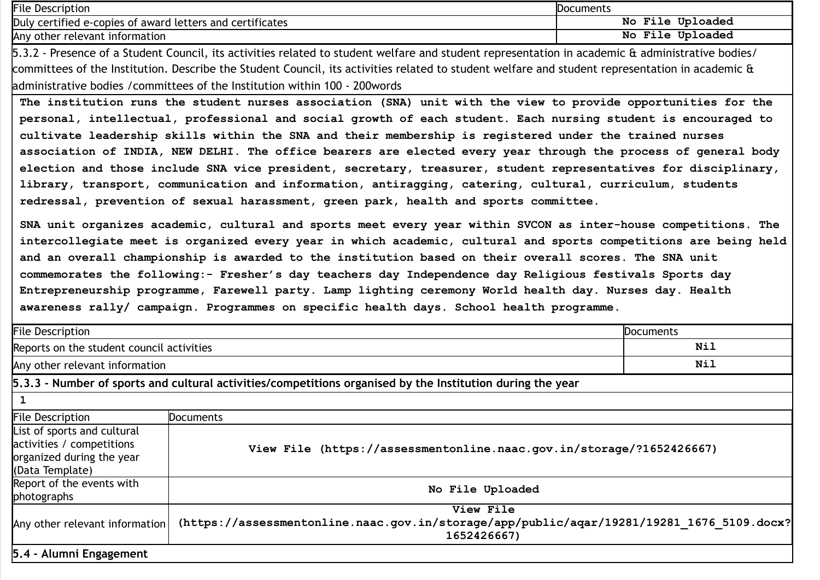| <b>File Description</b>                                                                                                                          | Documents        |  |
|--------------------------------------------------------------------------------------------------------------------------------------------------|------------------|--|
| Duly certified e-copies of award letters and certificates                                                                                        | No File Uploaded |  |
| Any other relevant information                                                                                                                   | No File Uploaded |  |
| 5.3.2 - Presence of a Student Council, its activities related to student welfare and student representation in academic & administrative bodies/ |                  |  |
| committees of the Institution. Describe the Student Council, its activities related to student welfare and student representation in academic &  |                  |  |
| administrative bodies / committees of the Institution within 100 - 200 words                                                                     |                  |  |
| The institution runs the student nurses association (SNA) unit with the view to provide opportunities for the                                    |                  |  |
| personal, intellectual, professional and social growth of each student. Each nursing student is encouraged to                                    |                  |  |
| cultivate leadership skills within the SNA and their membership is registered under the trained nurses                                           |                  |  |
| association of INDIA, NEW DELHI. The office bearers are elected every year through the process of general body                                   |                  |  |
| election and those include SNA vice president, secretary, treasurer, student representatives for disciplinary,                                   |                  |  |
| library transport communication and information antiraccing catering cultural curriculum students                                                |                  |  |

communication and information, antiragging, catering, redressal, prevention of sexual harassment, green park, health and sports committee.

SNA unit organizes academic, cultural and sports meet every year within SVCON as inter-house competitions. The intercollegiate meet is organized every year in which academic, cultural and sports competitions are being held and an overall championship is awarded to the institution based on their overall scores. The SNA unit commemorates the following:- Fresher's day teachers day Independence day Religious festivals Sports day Entrepreneurship programme, Farewell party. Lamp lighting ceremony World health day. Nurses day. Health awareness rally/ campaign. Programmes on specific health days. School health programme.

| File Description                                                                                         |                                                                                                                       | Documents |
|----------------------------------------------------------------------------------------------------------|-----------------------------------------------------------------------------------------------------------------------|-----------|
| Reports on the student council activities                                                                |                                                                                                                       | Nil       |
| Any other relevant information                                                                           |                                                                                                                       | Nil       |
|                                                                                                          | 5.3.3 - Number of sports and cultural activities/competitions organised by the Institution during the year            |           |
|                                                                                                          |                                                                                                                       |           |
| <b>File Description</b>                                                                                  | <b>Documents</b>                                                                                                      |           |
| List of sports and cultural<br>activities / competitions<br>organized during the year<br>(Data Template) | View File (https://assessmentonline.naac.gov.in/storage/?1652426667)                                                  |           |
| Report of the events with<br>photographs                                                                 | No File Uploaded                                                                                                      |           |
| Any other relevant information                                                                           | View File<br>(https://assessmentonline.naac.gov.in/storage/app/public/aqar/19281/19281 1676 5109.docx?<br>1652426667) |           |
| 5.4 - Alumni Engagement                                                                                  |                                                                                                                       |           |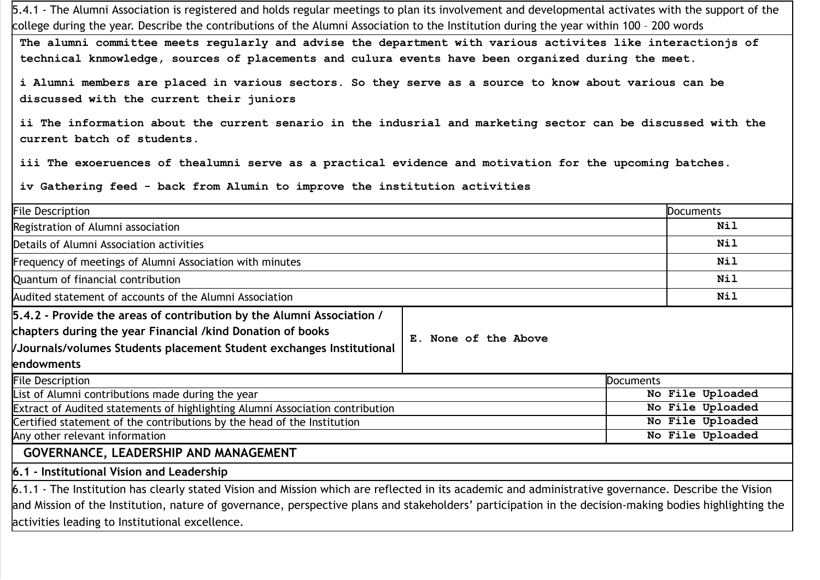5.4.1 - The Alumni Association is registered and holds regular meetings to plan its involvement and developmental activates with the support of the college during the year. Describe the contributions of the Alumni Association to the Institution during the year within 100 – 200 words

The alumni committee meets regularly and advise the department with various activites like interactionjs of technical knmowledge, sources of placements and culura events have been organized during the meet.

i Alumni members are placed in various sectors. So they serve as a source to know about various can be discussed with the current their juniors

ii The information about the current senario in the indusrial and marketing sector can be discussed with the current batch of students.

iii The exoeruences of thealumni serve as a practical evidence and motivation for the upcoming batches.

iv Gathering feed - back from Alumin to improve the institution activities

| <b>File Description</b>                                                                                                                                                                                                                                                                                                                                           |                      | <b>Documents</b> |
|-------------------------------------------------------------------------------------------------------------------------------------------------------------------------------------------------------------------------------------------------------------------------------------------------------------------------------------------------------------------|----------------------|------------------|
| Registration of Alumni association                                                                                                                                                                                                                                                                                                                                |                      | Nil              |
| Details of Alumni Association activities                                                                                                                                                                                                                                                                                                                          |                      | <b>Nil</b>       |
| Frequency of meetings of Alumni Association with minutes                                                                                                                                                                                                                                                                                                          |                      | <b>Nil</b>       |
| Quantum of financial contribution                                                                                                                                                                                                                                                                                                                                 |                      | Nil              |
| Audited statement of accounts of the Alumni Association                                                                                                                                                                                                                                                                                                           |                      | Nil              |
| 5.4.2 - Provide the areas of contribution by the Alumni Association /                                                                                                                                                                                                                                                                                             |                      |                  |
| chapters during the year Financial /kind Donation of books                                                                                                                                                                                                                                                                                                        | E. None of the Above |                  |
| /Journals/volumes Students placement Student exchanges Institutional                                                                                                                                                                                                                                                                                              |                      |                  |
| endowments                                                                                                                                                                                                                                                                                                                                                        |                      |                  |
| <b>File Description</b>                                                                                                                                                                                                                                                                                                                                           | <b>Documents</b>     |                  |
| List of Alumni contributions made during the year                                                                                                                                                                                                                                                                                                                 |                      | No File Uploaded |
| Extract of Audited statements of highlighting Alumni Association contribution                                                                                                                                                                                                                                                                                     |                      | No File Uploaded |
| Certified statement of the contributions by the head of the Institution                                                                                                                                                                                                                                                                                           |                      | No File Uploaded |
| Any other relevant information                                                                                                                                                                                                                                                                                                                                    |                      | No File Uploaded |
| GOVERNANCE, LEADERSHIP AND MANAGEMENT                                                                                                                                                                                                                                                                                                                             |                      |                  |
| 6.1 - Institutional Vision and Leadership                                                                                                                                                                                                                                                                                                                         |                      |                  |
| 6.1.1 - The Institution has clearly stated Vision and Mission which are reflected in its academic and administrative governance. Describe the Vision<br>and Mission of the Institution, nature of governance, perspective plans and stakeholders' participation in the decision-making bodies highlighting the<br>activities leading to Institutional excellence. |                      |                  |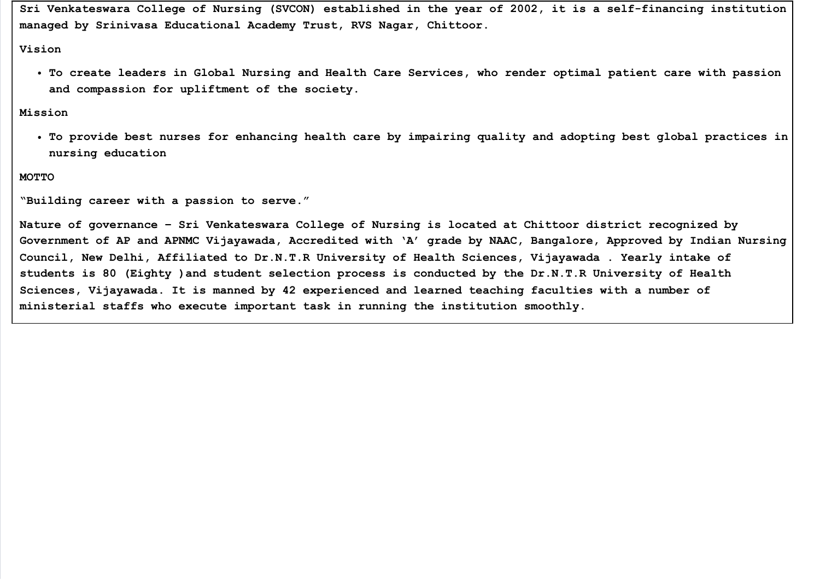Sri Venkateswara College of Nursing (SVCON) established in the year of 2002, it is a self-financing institution managed by Srinivasa Educational Academy Trust, RVS Nagar, Chittoor.

#### Vision

To create leaders in Global Nursing and Health Care Services, who render optimal patient care with passion and compassion for upliftment of the society.

#### Mission

To provide best nurses for enhancing health care by impairing quality and adopting best global practices in nursing education

#### MOTTO

"Building career with a passion to serve."

Nature of governance – Sri Venkateswara College of Nursing is located at Chittoor district recognized by Government of AP and APNMC Vijayawada, Accredited with 'A' grade by NAAC, Bangalore, Approved by Indian Nursing Council, New Delhi, Affiliated to Dr.N.T.R University of Health Sciences, Vijayawada . Yearly intake of students is 80 (Eighty )and student selection process is conducted by the Dr.N.T.R University of Health Sciences, Vijayawada. It is manned by 42 experienced and learned teaching faculties with a number of ministerial staffs who execute important task in running the institution smoothly.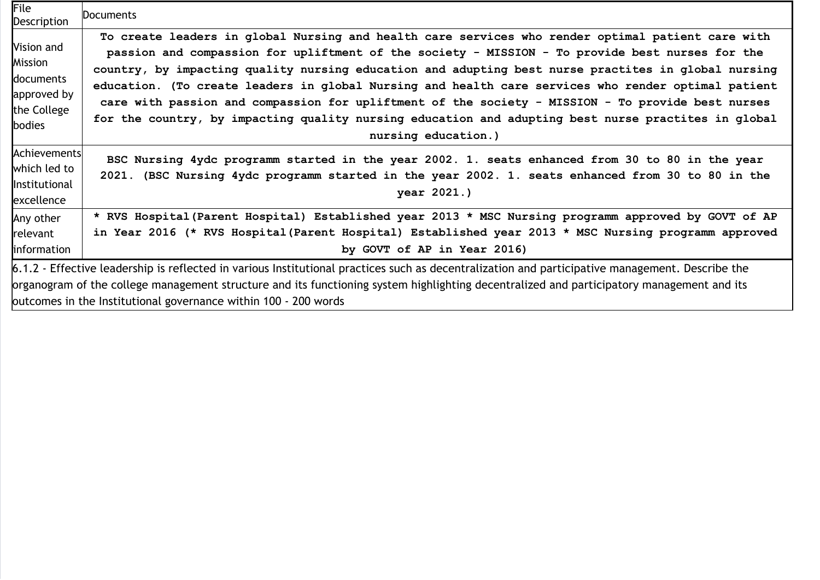| File<br><b>Description</b>                                                 | Documents                                                                                                                                                                                                                                                                                                                                                                                                                                                                                                                                                                                                                                             |
|----------------------------------------------------------------------------|-------------------------------------------------------------------------------------------------------------------------------------------------------------------------------------------------------------------------------------------------------------------------------------------------------------------------------------------------------------------------------------------------------------------------------------------------------------------------------------------------------------------------------------------------------------------------------------------------------------------------------------------------------|
| Vision and<br>Mission<br>documents<br>approved by<br>the College<br>bodies | To create leaders in global Nursing and health care services who render optimal patient care with<br>passion and compassion for upliftment of the society - MISSION - To provide best nurses for the<br>country, by impacting quality nursing education and adupting best nurse practites in global nursing<br>education. (To create leaders in global Nursing and health care services who render optimal patient<br>care with passion and compassion for upliftment of the society - MISSION - To provide best nurses<br>for the country, by impacting quality nursing education and adupting best nurse practites in global<br>nursing education.) |
| Achievements<br>which led to<br>Institutional<br>excellence                | BSC Nursing 4ydc programm started in the year 2002. 1. seats enhanced from 30 to 80 in the year<br>2021. (BSC Nursing 4ydc programm started in the year 2002. 1. seats enhanced from 30 to 80 in the<br>year 2021.)                                                                                                                                                                                                                                                                                                                                                                                                                                   |
| Any other<br>relevant<br>information                                       | * RVS Hospital (Parent Hospital) Established year 2013 * MSC Nursing programm approved by GOVT of AP<br>in Year 2016 (* RVS Hospital (Parent Hospital) Established year 2013 * MSC Nursing programm approved<br>by GOVT of AP in Year 2016)                                                                                                                                                                                                                                                                                                                                                                                                           |
|                                                                            | 6.1.2 - Effective leadership is reflected in various Institutional practices such as decentralization and participative management. Describe the<br>organogram of the college management structure and its functioning system highlighting decentralized and participatory management and its<br>outcomes in the Institutional governance within 100 - 200 words                                                                                                                                                                                                                                                                                      |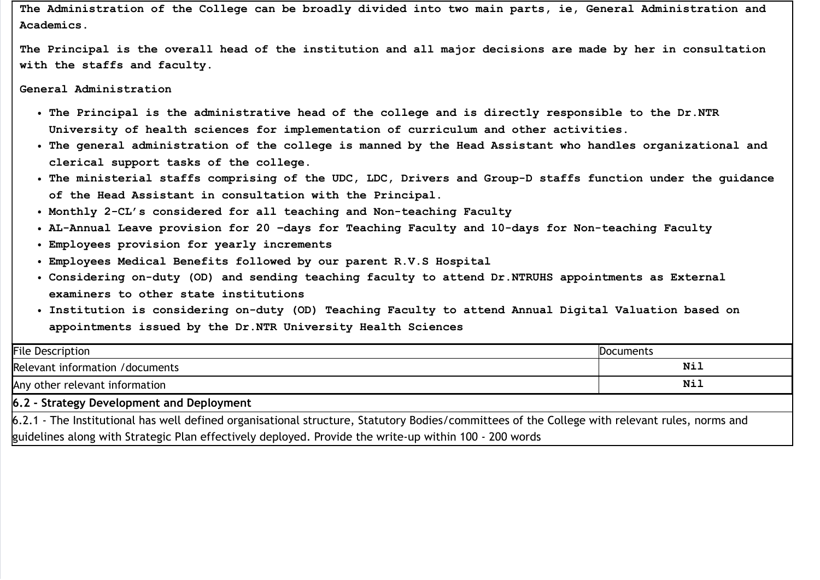The Administration of the College can be broadly divided into two main parts, ie, General Administration and Academics.

The Principal is the overall head of the institution and all major decisions are made by her in consultation with the staffs and faculty.

General Administration

- The Principal is the administrative head of the college and is directly responsible to the Dr.NTR University of health sciences for implementation of curriculum and other activities.
- The general administration of the college is manned by the Head Assistant who handles organizational and clerical support tasks of the college.
- The ministerial staffs comprising of the UDC, LDC, Drivers and Group-D staffs function under the guidance of the Head Assistant in consultation with the Principal.
- Monthly 2-CL's considered for all teaching and Non-teaching Faculty
- AL-Annual Leave provision for 20 –days for Teaching Faculty and 10-days for Non-teaching Faculty
- Employees provision for yearly increments
- Employees Medical Benefits followed by our parent R.V.S Hospital
- Considering on-duty (OD) and sending teaching faculty to attend Dr.NTRUHS appointments as External examiners to other state institutions
- Institution is considering on-duty (OD) Teaching Faculty to attend Annual Digital Valuation based on appointments issued by the Dr.NTR University Health Sciences

| <b>File Description</b>                                                                                                                        | <b>Documents</b> |  |
|------------------------------------------------------------------------------------------------------------------------------------------------|------------------|--|
| Relevant information / documents                                                                                                               | Nil              |  |
| Any other relevant information                                                                                                                 | Nil              |  |
| 6.2 - Strategy Development and Deployment                                                                                                      |                  |  |
| 6.2.1 - The Institutional has well defined organisational structure, Statutory Bodies/committees of the College with relevant rules, norms and |                  |  |
| guidelines along with Strategic Plan effectively deployed. Provide the write-up within 100 - 200 words                                         |                  |  |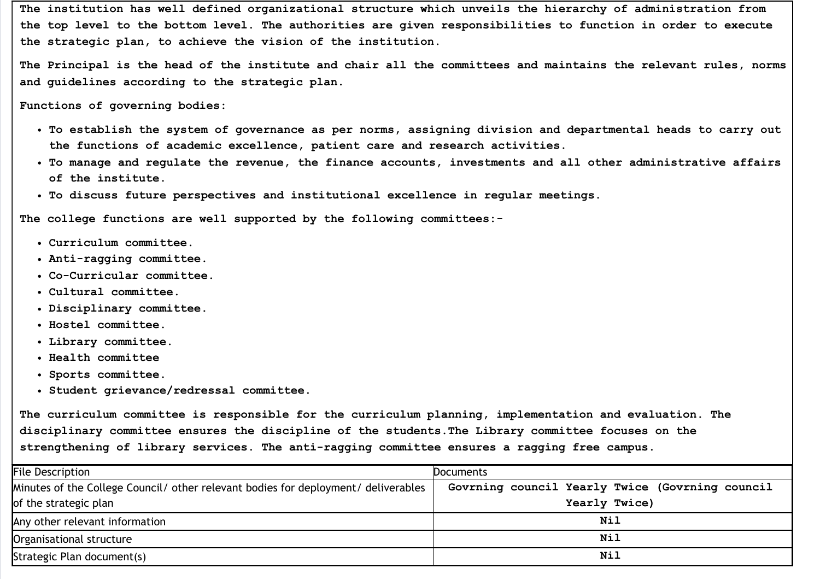The institution has well defined organizational structure which unveils the hierarchy of administration from the top level to the bottom level. The authorities are given responsibilities to function in order to execute the strategic plan, to achieve the vision of the institution.

The Principal is the head of the institute and chair all the committees and maintains the relevant rules, norms and guidelines according to the strategic plan.

Functions of governing bodies:

- To establish the system of governance as per norms, assigning division and departmental heads to carry out the functions of academic excellence, patient care and research activities.
- To manage and regulate the revenue, the finance accounts, investments and all other administrative affairs of the institute.
- To discuss future perspectives and institutional excellence in regular meetings.

The college functions are well supported by the following committees:-

- Curriculum committee.
- Anti-ragging committee.
- Co-Curricular committee.
- Cultural committee.
- Disciplinary committee.
- Hostel committee.
- Library committee.
- Health committee
- Sports committee.
- Student grievance/redressal committee.

The curriculum committee is responsible for the curriculum planning, implementation and evaluation. The disciplinary committee ensures the discipline of the students.The Library committee focuses on the strengthening of library services. The anti-ragging committee ensures a ragging free campus.

| <b>File Description</b>                                                            | <b>Documents</b>                                |
|------------------------------------------------------------------------------------|-------------------------------------------------|
| Minutes of the College Council/ other relevant bodies for deployment/ deliverables | Govrning council Yearly Twice (Govrning council |
| of the strategic plan                                                              | Yearly Twice)                                   |
| Any other relevant information                                                     | Nil                                             |
| Organisational structure                                                           | Nil                                             |
| Strategic Plan document(s)                                                         | Nil                                             |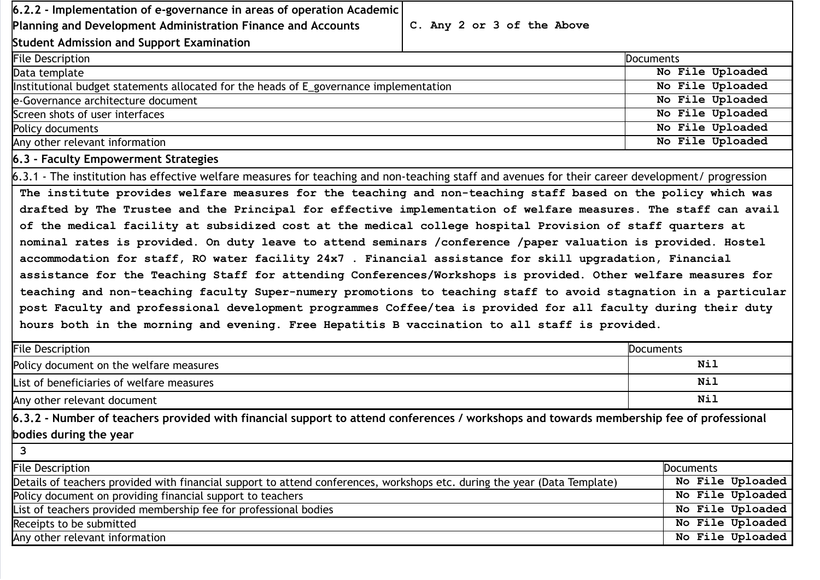| $6.2.2$ - Implementation of e-governance in areas of operation Academic                                                                         |                            |                  |
|-------------------------------------------------------------------------------------------------------------------------------------------------|----------------------------|------------------|
| Planning and Development Administration Finance and Accounts                                                                                    | C. Any 2 or 3 of the Above |                  |
| Student Admission and Support Examination                                                                                                       |                            |                  |
| <b>File Description</b>                                                                                                                         |                            | <b>Documents</b> |
| Data template                                                                                                                                   |                            | No File Uploaded |
| Institutional budget statements allocated for the heads of E_governance implementation                                                          |                            | No File Uploaded |
| e-Governance architecture document                                                                                                              |                            | No File Uploaded |
| Screen shots of user interfaces                                                                                                                 |                            | No File Uploaded |
| Policy documents                                                                                                                                |                            | No File Uploaded |
| Any other relevant information                                                                                                                  |                            | No File Uploaded |
| 6.3 - Faculty Empowerment Strategies                                                                                                            |                            |                  |
| 6.3.1 - The institution has effective welfare measures for teaching and non-teaching staff and avenues for their career development/progression |                            |                  |
| The institute provides welfare measures for the teaching and non-teaching staff based on the policy which was                                   |                            |                  |
| drafted by The Trustee and the Principal for effective implementation of welfare measures. The staff can avail                                  |                            |                  |
| of the medical facility at subsidized cost at the medical college hospital Provision of staff quarters at                                       |                            |                  |
| nominal rates is provided. On duty leave to attend seminars /conference /paper valuation is provided. Hostel                                    |                            |                  |

| accommodation for staff, RO water facility 24x7. Financial assistance for skill upgradation, Financial          |
|-----------------------------------------------------------------------------------------------------------------|
| assistance for the Teaching Staff for attending Conferences/Workshops is provided. Other welfare measures for   |
| teaching and non-teaching faculty Super-numery promotions to teaching staff to avoid stagnation in a particular |
| post Faculty and professional development programmes Coffee/tea is provided for all faculty during their duty   |
| hours both in the morning and evening. Free Hepatitis B vaccination to all staff is provided.                   |

| <b>File Description</b>                                                                                                                 | Documents        |
|-----------------------------------------------------------------------------------------------------------------------------------------|------------------|
| Policy document on the welfare measures                                                                                                 | Nil              |
| List of beneficiaries of welfare measures                                                                                               | Nil              |
| Any other relevant document                                                                                                             | Nil              |
| 6.3.2 - Number of teachers provided with financial support to attend conferences / workshops and towards membership fee of professional |                  |
| bodies during the year                                                                                                                  |                  |
| 3                                                                                                                                       |                  |
| <b>File Description</b>                                                                                                                 | Documents        |
| Details of teachers provided with financial support to attend conferences, workshops etc. during the year (Data Template)               | No File Uploaded |
| Policy document on providing financial support to teachers                                                                              | No File Uploaded |
| List of teachers provided membership fee for professional bodies                                                                        | No File Uploaded |
| Receipts to be submitted                                                                                                                | No File Uploaded |
| Any other relevant information                                                                                                          | No File Uploaded |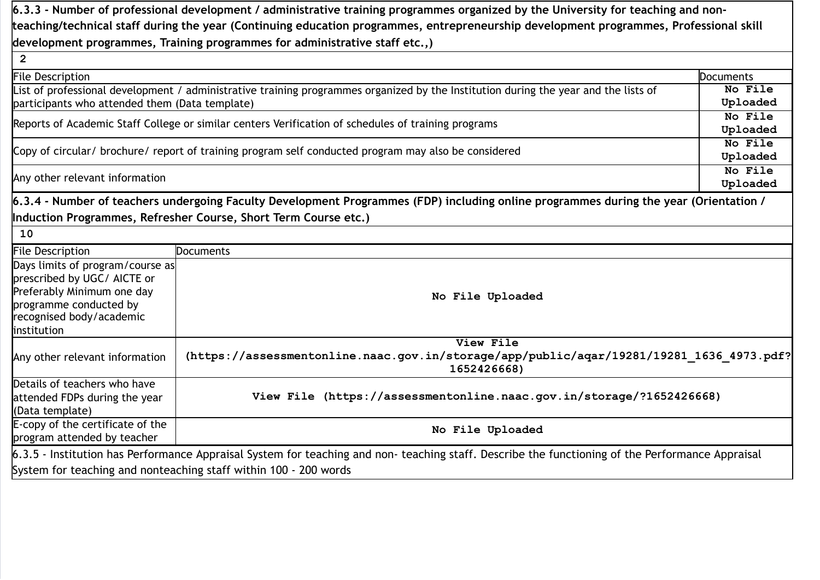|                                                                                                                                                     | 6.3.3 - Number of professional development / administrative training programmes organized by the University for teaching and non-               |           |
|-----------------------------------------------------------------------------------------------------------------------------------------------------|-------------------------------------------------------------------------------------------------------------------------------------------------|-----------|
|                                                                                                                                                     | teaching/technical staff during the year (Continuing education programmes, entrepreneurship development programmes, Professional skill          |           |
|                                                                                                                                                     | development programmes, Training programmes for administrative staff etc.,)                                                                     |           |
| $\overline{2}$                                                                                                                                      |                                                                                                                                                 |           |
| <b>File Description</b>                                                                                                                             |                                                                                                                                                 | Documents |
|                                                                                                                                                     | List of professional development / administrative training programmes organized by the Institution during the year and the lists of             | No File   |
| participants who attended them (Data template)                                                                                                      |                                                                                                                                                 | Uploaded  |
|                                                                                                                                                     | Reports of Academic Staff College or similar centers Verification of schedules of training programs                                             | No File   |
|                                                                                                                                                     |                                                                                                                                                 | Uploaded  |
|                                                                                                                                                     | Copy of circular/ brochure/ report of training program self conducted program may also be considered                                            | No File   |
|                                                                                                                                                     |                                                                                                                                                 | Uploaded  |
|                                                                                                                                                     |                                                                                                                                                 | No File   |
| Any other relevant information                                                                                                                      |                                                                                                                                                 | Uploaded  |
| Days limits of program/course as<br>prescribed by UGC/ AICTE or<br>Preferably Minimum one day<br>programme conducted by<br>recognised body/academic | No File Uploaded                                                                                                                                |           |
| institution                                                                                                                                         | View File                                                                                                                                       |           |
| Any other relevant information                                                                                                                      | (https://assessmentonline.naac.gov.in/storage/app/public/aqar/19281/19281 1636 4973.pdf?<br>1652426668)                                         |           |
| Details of teachers who have<br>attended FDPs during the year<br>(Data template)                                                                    | View File (https://assessmentonline.naac.gov.in/storage/?1652426668)                                                                            |           |
| E-copy of the certificate of the<br>program attended by teacher                                                                                     | No File Uploaded                                                                                                                                |           |
|                                                                                                                                                     | 6.3.5 - Institution has Performance Appraisal System for teaching and non-teaching staff. Describe the functioning of the Performance Appraisal |           |
|                                                                                                                                                     | System for teaching and nonteaching staff within 100 - 200 words                                                                                |           |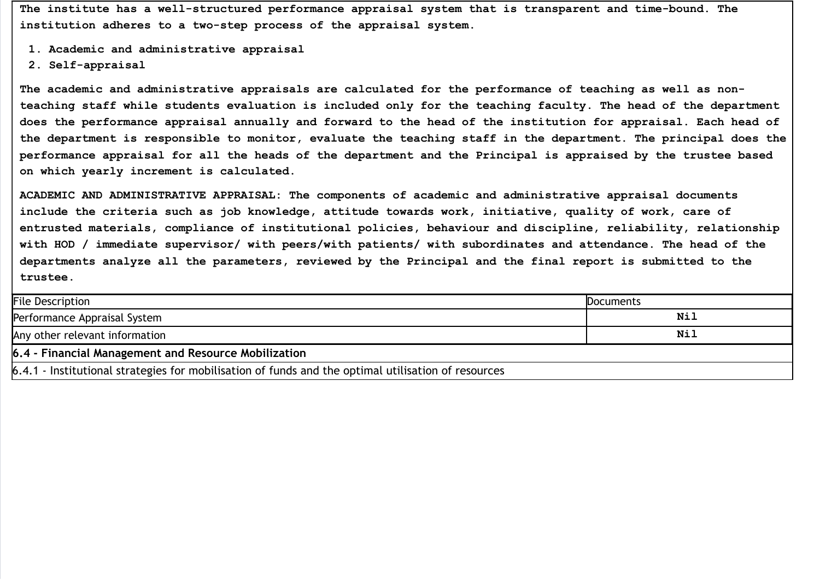The institute has a well-structured performance appraisal system that is transparent and time-bound. The institution adheres to a two-step process of the appraisal system.

- 1. Academic and administrative appraisal
- 2. Self-appraisal

The academic and administrative appraisals are calculated for the performance of teaching as well as nonteaching staff while students evaluation is included only for the teaching faculty. The head of the department does the performance appraisal annually and forward to the head of the institution for appraisal. Each head of the department is responsible to monitor, evaluate the teaching staff in the department. The principal does the performance appraisal for all the heads of the department and the Principal is appraised by the trustee based on which yearly increment is calculated.

ACADEMIC AND ADMINISTRATIVE APPRAISAL: The components of academic and administrative appraisal documents include the criteria such as job knowledge, attitude towards work, initiative, quality of work, care of entrusted materials, compliance of institutional policies, behaviour and discipline, reliability, relationship with HOD / immediate supervisor/ with peers/with patients/ with subordinates and attendance. The head of the departments analyze all the parameters, reviewed by the Principal and the final report is submitted to the trustee.

| <b>File Description</b>                                                                             | Documents |
|-----------------------------------------------------------------------------------------------------|-----------|
| Performance Appraisal System                                                                        | Nil       |
| Any other relevant information                                                                      | Nil       |
| 6.4 - Financial Management and Resource Mobilization                                                |           |
| 6.4.1 - Institutional strategies for mobilisation of funds and the optimal utilisation of resources |           |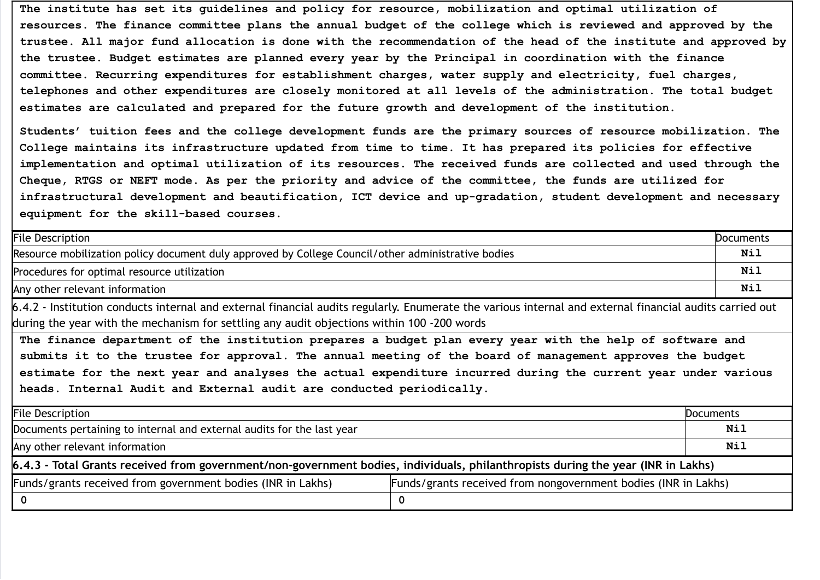The institute has set its guidelines and policy for resource, mobilization and optimal utilization of resources. The finance committee plans the annual budget of the college which is reviewed and approved by the trustee. All major fund allocation is done with the recommendation of the head of the institute and approved by the trustee. Budget estimates are planned every year by the Principal in coordination with the finance committee. Recurring expenditures for establishment charges, water supply and electricity, fuel charges, telephones and other expenditures are closely monitored at all levels of the administration. The total budget estimates are calculated and prepared for the future growth and development of the institution.

Students' tuition fees and the college development funds are the primary sources of resource mobilization. The College maintains its infrastructure updated from time to time. It has prepared its policies for effective implementation and optimal utilization of its resources. The received funds are collected and used through the Cheque, RTGS or NEFT mode. As per the priority and advice of the committee, the funds are utilized for infrastructural development and beautification, ICT device and up-gradation, student development and necessary equipment for the skill-based courses.

| <b>File Description</b>                                                                                                                                                                                                                                                                                                                                                                                                                                                                                                                                                                          |                                                                | <b>Documents</b> |
|--------------------------------------------------------------------------------------------------------------------------------------------------------------------------------------------------------------------------------------------------------------------------------------------------------------------------------------------------------------------------------------------------------------------------------------------------------------------------------------------------------------------------------------------------------------------------------------------------|----------------------------------------------------------------|------------------|
| Resource mobilization policy document duly approved by College Council/other administrative bodies                                                                                                                                                                                                                                                                                                                                                                                                                                                                                               |                                                                | Nil              |
| Procedures for optimal resource utilization                                                                                                                                                                                                                                                                                                                                                                                                                                                                                                                                                      |                                                                | Nil              |
| Any other relevant information                                                                                                                                                                                                                                                                                                                                                                                                                                                                                                                                                                   |                                                                | Nil              |
| 6.4.2 - Institution conducts internal and external financial audits regularly. Enumerate the various internal and external financial audits carried out<br>during the year with the mechanism for settling any audit objections within 100 -200 words<br>The finance department of the institution prepares a budget plan every year with the help of software and<br>submits it to the trustee for approval. The annual meeting of the board of management approves the budget<br>estimate for the next year and analyses the actual expenditure incurred during the current year under various |                                                                |                  |
| heads. Internal Audit and External audit are conducted periodically.<br><b>File Description</b>                                                                                                                                                                                                                                                                                                                                                                                                                                                                                                  |                                                                | Documents        |
| Documents pertaining to internal and external audits for the last year                                                                                                                                                                                                                                                                                                                                                                                                                                                                                                                           |                                                                | Nil              |
| Any other relevant information                                                                                                                                                                                                                                                                                                                                                                                                                                                                                                                                                                   |                                                                | Nil              |
| 6.4.3 - Total Grants received from government/non-government bodies, individuals, philanthropists during the year (INR in Lakhs)                                                                                                                                                                                                                                                                                                                                                                                                                                                                 |                                                                |                  |
| Funds/grants received from government bodies (INR in Lakhs)                                                                                                                                                                                                                                                                                                                                                                                                                                                                                                                                      | Funds/grants received from nongovernment bodies (INR in Lakhs) |                  |
| $\mathbf 0$                                                                                                                                                                                                                                                                                                                                                                                                                                                                                                                                                                                      | 0                                                              |                  |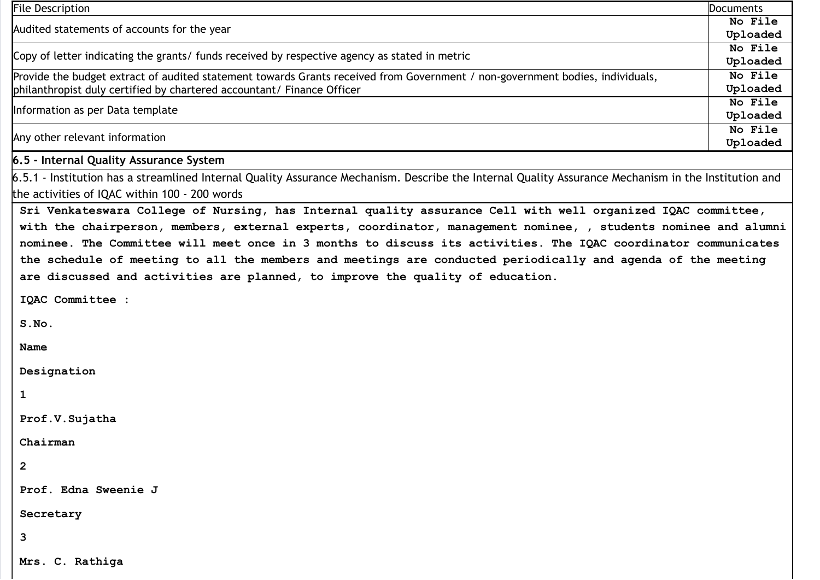| <b>File Description</b>                                                                                                                              | <b>Documents</b>    |
|------------------------------------------------------------------------------------------------------------------------------------------------------|---------------------|
| Audited statements of accounts for the year                                                                                                          | No File             |
|                                                                                                                                                      | Uploaded            |
| Copy of letter indicating the grants/ funds received by respective agency as stated in metric                                                        | No File             |
|                                                                                                                                                      | Uploaded            |
| Provide the budget extract of audited statement towards Grants received from Government / non-government bodies, individuals,                        | No File             |
| philanthropist duly certified by chartered accountant/ Finance Officer                                                                               | Uploaded<br>No File |
| Information as per Data template                                                                                                                     | Uploaded            |
|                                                                                                                                                      | No File             |
| Any other relevant information                                                                                                                       | Uploaded            |
| 6.5 - Internal Quality Assurance System                                                                                                              |                     |
| 6.5.1 - Institution has a streamlined Internal Quality Assurance Mechanism. Describe the Internal Quality Assurance Mechanism in the Institution and |                     |
| the activities of IQAC within 100 - 200 words                                                                                                        |                     |
| Sri Venkateswara College of Nursing, has Internal quality assurance Cell with well organized IQAC committee,                                         |                     |
| with the chairperson, members, external experts, coordinator, management nominee, , students nominee and alumni                                      |                     |
| nominee. The Committee will meet once in 3 months to discuss its activities. The IQAC coordinator communicates                                       |                     |
| the schedule of meeting to all the members and meetings are conducted periodically and agenda of the meeting                                         |                     |
|                                                                                                                                                      |                     |
| are discussed and activities are planned, to improve the quality of education.                                                                       |                     |
| IQAC Committee :                                                                                                                                     |                     |
|                                                                                                                                                      |                     |
| S.NO.                                                                                                                                                |                     |
| <b>Name</b>                                                                                                                                          |                     |
|                                                                                                                                                      |                     |
| Designation                                                                                                                                          |                     |
| 1                                                                                                                                                    |                     |
|                                                                                                                                                      |                     |
| Prof.V.Sujatha                                                                                                                                       |                     |
| Chairman                                                                                                                                             |                     |
|                                                                                                                                                      |                     |
| $\mathbf{2}$                                                                                                                                         |                     |
| Prof. Edna Sweenie J                                                                                                                                 |                     |
| Secretary                                                                                                                                            |                     |
|                                                                                                                                                      |                     |
| 3                                                                                                                                                    |                     |
| Mrs. C. Rathiga                                                                                                                                      |                     |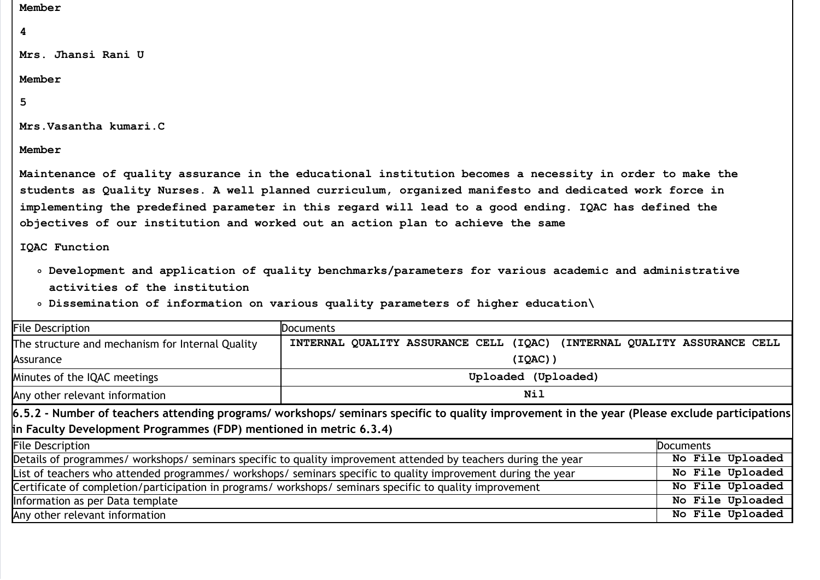# Member

## 4

Mrs. Jhansi Rani U

### Member

# 5

Mrs.Vasantha kumari.C

Member

Maintenance of quality assurance in the educational institution becomes a necessity in order to make the students as Quality Nurses. A well planned curriculum, organized manifesto and dedicated work force in implementing the predefined parameter in this regard will lead to a good ending. IQAC has defined the objectives of our institution and worked out an action plan to achieve the same

## IQAC Function

- Development and application of quality benchmarks/parameters for various academic and administrative activities of the institution
- Dissemination of information on various quality parameters of higher education\

| <b>File Description</b>                                                                                  | Documents                                                                                                                                      |                                  |
|----------------------------------------------------------------------------------------------------------|------------------------------------------------------------------------------------------------------------------------------------------------|----------------------------------|
| The structure and mechanism for Internal Quality                                                         | QUALITY ASSURANCE CELL (IQAC)<br><b>INTERNAL</b>                                                                                               | (INTERNAL QUALITY ASSURANCE CELL |
| Assurance                                                                                                | (IOAC)                                                                                                                                         |                                  |
| Minutes of the IQAC meetings                                                                             | Uploaded (Uploaded)                                                                                                                            |                                  |
| Any other relevant information                                                                           | Nil                                                                                                                                            |                                  |
|                                                                                                          | 6.5.2 - Number of teachers attending programs/ workshops/ seminars specific to quality improvement in the year (Please exclude participations) |                                  |
| in Faculty Development Programmes (FDP) mentioned in metric 6.3.4)                                       |                                                                                                                                                |                                  |
| <b>File Description</b>                                                                                  |                                                                                                                                                | Documents                        |
|                                                                                                          | Details of programmes/ workshops/ seminars specific to quality improvement attended by teachers during the year                                | No File Uploaded                 |
|                                                                                                          | List of teachers who attended programmes/ workshops/ seminars specific to quality improvement during the year                                  | No File Uploaded                 |
| Certificate of completion/participation in programs/ workshops/ seminars specific to quality improvement |                                                                                                                                                | No File Uploaded                 |
| Information as per Data template                                                                         |                                                                                                                                                | No File Uploaded                 |
| Any other relevant information                                                                           |                                                                                                                                                | No File Uploaded                 |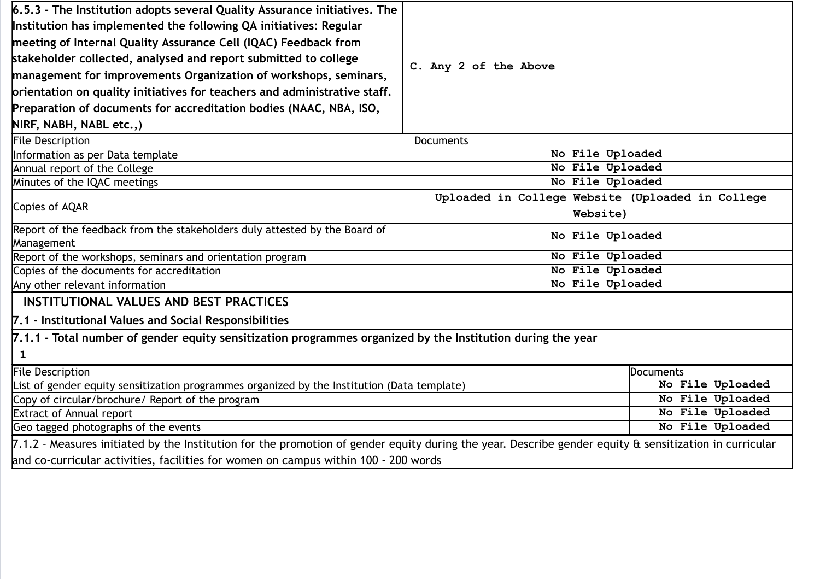| $6.5.3$ - The Institution adopts several Quality Assurance initiatives. The                                 |                                                                                                                                                        |                  |  |  |
|-------------------------------------------------------------------------------------------------------------|--------------------------------------------------------------------------------------------------------------------------------------------------------|------------------|--|--|
| Institution has implemented the following QA initiatives: Regular                                           |                                                                                                                                                        |                  |  |  |
| meeting of Internal Quality Assurance Cell (IQAC) Feedback from                                             |                                                                                                                                                        |                  |  |  |
| stakeholder collected, analysed and report submitted to college                                             | C. Any 2 of the Above                                                                                                                                  |                  |  |  |
| management for improvements Organization of workshops, seminars,                                            |                                                                                                                                                        |                  |  |  |
| orientation on quality initiatives for teachers and administrative staff.                                   |                                                                                                                                                        |                  |  |  |
| Preparation of documents for accreditation bodies (NAAC, NBA, ISO,                                          |                                                                                                                                                        |                  |  |  |
| NIRF, NABH, NABL etc.,)                                                                                     |                                                                                                                                                        |                  |  |  |
| <b>File Description</b>                                                                                     | <b>Documents</b>                                                                                                                                       |                  |  |  |
| Information as per Data template                                                                            | No File Uploaded                                                                                                                                       |                  |  |  |
| Annual report of the College                                                                                | No File Uploaded                                                                                                                                       |                  |  |  |
| Minutes of the IQAC meetings                                                                                | No File Uploaded                                                                                                                                       |                  |  |  |
|                                                                                                             | Uploaded in College Website (Uploaded in College                                                                                                       |                  |  |  |
| Copies of AQAR<br>Website)                                                                                  |                                                                                                                                                        |                  |  |  |
| Report of the feedback from the stakeholders duly attested by the Board of                                  |                                                                                                                                                        |                  |  |  |
| Management                                                                                                  | No File Uploaded                                                                                                                                       |                  |  |  |
| Report of the workshops, seminars and orientation program                                                   | No File Uploaded                                                                                                                                       |                  |  |  |
| Copies of the documents for accreditation                                                                   | No File Uploaded                                                                                                                                       |                  |  |  |
| Any other relevant information                                                                              | No File Uploaded                                                                                                                                       |                  |  |  |
| <b>INSTITUTIONAL VALUES AND BEST PRACTICES</b>                                                              |                                                                                                                                                        |                  |  |  |
| 7.1 - Institutional Values and Social Responsibilities                                                      |                                                                                                                                                        |                  |  |  |
| 7.1.1 - Total number of gender equity sensitization programmes organized by the Institution during the year |                                                                                                                                                        |                  |  |  |
| $\mathbf{1}$                                                                                                |                                                                                                                                                        |                  |  |  |
| <b>File Description</b><br><b>Documents</b>                                                                 |                                                                                                                                                        |                  |  |  |
| List of gender equity sensitization programmes organized by the Institution (Data template)                 |                                                                                                                                                        | No File Uploaded |  |  |
| Copy of circular/brochure/ Report of the program                                                            |                                                                                                                                                        | No File Uploaded |  |  |
| <b>Extract of Annual report</b>                                                                             |                                                                                                                                                        | No File Uploaded |  |  |
| Geo tagged photographs of the events                                                                        |                                                                                                                                                        | No File Uploaded |  |  |
|                                                                                                             | 7.1.2 - Measures initiated by the Institution for the promotion of gender equity during the year. Describe gender equity & sensitization in curricular |                  |  |  |
| and co-curricular activities, facilities for women on campus within 100 - 200 words                         |                                                                                                                                                        |                  |  |  |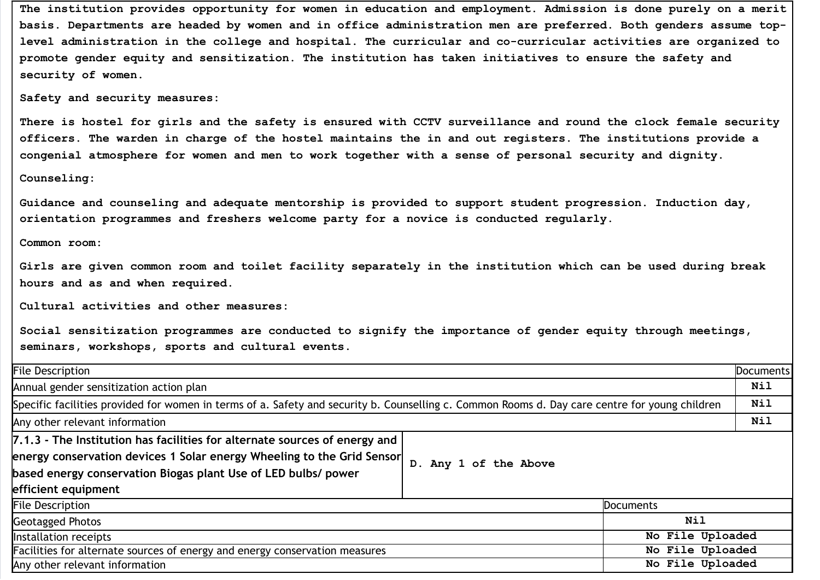The institution provides opportunity for women in education and employment. Admission is done purely on a merit basis. Departments are headed by women and in office administration men are preferred. Both genders assume toplevel administration in the college and hospital. The curricular and co-curricular activities are organized to promote gender equity and sensitization. The institution has taken initiatives to ensure the safety and security of women.

Safety and security measures:

There is hostel for girls and the safety is ensured with CCTV surveillance and round the clock female security officers. The warden in charge of the hostel maintains the in and out registers. The institutions provide a congenial atmosphere for women and men to work together with a sense of personal security and dignity.

Counseling:

Guidance and counseling and adequate mentorship is provided to support student progression. Induction day, orientation programmes and freshers welcome party for a novice is conducted regularly.

Common room:

Girls are given common room and toilet facility separately in the institution which can be used during break hours and as and when required.

Cultural activities and other measures:

Social sensitization programmes are conducted to signify the importance of gender equity through meetings, seminars, workshops, sports and cultural events.

| <b>File Description</b>                                                                                                                                                                                                                       |                       | Documents        |     |
|-----------------------------------------------------------------------------------------------------------------------------------------------------------------------------------------------------------------------------------------------|-----------------------|------------------|-----|
| Annual gender sensitization action plan                                                                                                                                                                                                       |                       | Nil              |     |
| Specific facilities provided for women in terms of a. Safety and security b. Counselling c. Common Rooms d. Day care centre for young children                                                                                                |                       |                  | Nil |
| Any other relevant information                                                                                                                                                                                                                |                       |                  | Nil |
| 7.1.3 - The Institution has facilities for alternate sources of energy and<br>energy conservation devices 1 Solar energy Wheeling to the Grid Sensor<br>based energy conservation Biogas plant Use of LED bulbs/ power<br>efficient equipment | D. Any 1 of the Above |                  |     |
| <b>File Description</b>                                                                                                                                                                                                                       |                       | <b>Documents</b> |     |
| <b>Geotagged Photos</b>                                                                                                                                                                                                                       |                       | Nil              |     |
| No File Uploaded<br>Installation receipts                                                                                                                                                                                                     |                       |                  |     |
| No File Uploaded<br>Facilities for alternate sources of energy and energy conservation measures                                                                                                                                               |                       |                  |     |
| Any other relevant information                                                                                                                                                                                                                |                       | No File Uploaded |     |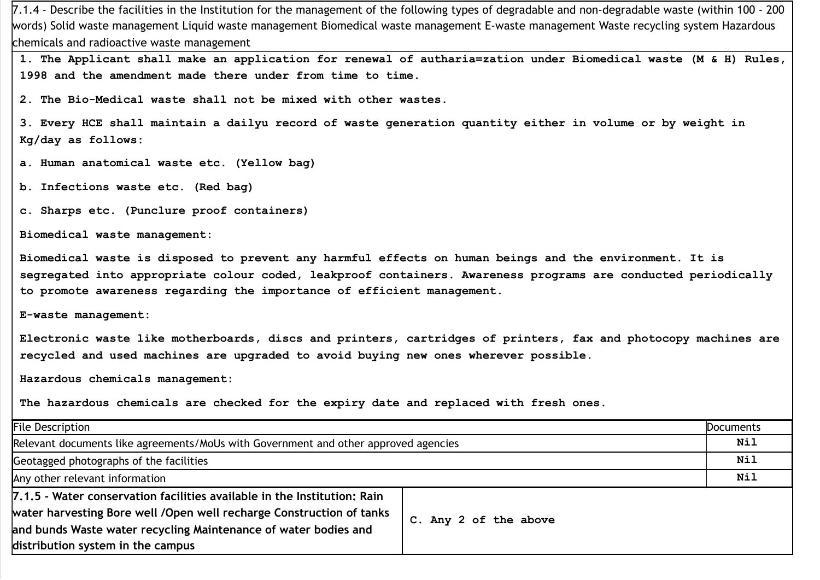7.1.4 - Describe the facilities in the Institution for the management of the following types of degradable and non-degradable waste (within 100 - 200 words) Solid waste management Liquid waste management Biomedical waste management E-waste management Waste recycling system Hazardous chemicals and radioactive waste management

1. The Applicant shall make an application for renewal of autharia=zation under Biomedical waste (M & H) Rules, 1998 and the amendment made there under from time to time.

2. The Bio-Medical waste shall not be mixed with other wastes.

3. Every HCE shall maintain a dailyu record of waste generation quantity either in volume or by weight in Kg/day as follows:

a. Human anatomical waste etc. (Yellow bag)

b. Infections waste etc. (Red bag)

c. Sharps etc. (Punclure proof containers)

Biomedical waste management:

Biomedical waste is disposed to prevent any harmful effects on human beings and the environment. It is segregated into appropriate colour coded, leakproof containers. Awareness programs are conducted periodically to promote awareness regarding the importance of efficient management.

E-waste management:

Electronic waste like motherboards, discs and printers, cartridges of printers, fax and photocopy machines are recycled and used machines are upgraded to avoid buying new ones wherever possible.

Hazardous chemicals management:

The hazardous chemicals are checked for the expiry date and replaced with fresh ones.

| <b>File Description</b>                                                                                                                                                                                                                                  |                       | <b>Documents</b> |
|----------------------------------------------------------------------------------------------------------------------------------------------------------------------------------------------------------------------------------------------------------|-----------------------|------------------|
| Relevant documents like agreements/MoUs with Government and other approved agencies                                                                                                                                                                      |                       | Nil              |
| Geotagged photographs of the facilities                                                                                                                                                                                                                  |                       | Nil              |
| Any other relevant information                                                                                                                                                                                                                           |                       | <b>Nil</b>       |
| 7.1.5 - Water conservation facilities available in the Institution: Rain<br>water harvesting Bore well /Open well recharge Construction of tanks<br>and bunds Waste water recycling Maintenance of water bodies and<br>distribution system in the campus | C. Any 2 of the above |                  |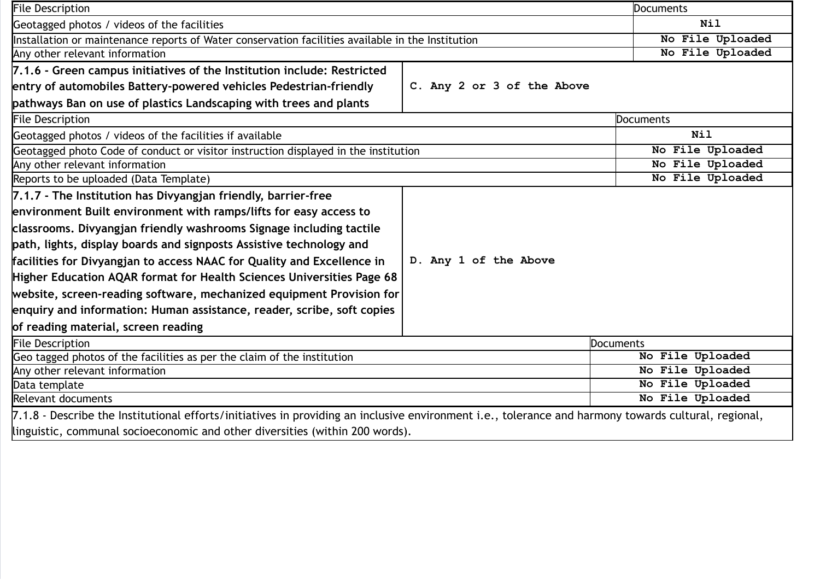| <b>File Description</b>                                                                                                                              |                            | Documents        |
|------------------------------------------------------------------------------------------------------------------------------------------------------|----------------------------|------------------|
| Geotagged photos / videos of the facilities                                                                                                          |                            | <b>Nil</b>       |
| Installation or maintenance reports of Water conservation facilities available in the Institution                                                    |                            | No File Uploaded |
| Any other relevant information                                                                                                                       |                            | No File Uploaded |
| 7.1.6 - Green campus initiatives of the Institution include: Restricted                                                                              |                            |                  |
| entry of automobiles Battery-powered vehicles Pedestrian-friendly                                                                                    | C. Any 2 or 3 of the Above |                  |
| pathways Ban on use of plastics Landscaping with trees and plants                                                                                    |                            |                  |
| <b>File Description</b>                                                                                                                              |                            | Documents        |
| Geotagged photos / videos of the facilities if available                                                                                             |                            | <b>Nil</b>       |
| Geotagged photo Code of conduct or visitor instruction displayed in the institution                                                                  |                            | No File Uploaded |
| Any other relevant information                                                                                                                       |                            | No File Uploaded |
| Reports to be uploaded (Data Template)                                                                                                               |                            | No File Uploaded |
| 7.1.7 - The Institution has Divyangjan friendly, barrier-free                                                                                        |                            |                  |
| environment Built environment with ramps/lifts for easy access to                                                                                    |                            |                  |
| classrooms. Divyangjan friendly washrooms Signage including tactile                                                                                  |                            |                  |
| path, lights, display boards and signposts Assistive technology and                                                                                  |                            |                  |
| facilities for Divyangjan to access NAAC for Quality and Excellence in                                                                               | D. Any 1 of the Above      |                  |
| Higher Education AQAR format for Health Sciences Universities Page 68                                                                                |                            |                  |
| website, screen-reading software, mechanized equipment Provision for                                                                                 |                            |                  |
| enquiry and information: Human assistance, reader, scribe, soft copies                                                                               |                            |                  |
| of reading material, screen reading                                                                                                                  |                            |                  |
| <b>File Description</b>                                                                                                                              | Documents                  |                  |
| Geo tagged photos of the facilities as per the claim of the institution                                                                              |                            | No File Uploaded |
| Any other relevant information                                                                                                                       |                            | No File Uploaded |
| Data template                                                                                                                                        |                            | No File Uploaded |
| Relevant documents                                                                                                                                   |                            | No File Uploaded |
| 7.1.8 - Describe the Institutional efforts/initiatives in providing an inclusive environment i.e., tolerance and harmony towards cultural, regional, |                            |                  |
| linguistic, communal socioeconomic and other diversities (within 200 words).                                                                         |                            |                  |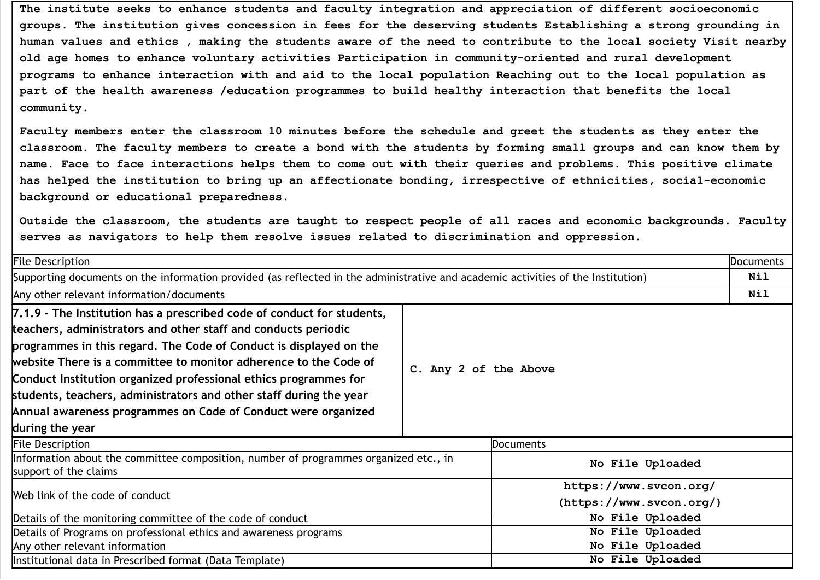The institute seeks to enhance students and faculty integration and appreciation of different socioeconomic groups. The institution gives concession in fees for the deserving students Establishing a strong grounding in human values and ethics , making the students aware of the need to contribute to the local society Visit nearby old age homes to enhance voluntary activities Participation in community-oriented and rural development programs to enhance interaction with and aid to the local population Reaching out to the local population as part of the health awareness /education programmes to build healthy interaction that benefits the local community.

Faculty members enter the classroom 10 minutes before the schedule and greet the students as they enter the classroom. The faculty members to create a bond with the students by forming small groups and can know them by name. Face to face interactions helps them to come out with their queries and problems. This positive climate has helped the institution to bring up an affectionate bonding, irrespective of ethnicities, social-economic background or educational preparedness.

Outside the classroom, the students are taught to respect people of all races and economic backgrounds. Faculty serves as navigators to help them resolve issues related to discrimination and oppression.

| <b>File Description</b>                                                                                                                                                                                                                                                                                                                                                                                                                                                                                          |                       | <b>Documents</b>                                   |     |
|------------------------------------------------------------------------------------------------------------------------------------------------------------------------------------------------------------------------------------------------------------------------------------------------------------------------------------------------------------------------------------------------------------------------------------------------------------------------------------------------------------------|-----------------------|----------------------------------------------------|-----|
| Supporting documents on the information provided (as reflected in the administrative and academic activities of the Institution)                                                                                                                                                                                                                                                                                                                                                                                 |                       | Nil                                                |     |
| Any other relevant information/documents                                                                                                                                                                                                                                                                                                                                                                                                                                                                         |                       |                                                    | Nil |
| 7.1.9 - The Institution has a prescribed code of conduct for students,<br>teachers, administrators and other staff and conducts periodic<br>programmes in this regard. The Code of Conduct is displayed on the<br>website There is a committee to monitor adherence to the Code of<br>Conduct Institution organized professional ethics programmes for<br>students, teachers, administrators and other staff during the year<br>Annual awareness programmes on Code of Conduct were organized<br>during the year | C. Any 2 of the Above |                                                    |     |
| <b>File Description</b>                                                                                                                                                                                                                                                                                                                                                                                                                                                                                          |                       | <b>Documents</b>                                   |     |
| Information about the committee composition, number of programmes organized etc., in<br>support of the claims                                                                                                                                                                                                                                                                                                                                                                                                    |                       | No File Uploaded                                   |     |
| Web link of the code of conduct                                                                                                                                                                                                                                                                                                                                                                                                                                                                                  |                       | https://www.svcon.org/<br>(https://www.svcon.org/) |     |
| Details of the monitoring committee of the code of conduct                                                                                                                                                                                                                                                                                                                                                                                                                                                       |                       | No File Uploaded                                   |     |
| Details of Programs on professional ethics and awareness programs                                                                                                                                                                                                                                                                                                                                                                                                                                                |                       | No File Uploaded                                   |     |
| Any other relevant information                                                                                                                                                                                                                                                                                                                                                                                                                                                                                   |                       | No File Uploaded                                   |     |
| Institutional data in Prescribed format (Data Template)                                                                                                                                                                                                                                                                                                                                                                                                                                                          |                       | No File Uploaded                                   |     |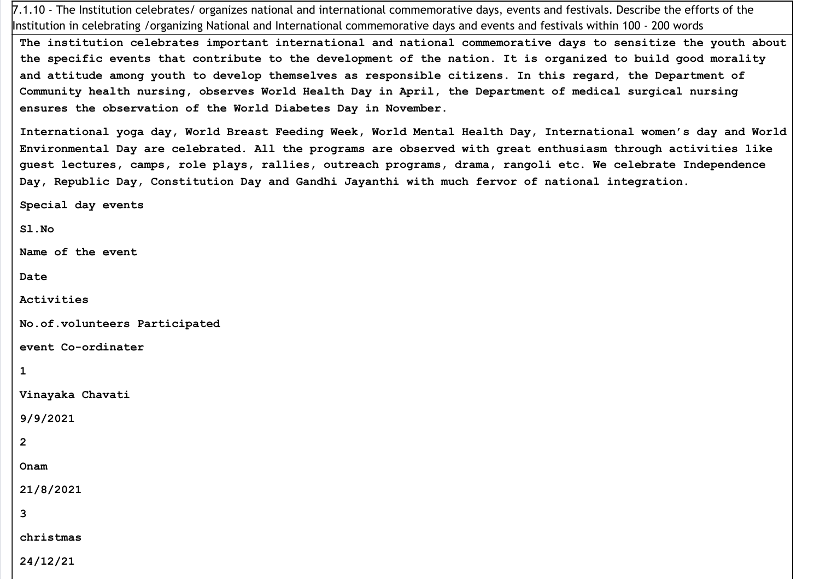7.1.10 - The Institution celebrates/ organizes national and international commemorative days, events and festivals. Describe the efforts of the Institution in celebrating /organizing National and International commemorative days and events and festivals within 100 - 200 words

The institution celebrates important international and national commemorative days to sensitize the youth about the specific events that contribute to the development of the nation. It is organized to build good morality and attitude among youth to develop themselves as responsible citizens. In this regard, the Department of Community health nursing, observes World Health Day in April, the Department of medical surgical nursing ensures the observation of the World Diabetes Day in November.

International yoga day, World Breast Feeding Week, World Mental Health Day, International women's day and World Environmental Day are celebrated. All the programs are observed with great enthusiasm through activities like guest lectures, camps, role plays, rallies, outreach programs, drama, rangoli etc. We celebrate Independence Day, Republic Day, Constitution Day and Gandhi Jayanthi with much fervor of national integration.

Special day events

Sl.No

Name of the event

Date

Activities

No.of.volunteers Participated

event Co-ordinater

1

Vinayaka Chavati

9/9/2021

2

Onam

21/8/2021

3

christmas

24/12/21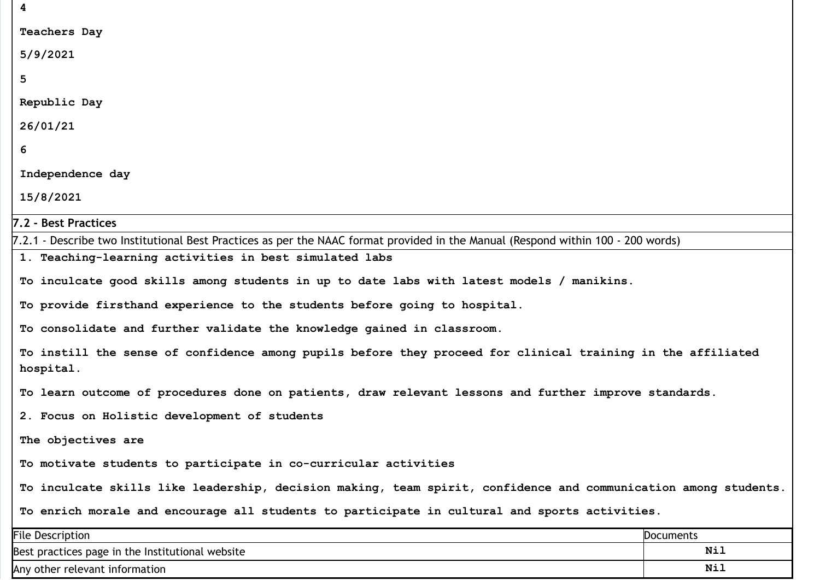| 4                                                                                                                                |                  |
|----------------------------------------------------------------------------------------------------------------------------------|------------------|
| <b>Teachers Day</b>                                                                                                              |                  |
| 5/9/2021                                                                                                                         |                  |
| 5                                                                                                                                |                  |
| Republic Day                                                                                                                     |                  |
| 26/01/21                                                                                                                         |                  |
| 6                                                                                                                                |                  |
| Independence day                                                                                                                 |                  |
| 15/8/2021                                                                                                                        |                  |
| 7.2 - Best Practices                                                                                                             |                  |
| 7.2.1 - Describe two Institutional Best Practices as per the NAAC format provided in the Manual (Respond within 100 - 200 words) |                  |
| 1. Teaching-learning activities in best simulated labs                                                                           |                  |
| To inculcate good skills among students in up to date labs with latest models / manikins.                                        |                  |
| To provide firsthand experience to the students before going to hospital.                                                        |                  |
| To consolidate and further validate the knowledge gained in classroom.                                                           |                  |
| To instill the sense of confidence among pupils before they proceed for clinical training in the affiliated                      |                  |
| hospital.                                                                                                                        |                  |
| To learn outcome of procedures done on patients, draw relevant lessons and further improve standards.                            |                  |
| 2. Focus on Holistic development of students                                                                                     |                  |
| The objectives are                                                                                                               |                  |
| To motivate students to participate in co-curricular activities                                                                  |                  |
| To inculcate skills like leadership, decision making, team spirit, confidence and communication among students.                  |                  |
| To enrich morale and encourage all students to participate in cultural and sports activities.                                    |                  |
| <b>File Description</b>                                                                                                          | <b>Documents</b> |
| Best practices page in the Institutional website                                                                                 | Nil              |

Any other relevant information

Nil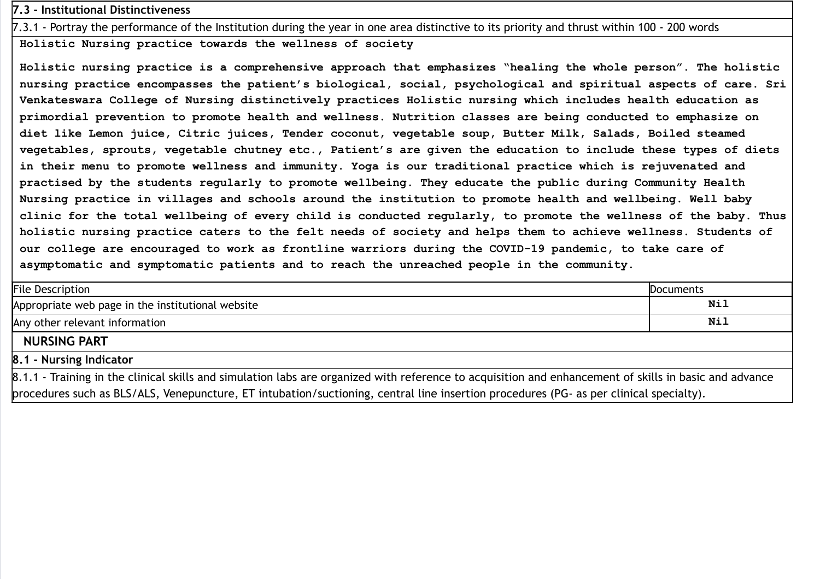# 7.3 - Institutional Distinctiveness

7.3.1 - Portray the performance of the Institution during the year in one area distinctive to its priority and thrust within 100 - 200 words

Holistic Nursing practice towards the wellness of society

Holistic nursing practice is a comprehensive approach that emphasizes "healing the whole person". The holistic nursing practice encompasses the patient's biological, social, psychological and spiritual aspects of care. Sri Venkateswara College of Nursing distinctively practices Holistic nursing which includes health education as primordial prevention to promote health and wellness. Nutrition classes are being conducted to emphasize on diet like Lemon juice, Citric juices, Tender coconut, vegetable soup, Butter Milk, Salads, Boiled steamed vegetables, sprouts, vegetable chutney etc., Patient's are given the education to include these types of diets in their menu to promote wellness and immunity. Yoga is our traditional practice which is rejuvenated and practised by the students regularly to promote wellbeing. They educate the public during Community Health Nursing practice in villages and schools around the institution to promote health and wellbeing. Well baby clinic for the total wellbeing of every child is conducted regularly, to promote the wellness of the baby. Thus holistic nursing practice caters to the felt needs of society and helps them to achieve wellness. Students of our college are encouraged to work as frontline warriors during the COVID-19 pandemic, to take care of asymptomatic and symptomatic patients and to reach the unreached people in the community.

| <b>File Description</b>                                                                                                                                                                                                                                                                            | <b>Documents</b> |
|----------------------------------------------------------------------------------------------------------------------------------------------------------------------------------------------------------------------------------------------------------------------------------------------------|------------------|
| Appropriate web page in the institutional website                                                                                                                                                                                                                                                  | <b>Nil</b>       |
| Any other relevant information                                                                                                                                                                                                                                                                     | Nil              |
| <b>NURSING PART</b>                                                                                                                                                                                                                                                                                |                  |
| 8.1 - Nursing Indicator                                                                                                                                                                                                                                                                            |                  |
| 8.1.1 - Training in the clinical skills and simulation labs are organized with reference to acquisition and enhancement of skills in basic and advance<br>procedures such as DLC/ALC. Variations of the patter fourth-of and a control line incontinuous area dures (DC, as non-distral specialty) |                  |

procedures such as BLS/ALS, Venepuncture, ET intubation/suctioning, central line insertion procedures (PG- as per clinical specialty).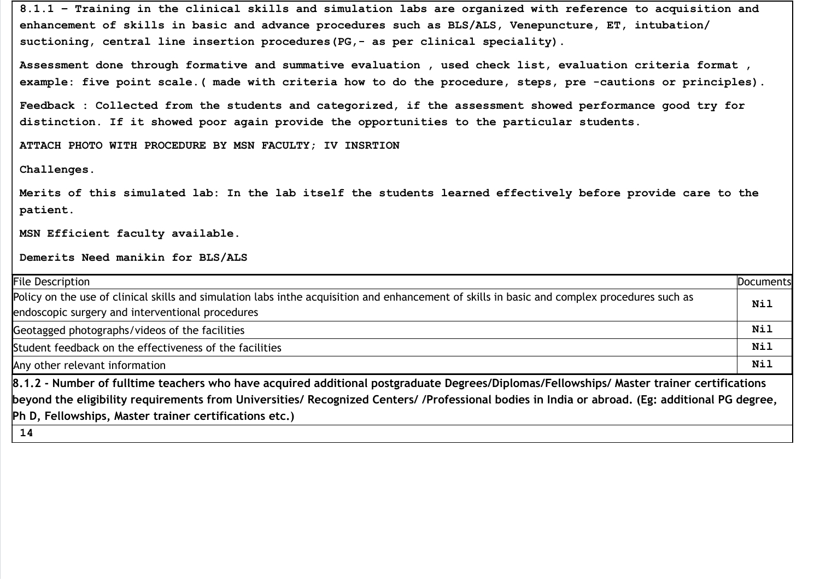8.1.1 – Training in the clinical skills and simulation labs are organized with reference to acquisition and enhancement of skills in basic and advance procedures such as BLS/ALS, Venepuncture, ET, intubation/ suctioning, central line insertion procedures(PG,- as per clinical speciality).

Assessment done through formative and summative evaluation , used check list, evaluation criteria format , example: five point scale.( made with criteria how to do the procedure, steps, pre -cautions or principles).

Feedback : Collected from the students and categorized, if the assessment showed performance good try for distinction. If it showed poor again provide the opportunities to the particular students.

ATTACH PHOTO WITH PROCEDURE BY MSN FACULTY; IV INSRTION

Challenges.

Merits of this simulated lab: In the lab itself the students learned effectively before provide care to the patient.

MSN Efficient faculty available.

Demerits Need manikin for BLS/ALS

| <b>File Description</b>                                                                                                                        | <b>Documents</b> |
|------------------------------------------------------------------------------------------------------------------------------------------------|------------------|
| Policy on the use of clinical skills and simulation labs inthe acquisition and enhancement of skills in basic and complex procedures such as   | Nil              |
| endoscopic surgery and interventional procedures                                                                                               |                  |
| Geotagged photographs/videos of the facilities                                                                                                 | Nil              |
| Student feedback on the effectiveness of the facilities                                                                                        | Nil              |
| Any other relevant information                                                                                                                 | <b>Nil</b>       |
| 8.1.2 - Number of fulltime teachers who have acquired additional postgraduate Degrees/Diplomas/Fellowships/ Master trainer certifications      |                  |
| beyond the eligibility requirements from Universities/ Recognized Centers/ /Professional bodies in India or abroad. (Eg: additional PG degree, |                  |
| Ph D, Fellowships, Master trainer certifications etc.)                                                                                         |                  |
| 14                                                                                                                                             |                  |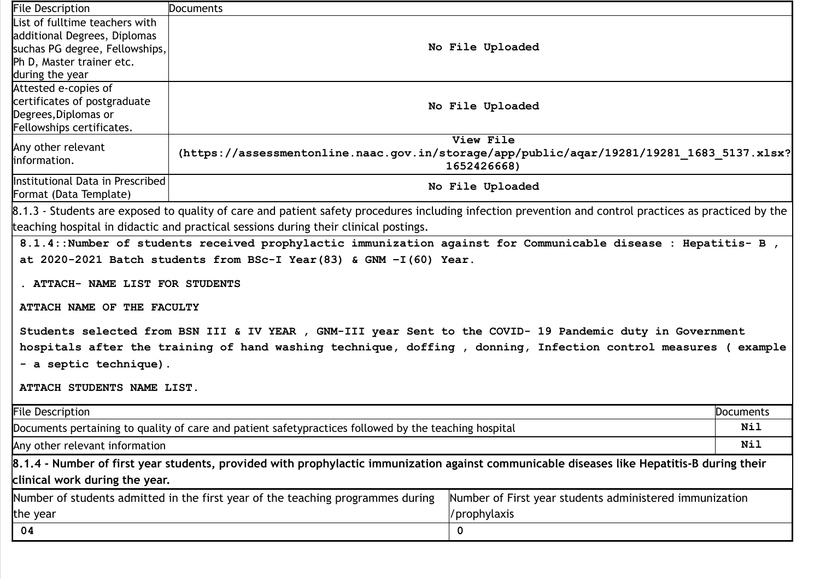| <b>File Description</b>                                                                                                                                | <b>Documents</b>                                                                                                                           |                  |           |  |  |  |
|--------------------------------------------------------------------------------------------------------------------------------------------------------|--------------------------------------------------------------------------------------------------------------------------------------------|------------------|-----------|--|--|--|
| List of fulltime teachers with                                                                                                                         |                                                                                                                                            |                  |           |  |  |  |
| additional Degrees, Diplomas                                                                                                                           |                                                                                                                                            |                  |           |  |  |  |
| suchas PG degree, Fellowships,                                                                                                                         | No File Uploaded                                                                                                                           |                  |           |  |  |  |
| Ph D, Master trainer etc.                                                                                                                              |                                                                                                                                            |                  |           |  |  |  |
| during the year                                                                                                                                        |                                                                                                                                            |                  |           |  |  |  |
| Attested e-copies of                                                                                                                                   |                                                                                                                                            |                  |           |  |  |  |
| certificates of postgraduate                                                                                                                           |                                                                                                                                            | No File Uploaded |           |  |  |  |
| Degrees, Diplomas or                                                                                                                                   |                                                                                                                                            |                  |           |  |  |  |
| Fellowships certificates.                                                                                                                              |                                                                                                                                            |                  |           |  |  |  |
| Any other relevant                                                                                                                                     | View File<br>(https://assessmentonline.naac.gov.in/storage/app/public/aqar/19281/19281 1683 5137.xlsx?                                     |                  |           |  |  |  |
| information.                                                                                                                                           |                                                                                                                                            |                  |           |  |  |  |
|                                                                                                                                                        | 1652426668)                                                                                                                                |                  |           |  |  |  |
| Institutional Data in Prescribed                                                                                                                       | No File Uploaded                                                                                                                           |                  |           |  |  |  |
| Format (Data Template)                                                                                                                                 |                                                                                                                                            |                  |           |  |  |  |
| 8.1.3 - Students are exposed to quality of care and patient safety procedures including infection prevention and control practices as practiced by the |                                                                                                                                            |                  |           |  |  |  |
|                                                                                                                                                        | teaching hospital in didactic and practical sessions during their clinical postings.                                                       |                  |           |  |  |  |
|                                                                                                                                                        | 8.1.4:: Number of students received prophylactic immunization against for Communicable disease : Hepatitis- B,                             |                  |           |  |  |  |
|                                                                                                                                                        | at 2020-2021 Batch students from BSc-I Year (83) & GNM $-I(60)$ Year.                                                                      |                  |           |  |  |  |
|                                                                                                                                                        |                                                                                                                                            |                  |           |  |  |  |
| . ATTACH- NAME LIST FOR STUDENTS                                                                                                                       |                                                                                                                                            |                  |           |  |  |  |
|                                                                                                                                                        |                                                                                                                                            |                  |           |  |  |  |
| ATTACH NAME OF THE FACULTY                                                                                                                             |                                                                                                                                            |                  |           |  |  |  |
|                                                                                                                                                        |                                                                                                                                            |                  |           |  |  |  |
|                                                                                                                                                        | Students selected from BSN III & IV YEAR , GNM-III year Sent to the COVID- 19 Pandemic duty in Government                                  |                  |           |  |  |  |
|                                                                                                                                                        | hospitals after the training of hand washing technique, doffing , donning, Infection control measures (example                             |                  |           |  |  |  |
| - a septic technique).                                                                                                                                 |                                                                                                                                            |                  |           |  |  |  |
|                                                                                                                                                        |                                                                                                                                            |                  |           |  |  |  |
| ATTACH STUDENTS NAME LIST.                                                                                                                             |                                                                                                                                            |                  |           |  |  |  |
|                                                                                                                                                        |                                                                                                                                            |                  |           |  |  |  |
| <b>File Description</b>                                                                                                                                |                                                                                                                                            |                  | Documents |  |  |  |
| Documents pertaining to quality of care and patient safetypractices followed by the teaching hospital                                                  |                                                                                                                                            |                  | Nil       |  |  |  |
| Any other relevant information                                                                                                                         |                                                                                                                                            |                  | Nil       |  |  |  |
|                                                                                                                                                        | 8.1.4 - Number of first year students, provided with prophylactic immunization against communicable diseases like Hepatitis-B during their |                  |           |  |  |  |
| clinical work during the year.                                                                                                                         |                                                                                                                                            |                  |           |  |  |  |
| Number of students admitted in the first year of the teaching programmes during<br>Number of First year students administered immunization             |                                                                                                                                            |                  |           |  |  |  |
| 'prophylaxis<br>the year                                                                                                                               |                                                                                                                                            |                  |           |  |  |  |
| 04                                                                                                                                                     |                                                                                                                                            | 0                |           |  |  |  |
|                                                                                                                                                        |                                                                                                                                            |                  |           |  |  |  |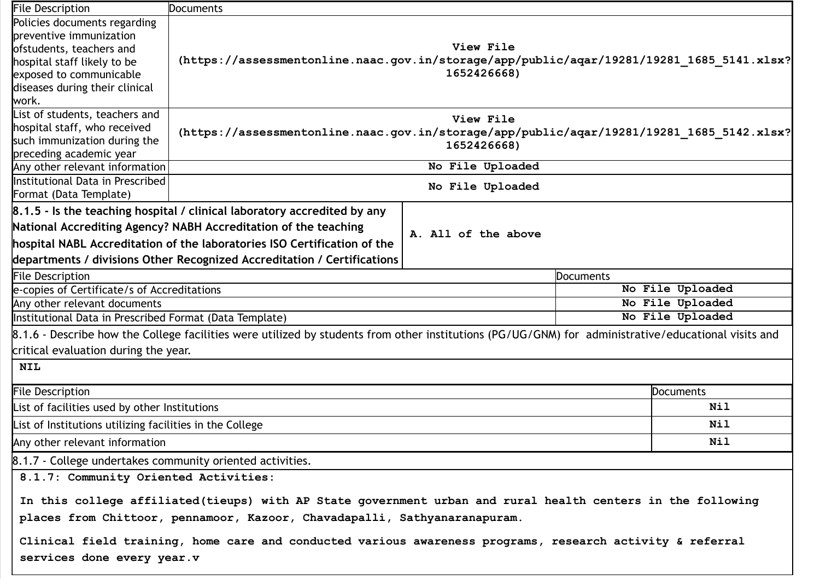| <b>File Description</b>                                                                                   | <b>Documents</b>                                                                                                                                    |                     |           |                  |  |
|-----------------------------------------------------------------------------------------------------------|-----------------------------------------------------------------------------------------------------------------------------------------------------|---------------------|-----------|------------------|--|
| Policies documents regarding                                                                              |                                                                                                                                                     |                     |           |                  |  |
| preventive immunization                                                                                   |                                                                                                                                                     |                     |           |                  |  |
| ofstudents, teachers and                                                                                  | View File                                                                                                                                           |                     |           |                  |  |
| hospital staff likely to be                                                                               | (https://assessmentonline.naac.gov.in/storage/app/public/aqar/19281/19281 1685 5141.xlsx?                                                           |                     |           |                  |  |
| exposed to communicable                                                                                   |                                                                                                                                                     | 1652426668)         |           |                  |  |
| diseases during their clinical                                                                            |                                                                                                                                                     |                     |           |                  |  |
| work.                                                                                                     |                                                                                                                                                     |                     |           |                  |  |
| List of students, teachers and                                                                            |                                                                                                                                                     | View File           |           |                  |  |
| hospital staff, who received                                                                              | (https://assessmentonline.naac.gov.in/storage/app/public/aqar/19281/19281 1685 5142.xlsx?                                                           |                     |           |                  |  |
| such immunization during the                                                                              | 1652426668)                                                                                                                                         |                     |           |                  |  |
| preceding academic year                                                                                   |                                                                                                                                                     |                     |           |                  |  |
| Any other relevant information                                                                            | No File Uploaded                                                                                                                                    |                     |           |                  |  |
| <b>Institutional Data in Prescribed</b>                                                                   | No File Uploaded                                                                                                                                    |                     |           |                  |  |
| Format (Data Template)                                                                                    |                                                                                                                                                     |                     |           |                  |  |
|                                                                                                           | $\beta$ .1.5 - Is the teaching hospital / clinical laboratory accredited by any                                                                     |                     |           |                  |  |
|                                                                                                           | National Accrediting Agency? NABH Accreditation of the teaching                                                                                     | A. All of the above |           |                  |  |
|                                                                                                           | hospital NABL Accreditation of the laboratories ISO Certification of the                                                                            |                     |           |                  |  |
|                                                                                                           | departments / divisions Other Recognized Accreditation / Certifications                                                                             |                     |           |                  |  |
| <b>File Description</b>                                                                                   |                                                                                                                                                     |                     | Documents |                  |  |
| e-copies of Certificate/s of Accreditations                                                               |                                                                                                                                                     | No File Uploaded    |           |                  |  |
| Any other relevant documents                                                                              |                                                                                                                                                     | No File Uploaded    |           |                  |  |
| Institutional Data in Prescribed Format (Data Template)                                                   |                                                                                                                                                     |                     |           | No File Uploaded |  |
|                                                                                                           | 8.1.6 - Describe how the College facilities were utilized by students from other institutions (PG/UG/GNM) for administrative/educational visits and |                     |           |                  |  |
| critical evaluation during the year.                                                                      |                                                                                                                                                     |                     |           |                  |  |
| <b>NIL</b>                                                                                                |                                                                                                                                                     |                     |           |                  |  |
| <b>File Description</b>                                                                                   |                                                                                                                                                     |                     |           | Documents        |  |
| List of facilities used by other Institutions                                                             |                                                                                                                                                     |                     |           | Nil              |  |
| List of Institutions utilizing facilities in the College                                                  |                                                                                                                                                     |                     |           | Nil              |  |
| Any other relevant information                                                                            |                                                                                                                                                     |                     |           | Nil              |  |
| 8.1.7 - College undertakes community oriented activities.                                                 |                                                                                                                                                     |                     |           |                  |  |
| 8.1.7: Community Oriented Activities:                                                                     |                                                                                                                                                     |                     |           |                  |  |
|                                                                                                           | In this college affiliated(tieups) with AP State government urban and rural health centers in the following                                         |                     |           |                  |  |
| places from Chittoor, pennamoor, Kazoor, Chavadapalli, Sathyanaranapuram.                                 |                                                                                                                                                     |                     |           |                  |  |
| Clinical field training, home care and conducted various awareness programs, research activity & referral |                                                                                                                                                     |                     |           |                  |  |
|                                                                                                           |                                                                                                                                                     |                     |           |                  |  |
| services done every year.v                                                                                |                                                                                                                                                     |                     |           |                  |  |